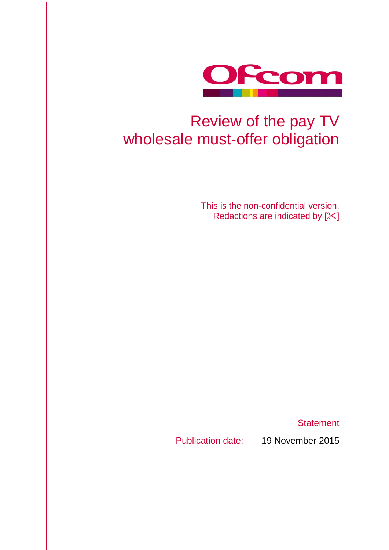

# Review of the pay TV wholesale must-offer obligation

This is the non-confidential version. Redactions are indicated by  $[\times]$ 

**Statement** 

Publication date: 19 November 2015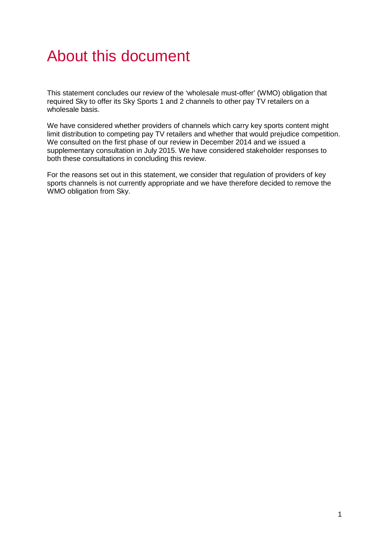# About this document

This statement concludes our review of the 'wholesale must-offer' (WMO) obligation that required Sky to offer its Sky Sports 1 and 2 channels to other pay TV retailers on a wholesale basis.

We have considered whether providers of channels which carry key sports content might limit distribution to competing pay TV retailers and whether that would prejudice competition. We consulted on the first phase of our review in December 2014 and we issued a supplementary consultation in July 2015. We have considered stakeholder responses to both these consultations in concluding this review.

For the reasons set out in this statement, we consider that regulation of providers of key sports channels is not currently appropriate and we have therefore decided to remove the WMO obligation from Sky.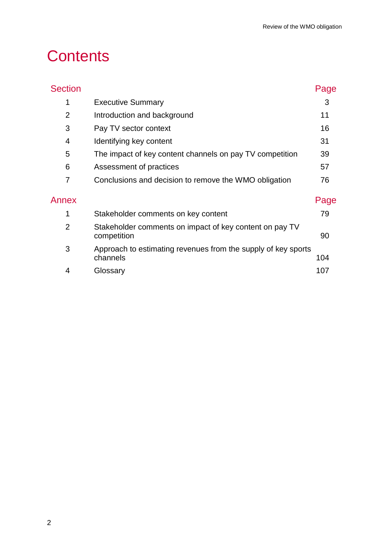# **Contents**

| <b>Section</b> |                                                                           | Page |
|----------------|---------------------------------------------------------------------------|------|
| 1              | <b>Executive Summary</b>                                                  | 3    |
| $\overline{2}$ | Introduction and background                                               | 11   |
| 3              | Pay TV sector context                                                     | 16   |
| 4              | Identifying key content                                                   | 31   |
| 5              | The impact of key content channels on pay TV competition                  | 39   |
| 6              | Assessment of practices                                                   | 57   |
| 7              | Conclusions and decision to remove the WMO obligation                     | 76   |
| Annex          |                                                                           | Page |
| 1              | Stakeholder comments on key content                                       | 79   |
| $\overline{2}$ | Stakeholder comments on impact of key content on pay TV<br>competition    | 90   |
| 3              | Approach to estimating revenues from the supply of key sports<br>channels | 104  |
| 4              | Glossary                                                                  | 107  |
|                |                                                                           |      |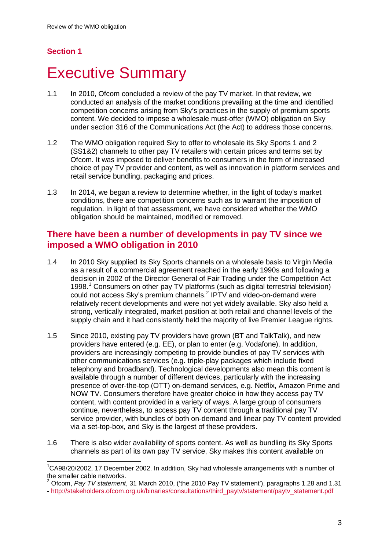# **Section 1**

# <span id="page-3-0"></span>**Executive Summary**

- 1.1 In 2010, Ofcom concluded a review of the pay TV market. In that review, we conducted an analysis of the market conditions prevailing at the time and identified competition concerns arising from Sky's practices in the supply of premium sports content. We decided to impose a wholesale must-offer (WMO) obligation on Sky under section 316 of the Communications Act (the Act) to address those concerns.
- 1.2 The WMO obligation required Sky to offer to wholesale its Sky Sports 1 and 2 (SS1&2) channels to other pay TV retailers with certain prices and terms set by Ofcom. It was imposed to deliver benefits to consumers in the form of increased choice of pay TV provider and content, as well as innovation in platform services and retail service bundling, packaging and prices.
- 1.3 In 2014, we began a review to determine whether, in the light of today's market conditions, there are competition concerns such as to warrant the imposition of regulation. In light of that assessment, we have considered whether the WMO obligation should be maintained, modified or removed.

## **There have been a number of developments in pay TV since we imposed a WMO obligation in 2010**

- 1.4 In 2010 Sky supplied its Sky Sports channels on a wholesale basis to Virgin Media as a result of a commercial agreement reached in the early 1990s and following a decision in 2002 of the Director General of Fair Trading under the Competition Act 1998.[1](#page-3-1) Consumers on other pay TV platforms (such as digital terrestrial television) could not access Sky's premium channels.<sup>[2](#page-3-2)</sup> IPTV and video-on-demand were relatively recent developments and were not yet widely available. Sky also held a strong, vertically integrated, market position at both retail and channel levels of the supply chain and it had consistently held the majority of live Premier League rights.
- 1.5 Since 2010, existing pay TV providers have grown (BT and TalkTalk), and new providers have entered (e.g. EE), or plan to enter (e.g. Vodafone). In addition, providers are increasingly competing to provide bundles of pay TV services with other communications services (e.g. triple-play packages which include fixed telephony and broadband). Technological developments also mean this content is available through a number of different devices, particularly with the increasing presence of over-the-top (OTT) on-demand services, e.g. Netflix, Amazon Prime and NOW TV. Consumers therefore have greater choice in how they access pay TV content, with content provided in a variety of ways. A large group of consumers continue, nevertheless, to access pay TV content through a traditional pay TV service provider, with bundles of both on-demand and linear pay TV content provided via a set-top-box, and Sky is the largest of these providers.
- 1.6 There is also wider availability of sports content. As well as bundling its Sky Sports channels as part of its own pay TV service, Sky makes this content available on

<span id="page-3-1"></span><sup>&</sup>lt;sup>1</sup>CA98/20/2002, 17 December 2002. In addition, Sky had wholesale arrangements with a number of the smaller cable networks.  $\overline{a}$ 

<span id="page-3-2"></span><sup>2</sup> Ofcom, *Pay TV statement*, 31 March 2010, ('the 2010 Pay TV statement'), paragraphs 1.28 and 1.31

<sup>-</sup> [http://stakeholders.ofcom.org.uk/binaries/consultations/third\\_paytv/statement/paytv\\_statement.pdf](http://stakeholders.ofcom.org.uk/binaries/consultations/third_paytv/statement/paytv_statement.pdf)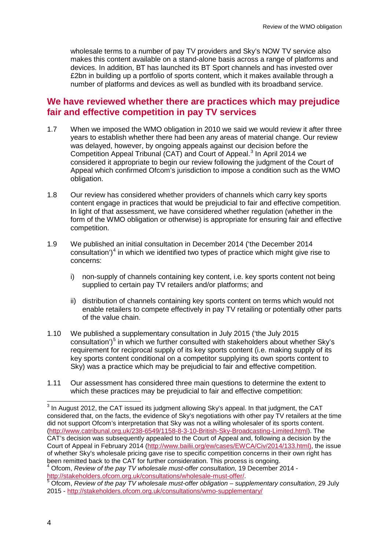wholesale terms to a number of pay TV providers and Sky's NOW TV service also makes this content available on a stand-alone basis across a range of platforms and devices. In addition, BT has launched its BT Sport channels and has invested over £2bn in building up a portfolio of sports content, which it makes available through a number of platforms and devices as well as bundled with its broadband service.

### **We have reviewed whether there are practices which may prejudice fair and effective competition in pay TV services**

- 1.7 When we imposed the WMO obligation in 2010 we said we would review it after three years to establish whether there had been any areas of material change. Our review was delayed, however, by ongoing appeals against our decision before the Competition Appeal Tribunal (CAT) and Court of Appeal.<sup>[3](#page-4-0)</sup> In April 2014 we considered it appropriate to begin our review following the judgment of the Court of Appeal which confirmed Ofcom's jurisdiction to impose a condition such as the WMO obligation.
- 1.8 Our review has considered whether providers of channels which carry key sports content engage in practices that would be prejudicial to fair and effective competition. In light of that assessment, we have considered whether regulation (whether in the form of the WMO obligation or otherwise) is appropriate for ensuring fair and effective competition.
- 1.9 We published an initial consultation in December 2014 ('the December 2014 consultation')<sup>[4](#page-4-1)</sup> in which we identified two types of practice which might give rise to concerns:
	- i) non-supply of channels containing key content, i.e. key sports content not being supplied to certain pay TV retailers and/or platforms; and
	- ii) distribution of channels containing key sports content on terms which would not enable retailers to compete effectively in pay TV retailing or potentially other parts of the value chain.
- 1.10 We published a supplementary consultation in July 2015 ('the July 2015  $\frac{1}{2}$  consultation')<sup>[5](#page-4-2)</sup> in which we further consulted with stakeholders about whether Sky's requirement for reciprocal supply of its key sports content (i.e. making supply of its key sports content conditional on a competitor supplying its own sports content to Sky) was a practice which may be prejudicial to fair and effective competition.
- 1.11 Our assessment has considered three main questions to determine the extent to which these practices may be prejudicial to fair and effective competition:

<span id="page-4-1"></span><sup>4</sup> Ofcom, *Review of the pay TV wholesale must-offer consultation,* 19 December 2014 -<br>http://stakeholders.ofcom.org.uk/consultations/wholesale-must-offer/.

 $\overline{a}$ 

<span id="page-4-0"></span> $3$  In August 2012, the CAT issued its judgment allowing Sky's appeal. In that judgment, the CAT considered that, on the facts, the evidence of Sky's negotiations with other pay TV retailers at the time did not support Ofcom's interpretation that Sky was not a willing wholesaler of its sports content. [\(http://www.catribunal.org.uk/238-6549/1158-8-3-10-British-Sky-Broadcasting-Limited.html\)](http://www.catribunal.org.uk/238-6549/1158-8-3-10-British-Sky-Broadcasting-Limited.html). The CAT's decision was subsequently appealed to the Court of Appeal and, following a decision by the Court of Appeal in February 2014 [\(http://www.bailii.org/ew/cases/EWCA/Civ/2014/133.html\)](http://www.bailii.org/ew/cases/EWCA/Civ/2014/133.html), the issue of whether Sky's wholesale pricing gave rise to specific competition concerns in their own right has been remitted back to the CAT for further consideration. This process is ongoing.

<span id="page-4-2"></span><sup>&</sup>lt;sup>5</sup> Ofcom, *Review of the pay TV wholesale must-offer obligation – supplementary consultation, 29 July* 2015 - <http://stakeholders.ofcom.org.uk/consultations/wmo-supplementary/>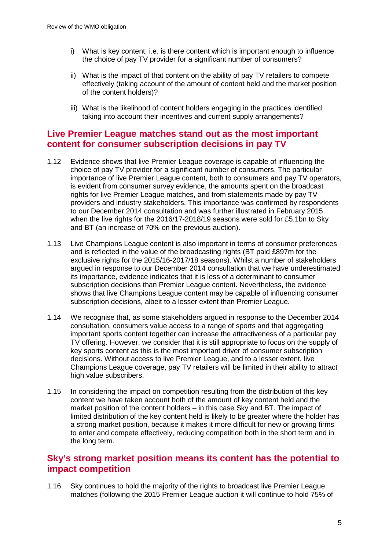- i) What is key content, i.e. is there content which is important enough to influence the choice of pay TV provider for a significant number of consumers?
- ii) What is the impact of that content on the ability of pay TV retailers to compete effectively (taking account of the amount of content held and the market position of the content holders)?
- iii) What is the likelihood of content holders engaging in the practices identified, taking into account their incentives and current supply arrangements?

## **Live Premier League matches stand out as the most important content for consumer subscription decisions in pay TV**

- 1.12 Evidence shows that live Premier League coverage is capable of influencing the choice of pay TV provider for a significant number of consumers. The particular importance of live Premier League content, both to consumers and pay TV operators, is evident from consumer survey evidence, the amounts spent on the broadcast rights for live Premier League matches, and from statements made by pay TV providers and industry stakeholders. This importance was confirmed by respondents to our December 2014 consultation and was further illustrated in February 2015 when the live rights for the 2016/17-2018/19 seasons were sold for £5.1bn to Sky and BT (an increase of 70% on the previous auction).
- 1.13 Live Champions League content is also important in terms of consumer preferences and is reflected in the value of the broadcasting rights (BT paid £897m for the exclusive rights for the 2015/16-2017/18 seasons). Whilst a number of stakeholders argued in response to our December 2014 consultation that we have underestimated its importance, evidence indicates that it is less of a determinant to consumer subscription decisions than Premier League content. Nevertheless, the evidence shows that live Champions League content may be capable of influencing consumer subscription decisions, albeit to a lesser extent than Premier League.
- 1.14 We recognise that, as some stakeholders argued in response to the December 2014 consultation, consumers value access to a range of sports and that aggregating important sports content together can increase the attractiveness of a particular pay TV offering. However, we consider that it is still appropriate to focus on the supply of key sports content as this is the most important driver of consumer subscription decisions. Without access to live Premier League, and to a lesser extent, live Champions League coverage, pay TV retailers will be limited in their ability to attract high value subscribers.
- 1.15 In considering the impact on competition resulting from the distribution of this key content we have taken account both of the amount of key content held and the market position of the content holders – in this case Sky and BT. The impact of limited distribution of the key content held is likely to be greater where the holder has a strong market position, because it makes it more difficult for new or growing firms to enter and compete effectively, reducing competition both in the short term and in the long term.

## **Sky's strong market position means its content has the potential to impact competition**

1.16 Sky continues to hold the majority of the rights to broadcast live Premier League matches (following the 2015 Premier League auction it will continue to hold 75% of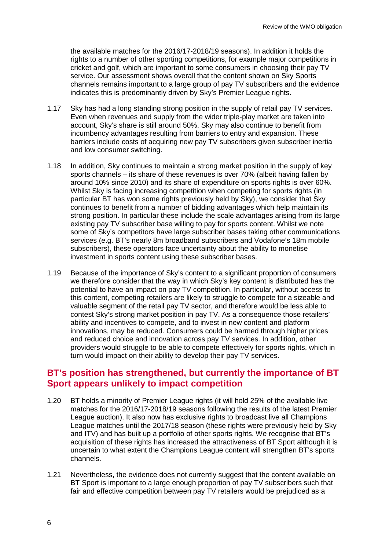the available matches for the 2016/17-2018/19 seasons). In addition it holds the rights to a number of other sporting competitions, for example major competitions in cricket and golf, which are important to some consumers in choosing their pay TV service. Our assessment shows overall that the content shown on Sky Sports channels remains important to a large group of pay TV subscribers and the evidence indicates this is predominantly driven by Sky's Premier League rights.

- 1.17 Sky has had a long standing strong position in the supply of retail pay TV services. Even when revenues and supply from the wider triple-play market are taken into account, Sky's share is still around 50%. Sky may also continue to benefit from incumbency advantages resulting from barriers to entry and expansion. These barriers include costs of acquiring new pay TV subscribers given subscriber inertia and low consumer switching.
- 1.18 In addition, Sky continues to maintain a strong market position in the supply of key sports channels – its share of these revenues is over 70% (albeit having fallen by around 10% since 2010) and its share of expenditure on sports rights is over 60%. Whilst Sky is facing increasing competition when competing for sports rights (in particular BT has won some rights previously held by Sky), we consider that Sky continues to benefit from a number of bidding advantages which help maintain its strong position. In particular these include the scale advantages arising from its large existing pay TV subscriber base willing to pay for sports content. Whilst we note some of Sky's competitors have large subscriber bases taking other communications services (e.g. BT's nearly 8m broadband subscribers and Vodafone's 18m mobile subscribers), these operators face uncertainty about the ability to monetise investment in sports content using these subscriber bases.
- 1.19 Because of the importance of Sky's content to a significant proportion of consumers we therefore consider that the way in which Sky's key content is distributed has the potential to have an impact on pay TV competition. In particular, without access to this content, competing retailers are likely to struggle to compete for a sizeable and valuable segment of the retail pay TV sector, and therefore would be less able to contest Sky's strong market position in pay TV. As a consequence those retailers' ability and incentives to compete, and to invest in new content and platform innovations, may be reduced. Consumers could be harmed through higher prices and reduced choice and innovation across pay TV services. In addition, other providers would struggle to be able to compete effectively for sports rights, which in turn would impact on their ability to develop their pay TV services.

### **BT's position has strengthened, but currently the importance of BT Sport appears unlikely to impact competition**

- 1.20 BT holds a minority of Premier League rights (it will hold 25% of the available live matches for the 2016/17-2018/19 seasons following the results of the latest Premier League auction). It also now has exclusive rights to broadcast live all Champions League matches until the 2017/18 season (these rights were previously held by Sky and ITV) and has built up a portfolio of other sports rights. We recognise that BT's acquisition of these rights has increased the attractiveness of BT Sport although it is uncertain to what extent the Champions League content will strengthen BT's sports channels.
- 1.21 Nevertheless, the evidence does not currently suggest that the content available on BT Sport is important to a large enough proportion of pay TV subscribers such that fair and effective competition between pay TV retailers would be prejudiced as a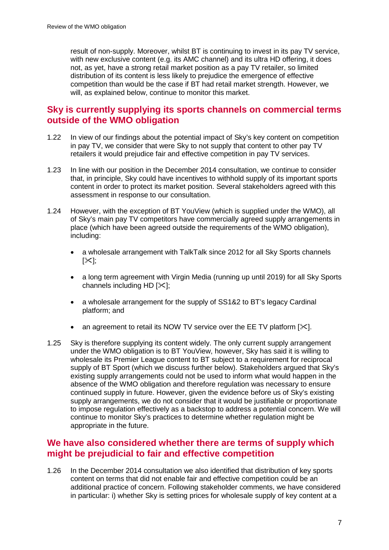result of non-supply. Moreover, whilst BT is continuing to invest in its pay TV service, with new exclusive content (e.g. its AMC channel) and its ultra HD offering, it does not, as yet, have a strong retail market position as a pay TV retailer, so limited distribution of its content is less likely to prejudice the emergence of effective competition than would be the case if BT had retail market strength. However, we will, as explained below, continue to monitor this market.

## **Sky is currently supplying its sports channels on commercial terms outside of the WMO obligation**

- 1.22 In view of our findings about the potential impact of Sky's key content on competition in pay TV, we consider that were Sky to not supply that content to other pay TV retailers it would prejudice fair and effective competition in pay TV services.
- 1.23 In line with our position in the December 2014 consultation, we continue to consider that, in principle, Sky could have incentives to withhold supply of its important sports content in order to protect its market position. Several stakeholders agreed with this assessment in response to our consultation.
- 1.24 However, with the exception of BT YouView (which is supplied under the WMO), all of Sky's main pay TV competitors have commercially agreed supply arrangements in place (which have been agreed outside the requirements of the WMO obligation), including:
	- a wholesale arrangement with TalkTalk since 2012 for all Sky Sports channels  $[\times]$ :
	- a long term agreement with Virgin Media (running up until 2019) for all Sky Sports channels including HD  $[<]$ ;
	- a wholesale arrangement for the supply of SS1&2 to BT's legacy Cardinal platform; and
	- an agreement to retail its NOW TV service over the EE TV platform  $[\times]$ .
- 1.25 Sky is therefore supplying its content widely. The only current supply arrangement under the WMO obligation is to BT YouView, however, Sky has said it is willing to wholesale its Premier League content to BT subject to a requirement for reciprocal supply of BT Sport (which we discuss further below). Stakeholders argued that Sky's existing supply arrangements could not be used to inform what would happen in the absence of the WMO obligation and therefore regulation was necessary to ensure continued supply in future. However, given the evidence before us of Sky's existing supply arrangements, we do not consider that it would be justifiable or proportionate to impose regulation effectively as a backstop to address a potential concern. We will continue to monitor Sky's practices to determine whether regulation might be appropriate in the future.

## **We have also considered whether there are terms of supply which might be prejudicial to fair and effective competition**

1.26 In the December 2014 consultation we also identified that distribution of key sports content on terms that did not enable fair and effective competition could be an additional practice of concern. Following stakeholder comments, we have considered in particular: i) whether Sky is setting prices for wholesale supply of key content at a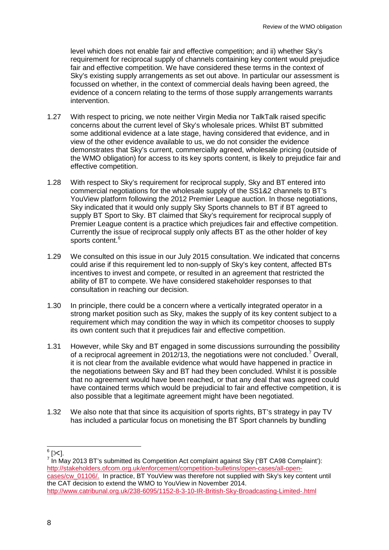level which does not enable fair and effective competition; and ii) whether Sky's requirement for reciprocal supply of channels containing key content would prejudice fair and effective competition. We have considered these terms in the context of Sky's existing supply arrangements as set out above. In particular our assessment is focussed on whether, in the context of commercial deals having been agreed, the evidence of a concern relating to the terms of those supply arrangements warrants intervention.

- 1.27 With respect to pricing, we note neither Virgin Media nor TalkTalk raised specific concerns about the current level of Sky's wholesale prices. Whilst BT submitted some additional evidence at a late stage, having considered that evidence, and in view of the other evidence available to us, we do not consider the evidence demonstrates that Sky's current, commercially agreed, wholesale pricing (outside of the WMO obligation) for access to its key sports content, is likely to prejudice fair and effective competition.
- 1.28 With respect to Sky's requirement for reciprocal supply, Sky and BT entered into commercial negotiations for the wholesale supply of the SS1&2 channels to BT's YouView platform following the 2012 Premier League auction. In those negotiations, Sky indicated that it would only supply Sky Sports channels to BT if BT agreed to supply BT Sport to Sky. BT claimed that Sky's requirement for reciprocal supply of Premier League content is a practice which prejudices fair and effective competition. Currently the issue of reciprocal supply only affects BT as the other holder of key sports content.<sup>[6](#page-8-0)</sup>
- 1.29 We consulted on this issue in our July 2015 consultation. We indicated that concerns could arise if this requirement led to non-supply of Sky's key content, affected BTs incentives to invest and compete, or resulted in an agreement that restricted the ability of BT to compete. We have considered stakeholder responses to that consultation in reaching our decision.
- 1.30 In principle, there could be a concern where a vertically integrated operator in a strong market position such as Sky, makes the supply of its key content subject to a requirement which may condition the way in which its competitor chooses to supply its own content such that it prejudices fair and effective competition.
- 1.31 However, while Sky and BT engaged in some discussions surrounding the possibility of a reciprocal agreement in 2012/13, the negotiations were not concluded.[7](#page-8-1) Overall, it is not clear from the available evidence what would have happened in practice in the negotiations between Sky and BT had they been concluded. Whilst it is possible that no agreement would have been reached, or that any deal that was agreed could have contained terms which would be prejudicial to fair and effective competition, it is also possible that a legitimate agreement might have been negotiated.
- 1.32 We also note that that since its acquisition of sports rights, BT's strategy in pay TV has included a particular focus on monetising the BT Sport channels by bundling

<span id="page-8-1"></span><span id="page-8-0"></span><sup>7</sup> In May 2013 BT's submitted its Competition Act complaint against Sky ('BT CA98 Complaint'): [http://stakeholders.ofcom.org.uk/enforcement/competition-bulletins/open-cases/all-open](http://stakeholders.ofcom.org.uk/enforcement/competition-bulletins/open-cases/all-open-cases/cw_01106/)[cases/cw\\_01106/.](http://stakeholders.ofcom.org.uk/enforcement/competition-bulletins/open-cases/all-open-cases/cw_01106/) In practice, BT YouView was therefore not supplied with Sky's key content until the CAT decision to extend the WMO to YouView in November 2014. <http://www.catribunal.org.uk/238-6095/1152-8-3-10-IR-British-Sky-Broadcasting-Limited-.html>

 $6$  [ $\times$ ].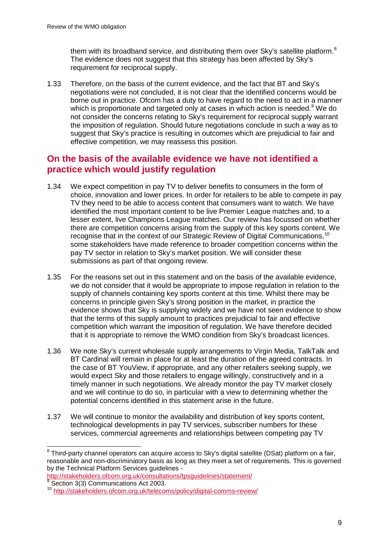them with its broadband service, and distributing them over Sky's satellite platform. $8$ The evidence does not suggest that this strategy has been affected by Sky's requirement for reciprocal supply.

1.33 Therefore, on the basis of the current evidence, and the fact that BT and Sky's negotiations were not concluded, it is not clear that the identified concerns would be borne out in practice. Ofcom has a duty to have regard to the need to act in a manner which is proportionate and targeted only at cases in which action is needed.<sup>[9](#page-9-1)</sup> We do not consider the concerns relating to Sky's requirement for reciprocal supply warrant the imposition of regulation. Should future negotiations conclude in such a way as to suggest that Sky's practice is resulting in outcomes which are prejudicial to fair and effective competition, we may reassess this position.

# **On the basis of the available evidence we have not identified a practice which would justify regulation**

- 1.34 We expect competition in pay TV to deliver benefits to consumers in the form of choice, innovation and lower prices. In order for retailers to be able to compete in pay TV they need to be able to access content that consumers want to watch. We have identified the most important content to be live Premier League matches and, to a lesser extent, live Champions League matches. Our review has focussed on whether there are competition concerns arising from the supply of this key sports content. We recognise that in the context of our Strategic Review of Digital Communications, <sup>[10](#page-9-2)</sup> some stakeholders have made reference to broader competition concerns within the pay TV sector in relation to Sky's market position. We will consider these submissions as part of that ongoing review.
- 1.35 For the reasons set out in this statement and on the basis of the available evidence, we do not consider that it would be appropriate to impose regulation in relation to the supply of channels containing key sports content at this time. Whilst there may be concerns in principle given Sky's strong position in the market, in practice the evidence shows that Sky is supplying widely and we have not seen evidence to show that the terms of this supply amount to practices prejudicial to fair and effective competition which warrant the imposition of regulation. We have therefore decided that it is appropriate to remove the WMO condition from Sky's broadcast licences.
- 1.36 We note Sky's current wholesale supply arrangements to Virgin Media, TalkTalk and BT Cardinal will remain in place for at least the duration of the agreed contracts. In the case of BT YouView, if appropriate, and any other retailers seeking supply, we would expect Sky and those retailers to engage willingly, constructively and in a timely manner in such negotiations. We already monitor the pay TV market closely and we will continue to do so, in particular with a view to determining whether the potential concerns identified in this statement arise in the future.
- 1.37 We will continue to monitor the availability and distribution of key sports content, technological developments in pay TV services, subscriber numbers for these services, commercial agreements and relationships between competing pay TV

<http://stakeholders.ofcom.org.uk/consultations/tpsguidelines/statement/><br>
<sup>9</sup> Section 3(3) Communications Act 2003.

<span id="page-9-0"></span> $8$  Third-party channel operators can acquire access to Sky's digital satellite (DSat) platform on a fair, reasonable and non-discriminatory basis as long as they meet a set of requirements. This is governed by the Technical Platform Services guidelines -  $\overline{a}$ 

<span id="page-9-2"></span><span id="page-9-1"></span><sup>9</sup> Section 3(3) Communications Act 2003. <sup>10</sup> <http://stakeholders.ofcom.org.uk/telecoms/policy/digital-comms-review/>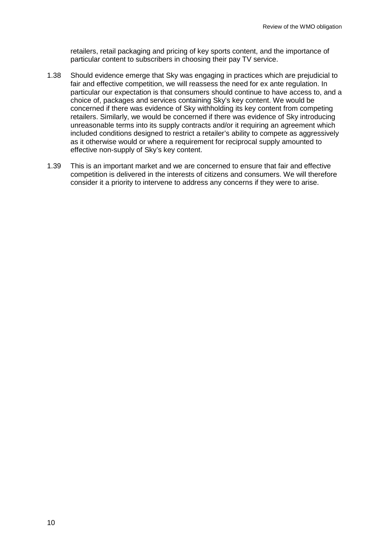retailers, retail packaging and pricing of key sports content, and the importance of particular content to subscribers in choosing their pay TV service.

- 1.38 Should evidence emerge that Sky was engaging in practices which are prejudicial to fair and effective competition, we will reassess the need for ex ante regulation. In particular our expectation is that consumers should continue to have access to, and a choice of, packages and services containing Sky's key content. We would be concerned if there was evidence of Sky withholding its key content from competing retailers. Similarly, we would be concerned if there was evidence of Sky introducing unreasonable terms into its supply contracts and/or it requiring an agreement which included conditions designed to restrict a retailer's ability to compete as aggressively as it otherwise would or where a requirement for reciprocal supply amounted to effective non-supply of Sky's key content.
- 1.39 This is an important market and we are concerned to ensure that fair and effective competition is delivered in the interests of citizens and consumers. We will therefore consider it a priority to intervene to address any concerns if they were to arise.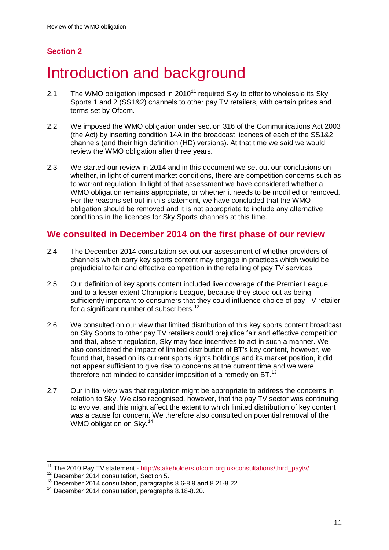# **Section 2**

# <span id="page-11-0"></span>Introduction and background

- 2.1 The WMO obligation imposed in  $2010^{11}$  $2010^{11}$  $2010^{11}$  required Sky to offer to wholesale its Sky Sports 1 and 2 (SS1&2) channels to other pay TV retailers, with certain prices and terms set by Ofcom.
- 2.2 We imposed the WMO obligation under section 316 of the Communications Act 2003 (the Act) by inserting condition 14A in the broadcast licences of each of the SS1&2 channels (and their high definition (HD) versions). At that time we said we would review the WMO obligation after three years.
- 2.3 We started our review in 2014 and in this document we set out our conclusions on whether, in light of current market conditions, there are competition concerns such as to warrant regulation. In light of that assessment we have considered whether a WMO obligation remains appropriate, or whether it needs to be modified or removed. For the reasons set out in this statement, we have concluded that the WMO obligation should be removed and it is not appropriate to include any alternative conditions in the licences for Sky Sports channels at this time.

# **We consulted in December 2014 on the first phase of our review**

- 2.4 The December 2014 consultation set out our assessment of whether providers of channels which carry key sports content may engage in practices which would be prejudicial to fair and effective competition in the retailing of pay TV services.
- 2.5 Our definition of key sports content included live coverage of the Premier League, and to a lesser extent Champions League, because they stood out as being sufficiently important to consumers that they could influence choice of pay TV retailer for a significant number of subscribers.<sup>[12](#page-11-2)</sup>
- 2.6 We consulted on our view that limited distribution of this key sports content broadcast on Sky Sports to other pay TV retailers could prejudice fair and effective competition and that, absent regulation, Sky may face incentives to act in such a manner. We also considered the impact of limited distribution of BT's key content, however, we found that, based on its current sports rights holdings and its market position, it did not appear sufficient to give rise to concerns at the current time and we were therefore not minded to consider imposition of a remedy on BT.<sup>[13](#page-11-3)</sup>
- 2.7 Our initial view was that regulation might be appropriate to address the concerns in relation to Sky. We also recognised, however, that the pay TV sector was continuing to evolve, and this might affect the extent to which limited distribution of key content was a cause for concern. We therefore also consulted on potential removal of the WMO obligation on Sky.<sup>[14](#page-11-4)</sup>

 $\overline{a}$ 

<sup>&</sup>lt;sup>11</sup> The 2010 Pay TV statement - [http://stakeholders.ofcom.org.uk/consultations/third\\_paytv/](http://stakeholders.ofcom.org.uk/consultations/third_paytv/)

<span id="page-11-2"></span><span id="page-11-1"></span><sup>&</sup>lt;sup>12</sup> December 2014 consultation, Section 5.

<span id="page-11-3"></span><sup>13</sup> December 2014 consultation, paragraphs 8.6-8.9 and 8.21-8.22.

<span id="page-11-4"></span><sup>14</sup> December 2014 consultation, paragraphs 8.18-8.20.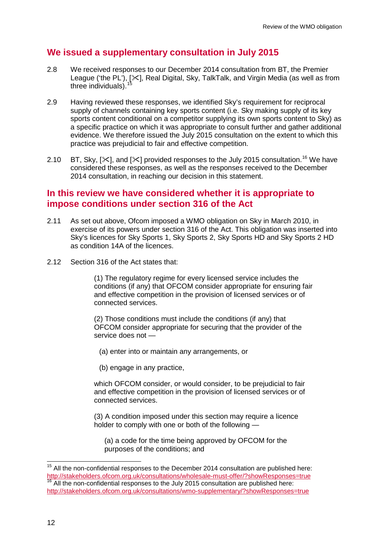# **We issued a supplementary consultation in July 2015**

- 2.8 We received responses to our December 2014 consultation from BT, the Premier League ('the PL'), [X], Real Digital, Sky, TalkTalk, and Virgin Media (as well as from three individuals).
- 2.9 Having reviewed these responses, we identified Sky's requirement for reciprocal supply of channels containing key sports content (i.e. Sky making supply of its key sports content conditional on a competitor supplying its own sports content to Sky) as a specific practice on which it was appropriate to consult further and gather additional evidence. We therefore issued the July 2015 consultation on the extent to which this practice was prejudicial to fair and effective competition.
- 2.10 BT, Sky,  $[\times]$ , and  $[\times]$  provided responses to the July 2015 consultation.<sup>[16](#page-12-1)</sup> We have considered these responses, as well as the responses received to the December 2014 consultation, in reaching our decision in this statement.

## **In this review we have considered whether it is appropriate to impose conditions under section 316 of the Act**

- 2.11 As set out above, Ofcom imposed a WMO obligation on Sky in March 2010, in exercise of its powers under section 316 of the Act. This obligation was inserted into Sky's licences for Sky Sports 1, Sky Sports 2, Sky Sports HD and Sky Sports 2 HD as condition 14A of the licences.
- 2.12 Section 316 of the Act states that:

(1) The regulatory regime for every licensed service includes the conditions (if any) that OFCOM consider appropriate for ensuring fair and effective competition in the provision of licensed services or of connected services.

(2) Those conditions must include the conditions (if any) that OFCOM consider appropriate for securing that the provider of the service does not —

(a) enter into or maintain any arrangements, or

(b) engage in any practice,

which OFCOM consider, or would consider, to be prejudicial to fair and effective competition in the provision of licensed services or of connected services.

(3) A condition imposed under this section may require a licence holder to comply with one or both of the following —

(a) a code for the time being approved by OFCOM for the purposes of the conditions; and

 $\overline{a}$ 

<span id="page-12-1"></span><span id="page-12-0"></span> $15$  All the non-confidential responses to the December 2014 consultation are published here: <http://stakeholders.ofcom.org.uk/consultations/wholesale-must-offer/?showResponses=true> <sup>16</sup> All the non-confidential responses to the July 2015 consultation are published here: <http://stakeholders.ofcom.org.uk/consultations/wmo-supplementary/?showResponses=true>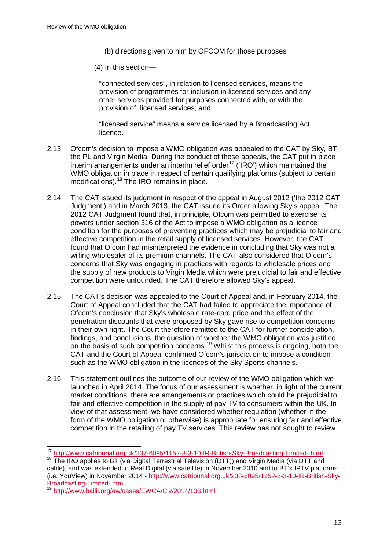- (b) directions given to him by OFCOM for those purposes
- (4) In this section—

"connected services", in relation to licensed services, means the provision of programmes for inclusion in licensed services and any other services provided for purposes connected with, or with the provision of, licensed services; and

"licensed service" means a service licensed by a Broadcasting Act licence.

- 2.13 Ofcom's decision to impose a WMO obligation was appealed to the CAT by Sky, BT, the PL and Virgin Media. During the conduct of those appeals, the CAT put in place interim arrangements under an interim relief order $17$  ('IRO') which maintained the WMO obligation in place in respect of certain qualifying platforms (subject to certain modifications).[18](#page-13-1) The IRO remains in place.
- 2.14 The CAT issued its judgment in respect of the appeal in August 2012 ('the 2012 CAT Judgment') and in March 2013, the CAT issued its Order allowing Sky's appeal. The 2012 CAT Judgment found that, in principle, Ofcom was permitted to exercise its powers under section 316 of the Act to impose a WMO obligation as a licence condition for the purposes of preventing practices which may be prejudicial to fair and effective competition in the retail supply of licensed services. However, the CAT found that Ofcom had misinterpreted the evidence in concluding that Sky was not a willing wholesaler of its premium channels. The CAT also considered that Ofcom's concerns that Sky was engaging in practices with regards to wholesale prices and the supply of new products to Virgin Media which were prejudicial to fair and effective competition were unfounded. The CAT therefore allowed Sky's appeal.
- 2.15 The CAT's decision was appealed to the Court of Appeal and, in February 2014, the Court of Appeal concluded that the CAT had failed to appreciate the importance of Ofcom's conclusion that Sky's wholesale rate-card price and the effect of the penetration discounts that were proposed by Sky gave rise to competition concerns in their own right. The Court therefore remitted to the CAT for further consideration, findings, and conclusions, the question of whether the WMO obligation was justified on the basis of such competition concerns.<sup>[19](#page-13-2)</sup> Whilst this process is ongoing, both the CAT and the Court of Appeal confirmed Ofcom's jurisdiction to impose a condition such as the WMO obligation in the licences of the Sky Sports channels.
- 2.16 This statement outlines the outcome of our review of the WMO obligation which we launched in April 2014. The focus of our assessment is whether, in light of the current market conditions, there are arrangements or practices which could be prejudicial to fair and effective competition in the supply of pay TV to consumers within the UK. In view of that assessment, we have considered whether regulation (whether in the form of the WMO obligation or otherwise) is appropriate for ensuring fair and effective competition in the retailing of pay TV services. This review has not sought to review

<sup>&</sup>lt;sup>17</sup> <http://www.catribunal.org.uk/237-6095/1152-8-3-10-IR-British-Sky-Broadcasting-Limited-.html>  $\overline{a}$ 

<span id="page-13-1"></span><span id="page-13-0"></span><sup>&</sup>lt;sup>18</sup> The IRO applies to BT (via Digital Terrestrial Television (DTT)) and Virgin Media (via DTT and cable), and was extended to Real Digital (via satellite) in November 2010 and to BT's IPTV platforms (i.e. YouView) in November 2014 - [http://www.catribunal.org.uk/238-6095/1152-8-3-10-IR-British-Sky-](http://www.catribunal.org.uk/238-6095/1152-8-3-10-IR-British-Sky-Broadcasting-Limited-.html)[Broadcasting-Limited-.html](http://www.catribunal.org.uk/238-6095/1152-8-3-10-IR-British-Sky-Broadcasting-Limited-.html)

<span id="page-13-2"></span><sup>19</sup> <http://www.bailii.org/ew/cases/EWCA/Civ/2014/133.html>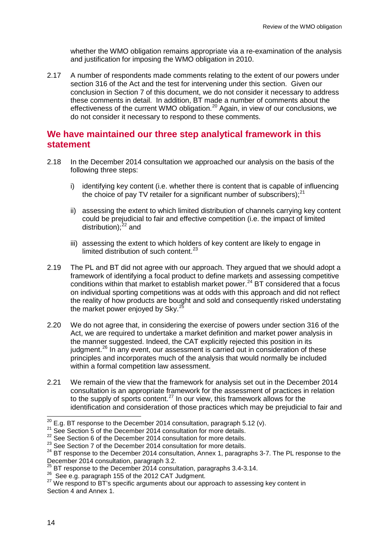whether the WMO obligation remains appropriate via a re-examination of the analysis and justification for imposing the WMO obligation in 2010.

2.17 A number of respondents made comments relating to the extent of our powers under section 316 of the Act and the test for intervening under this section. Given our conclusion in Section 7 of this document, we do not consider it necessary to address these comments in detail. In addition, BT made a number of comments about the effectiveness of the current WMO obligation.<sup>[20](#page-14-0)</sup> Again, in view of our conclusions, we do not consider it necessary to respond to these comments.

## **We have maintained our three step analytical framework in this statement**

- 2.18 In the December 2014 consultation we approached our analysis on the basis of the following three steps:
	- i) identifying key content (i.e. whether there is content that is capable of influencing the choice of pay TV retailer for a significant number of subscribers); $^{21}$  $^{21}$  $^{21}$
	- ii) assessing the extent to which limited distribution of channels carrying key content could be prejudicial to fair and effective competition (i.e. the impact of limited distribution): $^{22}$  $^{22}$  $^{22}$  and
	- iii) assessing the extent to which holders of key content are likely to engage in limited distribution of such content.<sup>[23](#page-14-3)</sup>
- 2.19 The PL and BT did not agree with our approach. They argued that we should adopt a framework of identifying a focal product to define markets and assessing competitive conditions within that market to establish market power. [24](#page-14-4) BT considered that a focus on individual sporting competitions was at odds with this approach and did not reflect the reality of how products are bought and sold and consequently risked understating the market power enjoyed by  $Sky^2$
- 2.20 We do not agree that, in considering the exercise of powers under section 316 of the Act, we are required to undertake a market definition and market power analysis in the manner suggested. Indeed, the CAT explicitly rejected this position in its judgment.<sup>[26](#page-14-6)</sup> In any event, our assessment is carried out in consideration of these principles and incorporates much of the analysis that would normally be included within a formal competition law assessment.
- 2.21 We remain of the view that the framework for analysis set out in the December 2014 consultation is an appropriate framework for the assessment of practices in relation to the supply of sports content.<sup>[27](#page-14-7)</sup> In our view, this framework allows for the identification and consideration of those practices which may be prejudicial to fair and

<span id="page-14-0"></span> $\overline{^{20}$  E.g. BT response to the December 2014 consultation, paragraph 5.12 (v).

<span id="page-14-2"></span>

<span id="page-14-3"></span>

<span id="page-14-1"></span><sup>&</sup>lt;sup>21</sup> See Section 5 of the December 2014 consultation for more details.<br>
<sup>22</sup> See Section 6 of the December 2014 consultation for more details.<br>
<sup>23</sup> See Section 7 of the December 2014 consultation for more details.<br>
<sup>24</sup> December 2014 consultation, paragraph 3.2.<br><sup>25</sup> PT see

<span id="page-14-6"></span><span id="page-14-5"></span><span id="page-14-4"></span> $^{25}$  BT response to the December 2014 consultation, paragraphs 3.4-3.14.<br><sup>26</sup> See e.g. paragraph 155 of the 2012 CAT Judgment.

<span id="page-14-7"></span> $27$  We respond to BT's specific arguments about our approach to assessing key content in Section 4 and Annex 1.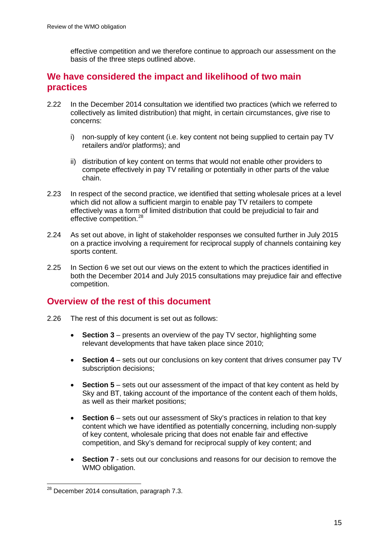effective competition and we therefore continue to approach our assessment on the basis of the three steps outlined above.

## **We have considered the impact and likelihood of two main practices**

- 2.22 In the December 2014 consultation we identified two practices (which we referred to collectively as limited distribution) that might, in certain circumstances, give rise to concerns:
	- i) non-supply of key content (i.e. key content not being supplied to certain pay TV retailers and/or platforms); and
	- ii) distribution of key content on terms that would not enable other providers to compete effectively in pay TV retailing or potentially in other parts of the value chain.
- 2.23 In respect of the second practice, we identified that setting wholesale prices at a level which did not allow a sufficient margin to enable pay TV retailers to compete effectively was a form of limited distribution that could be prejudicial to fair and effective competition.<sup>[28](#page-15-0)</sup>
- 2.24 As set out above, in light of stakeholder responses we consulted further in July 2015 on a practice involving a requirement for reciprocal supply of channels containing key sports content.
- 2.25 In Section 6 we set out our views on the extent to which the practices identified in both the December 2014 and July 2015 consultations may prejudice fair and effective competition.

# **Overview of the rest of this document**

- 2.26 The rest of this document is set out as follows:
	- **Section 3** presents an overview of the pay TV sector, highlighting some relevant developments that have taken place since 2010;
	- **Section 4** sets out our conclusions on key content that drives consumer pay TV subscription decisions;
	- **Section 5** sets out our assessment of the impact of that key content as held by Sky and BT, taking account of the importance of the content each of them holds, as well as their market positions;
	- **Section 6** sets out our assessment of Sky's practices in relation to that key content which we have identified as potentially concerning, including non-supply of key content, wholesale pricing that does not enable fair and effective competition, and Sky's demand for reciprocal supply of key content; and
	- **Section 7** sets out our conclusions and reasons for our decision to remove the WMO obligation.

<span id="page-15-0"></span> $^{28}$  December 2014 consultation, paragraph 7.3.  $\overline{a}$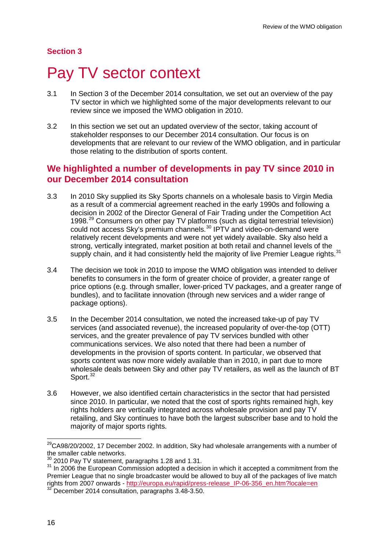### **Section 3**

# <span id="page-16-0"></span>Pay TV sector context

- 3.1 In Section 3 of the December 2014 consultation, we set out an overview of the pay TV sector in which we highlighted some of the major developments relevant to our review since we imposed the WMO obligation in 2010.
- 3.2 In this section we set out an updated overview of the sector, taking account of stakeholder responses to our December 2014 consultation. Our focus is on developments that are relevant to our review of the WMO obligation, and in particular those relating to the distribution of sports content.

## **We highlighted a number of developments in pay TV since 2010 in our December 2014 consultation**

- 3.3 In 2010 Sky supplied its Sky Sports channels on a wholesale basis to Virgin Media as a result of a commercial agreement reached in the early 1990s and following a decision in 2002 of the Director General of Fair Trading under the Competition Act 1998.[29](#page-16-1) Consumers on other pay TV platforms (such as digital terrestrial television) could not access Sky's premium channels.<sup>[30](#page-16-2)</sup> IPTV and video-on-demand were relatively recent developments and were not yet widely available. Sky also held a strong, vertically integrated, market position at both retail and channel levels of the supply chain, and it had consistently held the majority of live Premier League rights.<sup>[31](#page-16-3)</sup>
- 3.4 The decision we took in 2010 to impose the WMO obligation was intended to deliver benefits to consumers in the form of greater choice of provider, a greater range of price options (e.g. through smaller, lower-priced TV packages, and a greater range of bundles), and to facilitate innovation (through new services and a wider range of package options).
- 3.5 In the December 2014 consultation, we noted the increased take-up of pay TV services (and associated revenue), the increased popularity of over-the-top (OTT) services, and the greater prevalence of pay TV services bundled with other communications services. We also noted that there had been a number of developments in the provision of sports content. In particular, we observed that sports content was now more widely available than in 2010, in part due to more wholesale deals between Sky and other pay TV retailers, as well as the launch of BT Sport.<sup>[32](#page-16-4)</sup>
- 3.6 However, we also identified certain characteristics in the sector that had persisted since 2010. In particular, we noted that the cost of sports rights remained high, key rights holders are vertically integrated across wholesale provision and pay TV retailing, and Sky continues to have both the largest subscriber base and to hold the majority of major sports rights.

<span id="page-16-1"></span> $^{29}$ CA98/20/2002, 17 December 2002. In addition, Sky had wholesale arrangements with a number of the smaller cable networks.<br><sup>30</sup> 2010 Pay TV statement, paragraphs 1.28 and 1.31.  $\overline{a}$ 

<span id="page-16-2"></span>

<span id="page-16-3"></span> $31$  In 2006 the European Commission adopted a decision in which it accepted a commitment from the Premier League that no single broadcaster would be allowed to buy all of the packages of live match rights from 2007 onwards - http://europa.eu/rapid/press-release IP-06-356 en.htm?locale=en 32 December 2014 consultation, paragraphs 3.48-3.50.

<span id="page-16-4"></span>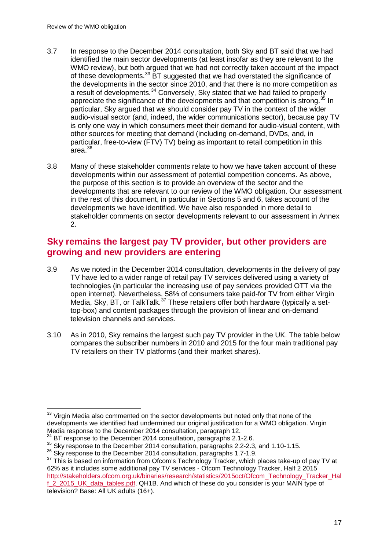- 3.7 In response to the December 2014 consultation, both Sky and BT said that we had identified the main sector developments (at least insofar as they are relevant to the WMO review), but both argued that we had not correctly taken account of the impact of these developments.<sup>[33](#page-17-0)</sup> BT suggested that we had overstated the significance of the developments in the sector since 2010, and that there is no more competition as a result of developments.<sup>[34](#page-17-1)</sup> Conversely, Sky stated that we had failed to properly appreciate the significance of the developments and that competition is strong.<sup>[35](#page-17-2)</sup> In particular, Sky argued that we should consider pay TV in the context of the wider audio-visual sector (and, indeed, the wider communications sector), because pay TV is only one way in which consumers meet their demand for audio-visual content, with other sources for meeting that demand (including on-demand, DVDs, and, in particular, free-to-view (FTV) TV) being as important to retail competition in this  $arc$ area. $36$
- 3.8 Many of these stakeholder comments relate to how we have taken account of these developments within our assessment of potential competition concerns. As above, the purpose of this section is to provide an overview of the sector and the developments that are relevant to our review of the WMO obligation. Our assessment in the rest of this document, in particular in Sections 5 and 6, takes account of the developments we have identified. We have also responded in more detail to stakeholder comments on sector developments relevant to our assessment in Annex 2.

## **Sky remains the largest pay TV provider, but other providers are growing and new providers are entering**

- 3.9 As we noted in the December 2014 consultation, developments in the delivery of pay TV have led to a wider range of retail pay TV services delivered using a variety of technologies (in particular the increasing use of pay services provided OTT via the open internet). Nevertheless, 58% of consumers take paid-for TV from either Virgin Media, Sky, BT, or TalkTalk.<sup>[37](#page-17-4)</sup> These retailers offer both hardware (typically a settop-box) and content packages through the provision of linear and on-demand television channels and services.
- 3.10 As in 2010, Sky remains the largest such pay TV provider in the UK. The table below compares the subscriber numbers in 2010 and 2015 for the four main traditional pay TV retailers on their TV platforms (and their market shares).

<span id="page-17-0"></span> $33$  Virgin Media also commented on the sector developments but noted only that none of the developments we identified had undermined our original justification for a WMO obligation. Virgin Media response to the December 2014 consultation, paragraph 12.  $\overline{a}$ 

BT response to the December 2014 consultation, paragraphs 2.1-2.6.

<span id="page-17-2"></span><span id="page-17-1"></span> $35$  Sky response to the December 2014 consultation, paragraphs 2.2-2.3, and 1.10-1.15.<br> $36$  Sky response to the December 2014 consultation, paragraphs 1.7-1.9.

<span id="page-17-4"></span><span id="page-17-3"></span> $37$  This is based on information from Ofcom's Technology Tracker, which places take-up of pay TV at 62% as it includes some additional pay TV services - Ofcom Technology Tracker, Half 2 2015 [http://stakeholders.ofcom.org.uk/binaries/research/statistics/2015oct/Ofcom\\_Technology\\_Tracker\\_Hal](http://stakeholders.ofcom.org.uk/binaries/research/statistics/2015oct/Ofcom_Technology_Tracker_Half_2_2015_UK_data_tables.pdf) [f\\_2\\_2015\\_UK\\_data\\_tables.pdf.](http://stakeholders.ofcom.org.uk/binaries/research/statistics/2015oct/Ofcom_Technology_Tracker_Half_2_2015_UK_data_tables.pdf) QH1B. And which of these do you consider is your MAIN type of television? Base: All UK adults (16+).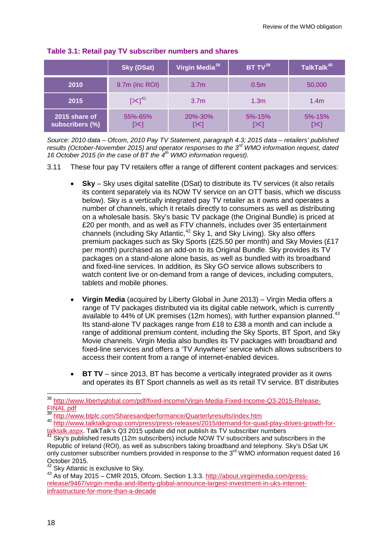|                                  | <b>Sky (DSat)</b> | Virgin Media <sup>38</sup> | BT $TV^{39}$     | TalkTalk <sup>40</sup> |
|----------------------------------|-------------------|----------------------------|------------------|------------------------|
| 2010                             | 9.7m (inc ROI)    | 3.7 <sub>m</sub>           | 0.5 <sub>m</sub> | 50,000                 |
| 2015                             | $[\times]^{41}$   | 3.7 <sub>m</sub>           | 1.3 <sub>m</sub> | 1.4 <sub>m</sub>       |
| 2015 share of<br>subscribers (%) | 55%-65%           | 20%-30%<br>[≻]             | $5% - 15%$<br>[⊁ | $5% - 15%$             |

#### **Table 3.1: Retail pay TV subscriber numbers and shares**

*Source: 2010 data – Ofcom, 2010 Pay TV Statement, paragraph 4.3; 2015 data – retailers' published results (October-November 2015) and operator responses to the 3rd WMO information request, dated 16 October 2015 (in the case of BT the 4th WMO information request).*

- 3.11 These four pay TV retailers offer a range of different content packages and services:
	- **Sky**  Sky uses digital satellite (DSat) to distribute its TV services (it also retails its content separately via its NOW TV service on an OTT basis, which we discuss below). Sky is a vertically integrated pay TV retailer as it owns and operates a number of channels, which it retails directly to consumers as well as distributing on a wholesale basis. Sky's basic TV package (the Original Bundle) is priced at £20 per month, and as well as FTV channels, includes over 35 entertainment channels (including Sky Atlantic,<sup>[42](#page-18-4)</sup> Sky 1, and Sky Living). Sky also offers premium packages such as Sky Sports (£25.50 per month) and Sky Movies (£17 per month) purchased as an add-on to its Original Bundle. Sky provides its TV packages on a stand-alone alone basis, as well as bundled with its broadband and fixed-line services. In addition, its Sky GO service allows subscribers to watch content live or on-demand from a range of devices, including computers, tablets and mobile phones.
	- **Virgin Media** (acquired by Liberty Global in June 2013) Virgin Media offers a range of TV packages distributed via its digital cable network, which is currently available to 44% of UK premises (12m homes), with further expansion planned.<sup>[43](#page-18-5)</sup> Its stand-alone TV packages range from £18 to £38 a month and can include a range of additional premium content, including the Sky Sports, BT Sport, and Sky Movie channels. Virgin Media also bundles its TV packages with broadband and fixed-line services and offers a 'TV Anywhere' service which allows subscribers to access their content from a range of internet-enabled devices.
	- **BT TV** since 2013, BT has become a vertically integrated provider as it owns and operates its BT Sport channels as well as its retail TV service. BT distributes

 $\overline{1}$ 

<span id="page-18-0"></span><sup>&</sup>lt;sup>38</sup> [http://www.libertyglobal.com/pdf/fixed-income/Virgin-Media-Fixed-Income-Q3-2015-Release-](http://www.libertyglobal.com/pdf/fixed-income/Virgin-Media-Fixed-Income-Q3-2015-Release-FINAL.pdf)[FINAL.pdf](http://www.libertyglobal.com/pdf/fixed-income/Virgin-Media-Fixed-Income-Q3-2015-Release-FINAL.pdf)<br><sup>39</sup> http://www.btplc.com/Sharesandperformance/Quarterlyresults/index.htm

<span id="page-18-2"></span><span id="page-18-1"></span><sup>40</sup> <http://www.btplc.com/Sharesandperformance/Quarterlyresults/index.htm><br>http://www.talktalkgroup.com/press/press-releases/2015/demand-for-quad-play-drives-growth-for-<br>talktalk.aspx. TalkTalk's Q3 2015 update did not publis

<span id="page-18-3"></span>**Talktal Talktal Sky's published results (12m subscribers) include NOW TV subscribers and subscribers in the** Republic of Ireland (ROI), as well as subscribers taking broadband and telephony. Sky's DSat UK only customer subscriber numbers provided in response to the 3<sup>rd</sup> WMO information request dated 16 October 2015.<br><sup>42</sup> Sky Atlantic is exclusive to Sky.

<span id="page-18-5"></span><span id="page-18-4"></span><sup>&</sup>lt;sup>43</sup> As of May 2015 – CMR 2015, Ofcom, Section 1.3.3. [http://about.virginmedia.com/press](http://about.virginmedia.com/press-release/9467/virgin-media-and-liberty-global-announce-largest-investment-in-uks-internet-infrastructure-for-more-than-a-decade)[release/9467/virgin-media-and-liberty-global-announce-largest-investment-in-uks-internet](http://about.virginmedia.com/press-release/9467/virgin-media-and-liberty-global-announce-largest-investment-in-uks-internet-infrastructure-for-more-than-a-decade)[infrastructure-for-more-than-a-decade](http://about.virginmedia.com/press-release/9467/virgin-media-and-liberty-global-announce-largest-investment-in-uks-internet-infrastructure-for-more-than-a-decade)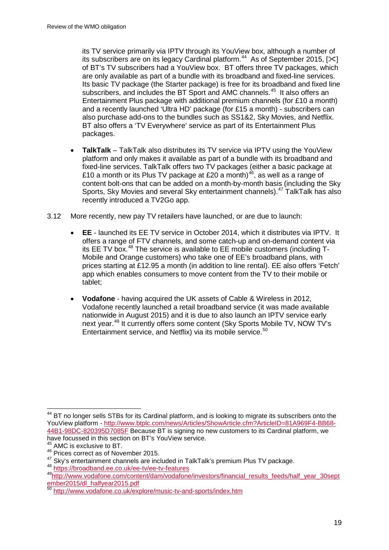its TV service primarily via IPTV through its YouView box, although a number of its subscribers are on its legacy Cardinal platform.<sup>44</sup> As of September 2015,  $[\times]$ of BT's TV subscribers had a YouView box. BT offers three TV packages, which are only available as part of a bundle with its broadband and fixed-line services. Its basic TV package (the Starter package) is free for its broadband and fixed line subscribers, and includes the BT Sport and AMC channels.<sup>[45](#page-19-1)</sup> It also offers an Entertainment Plus package with additional premium channels (for £10 a month) and a recently launched 'Ultra HD' package (for £15 a month) - subscribers can also purchase add-ons to the bundles such as SS1&2, Sky Movies, and Netflix. BT also offers a 'TV Everywhere' service as part of its Entertainment Plus packages.

- **TalkTalk**  TalkTalk also distributes its TV service via IPTV using the YouView platform and only makes it available as part of a bundle with its broadband and fixed-line services. TalkTalk offers two TV packages (either a basic package at £10 a month or its Plus TV package at £20 a month)<sup>46</sup>, as well as a range of content bolt-ons that can be added on a month-by-month basis (including the Sky Sports, Sky Movies and several Sky entertainment channels).<sup>[47](#page-19-3)</sup> TalkTalk has also recently introduced a TV2Go app.
- 3.12 More recently, new pay TV retailers have launched, or are due to launch:
	- **EE** launched its EE TV service in October 2014, which it distributes via IPTV. It offers a range of FTV channels, and some catch-up and on-demand content via its EE TV box.<sup>[48](#page-19-4)</sup> The service is available to EE mobile customers (including  $T$ -Mobile and Orange customers) who take one of EE's broadband plans, with prices starting at £12.95 a month (in addition to line rental). EE also offers 'Fetch' app which enables consumers to move content from the TV to their mobile or tablet;
	- **Vodafone** having acquired the UK assets of Cable & Wireless in 2012, Vodafone recently launched a retail broadband service (it was made available nationwide in August 2015) and it is due to also launch an IPTV service early next year.<sup>[49](#page-19-5)</sup> It currently offers some content (Sky Sports Mobile TV, NOW TV's Entertainment service, and Netflix) via its mobile service.<sup>[50](#page-19-6)</sup>

<span id="page-19-0"></span><sup>&</sup>lt;sup>44</sup> BT no longer sells STBs for its Cardinal platform, and is looking to migrate its subscribers onto the YouView platform - [http://www.btplc.com/news/Articles/ShowArticle.cfm?ArticleID=81A969F4-BB68-](http://www.btplc.com/news/Articles/ShowArticle.cfm?ArticleID=81A969F4-BB68-44B1-98DC-820395D7085F) [44B1-98DC-820395D7085F](http://www.btplc.com/news/Articles/ShowArticle.cfm?ArticleID=81A969F4-BB68-44B1-98DC-820395D7085F) Because BT is signing no new customers to its Cardinal platform, we have focussed in this section on BT's YouView service.  $\overline{a}$ 

AMC is exclusive to BT.

<span id="page-19-1"></span><sup>&</sup>lt;sup>46</sup> Prices correct as of November 2015.

<span id="page-19-3"></span><span id="page-19-2"></span><sup>47</sup> Sky's entertainment channels are included in TalkTalk's premium Plus TV package.<br><sup>48</sup> <https://broadband.ee.co.uk/ee-tv/ee-tv-features>

<span id="page-19-5"></span><span id="page-19-4"></span>[<sup>49</sup>http://www.vodafone.com/content/dam/vodafone/investors/financial\\_results\\_feeds/half\\_year\\_30sept](http://www.vodafone.com/content/dam/vodafone/investors/financial_results_feeds/half_year_30september2015/dl_halfyear2015.pdf) [ember2015/dl\\_halfyear2015.pdf](http://www.vodafone.com/content/dam/vodafone/investors/financial_results_feeds/half_year_30september2015/dl_halfyear2015.pdf)

<span id="page-19-6"></span><sup>50</sup> <http://www.vodafone.co.uk/explore/music-tv-and-sports/index.htm>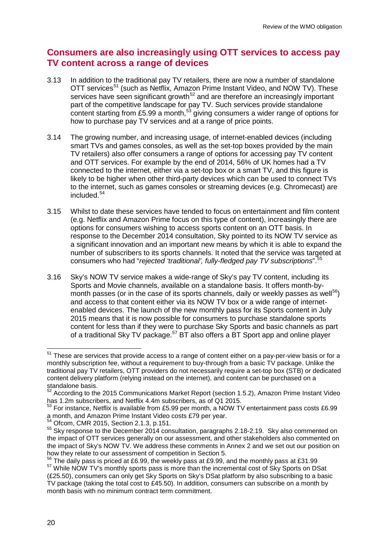# **Consumers are also increasingly using OTT services to access pay TV content across a range of devices**

- 3.13 In addition to the traditional pay TV retailers, there are now a number of standalone OTT services<sup>[51](#page-20-0)</sup> (such as Netflix, Amazon Prime Instant Video, and NOW TV). These services have seen significant growth<sup>[52](#page-20-1)</sup> and are therefore an increasingly important part of the competitive landscape for pay TV. Such services provide standalone content starting from £5.99 a month,<sup>[53](#page-20-2)</sup> giving consumers a wider range of options for how to purchase pay TV services and at a range of price points.
- 3.14 The growing number, and increasing usage, of internet-enabled devices (including smart TVs and games consoles, as well as the set-top boxes provided by the main TV retailers) also offer consumers a range of options for accessing pay TV content and OTT services. For example by the end of 2014, 56% of UK homes had a TV connected to the internet, either via a set-top box or a smart TV, and this figure is likely to be higher when other third-party devices which can be used to connect TVs to the internet, such as games consoles or streaming devices (e.g. Chromecast) are included.[54](#page-20-3)
- 3.15 Whilst to date these services have tended to focus on entertainment and film content (e.g. Netflix and Amazon Prime focus on this type of content), increasingly there are options for consumers wishing to access sports content on an OTT basis. In response to the December 2014 consultation, Sky pointed to its NOW TV service as a significant innovation and an important new means by which it is able to expand the number of subscribers to its sports channels. It noted that the service was targeted at consumers who had "*rejected 'traditional', fully-fledged pay TV subscriptions*". [55](#page-20-4)
- 3.16 Sky's NOW TV service makes a wide-range of Sky's pay TV content, including its Sports and Movie channels, available on a standalone basis. It offers month-bymonth passes (or in the case of its sports channels, daily or weekly passes as well<sup>56</sup>) and access to that content either via its NOW TV box or a wide range of internetenabled devices. The launch of the new monthly pass for its Sports content in July 2015 means that it is now possible for consumers to purchase standalone sports content for less than if they were to purchase Sky Sports and basic channels as part of a traditional Sky TV package.<sup>[57](#page-20-6)</sup> BT also offers a BT Sport app and online player

-

<span id="page-20-0"></span> $51$  These are services that provide access to a range of content either on a pay-per-view basis or for a monthly subscription fee, without a requirement to buy-through from a basic TV package. Unlike the traditional pay TV retailers, OTT providers do not necessarily require a set-top box (STB) or dedicated content delivery platform (relying instead on the internet), and content can be purchased on a standalone basis.

<span id="page-20-1"></span> $52$  According to the 2015 Communications Market Report (section 1.5.2), Amazon Prime Instant Video has 1.2m subscribers, and Netflix 4.4m subscribers, as of Q1 2015.

<span id="page-20-2"></span> $^{53}$  For instance, Netflix is available from £5.99 per month, a NOW TV entertainment pass costs £6.99 a month, and Amazon Prime Instant Video costs £79 per year.<br><sup>54</sup> Ofcom CMP 2045, Quality Cast Cast Cast Costs

<span id="page-20-4"></span><span id="page-20-3"></span> $<sup>54</sup>$  Ofcom, CMR 2015, Section 2.1.3, p.151.<br> $<sup>55</sup>$  Sky response to the December 2014 consultation, paragraphs 2.18-2.19. Sky also commented on</sup></sup> the impact of OTT services generally on our assessment, and other stakeholders also commented on the impact of Sky's NOW TV. We address these comments in Annex 2 and we set out our position on how they relate to our assessment of competition in Section 5.<br><sup>56</sup> The daily pass is priced at £6.99, the weekly pass at £9.99, and the monthly pass at £31.99

<span id="page-20-6"></span><span id="page-20-5"></span> $57$  While NOW TV's monthly sports pass is more than the incremental cost of Sky Sports on DSat (£25.50), consumers can only get Sky Sports on Sky's DSat platform by also subscribing to a basic TV package (taking the total cost to £45.50). In addition, consumers can subscribe on a month by month basis with no minimum contract term commitment.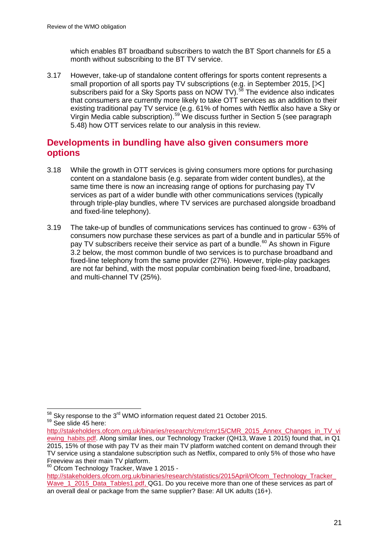which enables BT broadband subscribers to watch the BT Sport channels for £5 a month without subscribing to the BT TV service.

3.17 However, take-up of standalone content offerings for sports content represents a small proportion of all sports pay TV subscriptions (e.g. in September 2015, [ $\Join$ ] subscribers paid for a Sky Sports pass on NOW TV).<sup>[58](#page-21-0)</sup> The evidence also indicates that consumers are currently more likely to take OTT services as an addition to their existing traditional pay TV service (e.g. 61% of homes with Netflix also have a Sky or Virgin Media cable subscription).<sup>[59](#page-21-1)</sup> We discuss further in Section 5 (see paragraph 5.48) how OTT services relate to our analysis in this review.

# **Developments in bundling have also given consumers more options**

- 3.18 While the growth in OTT services is giving consumers more options for purchasing content on a standalone basis (e.g. separate from wider content bundles), at the same time there is now an increasing range of options for purchasing pay TV services as part of a wider bundle with other communications services (typically through triple-play bundles, where TV services are purchased alongside broadband and fixed-line telephony).
- 3.19 The take-up of bundles of communications services has continued to grow 63% of consumers now purchase these services as part of a bundle and in particular 55% of pay TV subscribers receive their service as part of a bundle.<sup>[60](#page-21-2)</sup> As shown in Figure 3.2 below, the most common bundle of two services is to purchase broadband and fixed-line telephony from the same provider (27%). However, triple-play packages are not far behind, with the most popular combination being fixed-line, broadband, and multi-channel TV (25%).

<span id="page-21-2"></span><sup>60</sup> Ofcom Technology Tracker, Wave 1 2015 -

[http://stakeholders.ofcom.org.uk/binaries/research/statistics/2015April/Ofcom\\_Technology\\_Tracker\\_](http://stakeholders.ofcom.org.uk/binaries/research/statistics/2015April/Ofcom_Technology_Tracker_Wave_1_2015_Data_Tables1.pdf) Wave 1 2015 Data Tables1.pdf, QG1. Do you receive more than one of these services as part of an overall deal or package from the same supplier? Base: All UK adults (16+).

<span id="page-21-0"></span> $^{58}$  Sky response to the 3<sup>rd</sup> WMO information request dated 21 October 2015.<br><sup>59</sup> See slide 45 here:  $\overline{a}$ 

<span id="page-21-1"></span>[http://stakeholders.ofcom.org.uk/binaries/research/cmr/cmr15/CMR\\_2015\\_Annex\\_Changes\\_in\\_TV\\_vi](http://stakeholders.ofcom.org.uk/binaries/research/cmr/cmr15/CMR_2015_Annex_Changes_in_TV_viewing_habits.pdf) [ewing\\_habits.pdf.](http://stakeholders.ofcom.org.uk/binaries/research/cmr/cmr15/CMR_2015_Annex_Changes_in_TV_viewing_habits.pdf) Along similar lines, our Technology Tracker (QH13, Wave 1 2015) found that, in Q1 2015, 15% of those with pay TV as their main TV platform watched content on demand through their TV service using a standalone subscription such as Netflix, compared to only 5% of those who have Freeview as their main TV platform.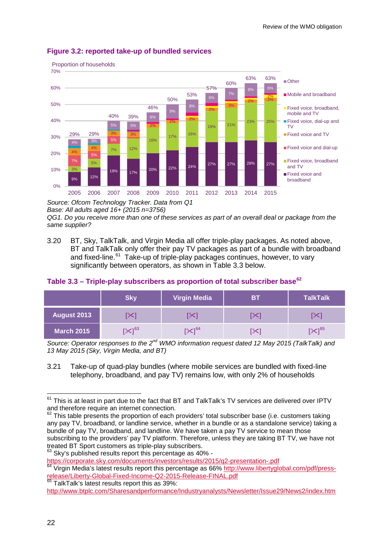

#### **Figure 3.2: reported take-up of bundled services**

*Source: Ofcom Technology Tracker. Data from Q1* 

*Base: All adults aged 16+ (2015 n=3756)*

*QG1. Do you receive more than one of these services as part of an overall deal or package from the same supplier?*

3.20 BT, Sky, TalkTalk, and Virgin Media all offer triple-play packages. As noted above, BT and TalkTalk only offer their pay TV packages as part of a bundle with broadband and fixed-line.<sup>61</sup> Take-up of triple-play packages continues, however, to vary significantly between operators, as shown in Table 3.3 below.

|             | <b>Skv</b>          | <b>Virgin Media</b> | <b>BT</b> | <b>TalkTalk</b>   |
|-------------|---------------------|---------------------|-----------|-------------------|
| August 2013 |                     |                     | ╳         |                   |
| March 2015  | $[\mathbb{X}]^{63}$ | $I \times 1^{64}$   | X.        | 1 <sup>65</sup> ج |

#### **Table 3.3 – Triple-play subscribers as proportion of total subscriber base[62](#page-22-1)**

*Source: Operator responses to the 2nd WMO information request dated 12 May 2015 (TalkTalk) and 13 May 2015 (Sky, Virgin Media, and BT)*

3.21 Take-up of quad-play bundles (where mobile services are bundled with fixed-line telephony, broadband, and pay TV) remains low, with only 2% of households

<span id="page-22-3"></span>

<span id="page-22-2"></span><https://corporate.sky.com/documents/investors/results/2015/q2-presentation-.pdf><br>
<sup>64</sup> Virgin Media's latest results report this percentage as 66% http://www.libertyglobal.com/pdf/press-<br>
release/Liberty-Global-Fixed-Income

<span id="page-22-4"></span>65 TalkTalk's latest results report this as 39%: <http://www.btplc.com/Sharesandperformance/Industryanalysts/Newsletter/Issue29/News2/index.htm>

<span id="page-22-0"></span> $61$  This is at least in part due to the fact that BT and TalkTalk's TV services are delivered over IPTV and therefore require an internet connection.  $\overline{a}$ 

<span id="page-22-1"></span> $62$  This table presents the proportion of each providers' total subscriber base (i.e. customers taking any pay TV, broadband, or landline service, whether in a bundle or as a standalone service) taking a bundle of pay TV, broadband, and landline. We have taken a pay TV service to mean those subscribing to the providers' pay TV platform. Therefore, unless they are taking BT TV, we have not treated BT Sport customers as triple-play subscribers.<br><sup>63</sup> Sky's published results report this percentage as 40% -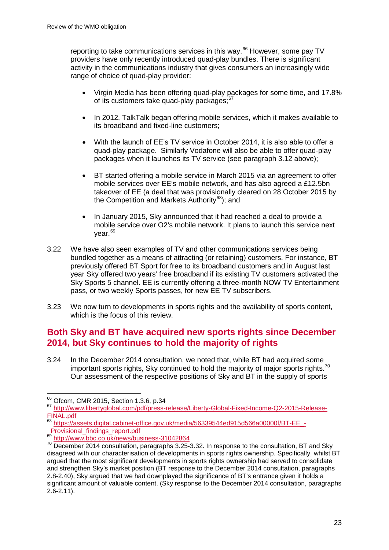reporting to take communications services in this way.<sup>[66](#page-23-0)</sup> However, some pay TV providers have only recently introduced quad-play bundles. There is significant activity in the communications industry that gives consumers an increasingly wide range of choice of quad-play provider:

- Virgin Media has been offering quad-play packages for some time, and 17.8% of its customers take quad-play packages;<sup>[67](#page-23-1)</sup>
- In 2012, TalkTalk began offering mobile services, which it makes available to its broadband and fixed-line customers;
- With the launch of EE's TV service in October 2014, it is also able to offer a quad-play package. Similarly Vodafone will also be able to offer quad-play packages when it launches its TV service (see paragraph 3.12 above);
- BT started offering a mobile service in March 2015 via an agreement to offer mobile services over EE's mobile network, and has also agreed a £12.5bn takeover of EE (a deal that was provisionally cleared on 28 October 2015 by the Competition and Markets Authority<sup>[68](#page-23-2)</sup>): and
- In January 2015, Sky announced that it had reached a deal to provide a mobile service over O2's mobile network. It plans to launch this service next year.[69](#page-23-3)
- 3.22 We have also seen examples of TV and other communications services being bundled together as a means of attracting (or retaining) customers. For instance, BT previously offered BT Sport for free to its broadband customers and in August last year Sky offered two years' free broadband if its existing TV customers activated the Sky Sports 5 channel. EE is currently offering a three-month NOW TV Entertainment pass, or two weekly Sports passes, for new EE TV subscribers.
- 3.23 We now turn to developments in sports rights and the availability of sports content, which is the focus of this review.

# **Both Sky and BT have acquired new sports rights since December 2014, but Sky continues to hold the majority of rights**

3.24 In the December 2014 consultation, we noted that, while BT had acquired some important sports rights, Sky continued to hold the majority of major sports rights.<sup>[70](#page-23-4)</sup> Our assessment of the respective positions of Sky and BT in the supply of sports

<sup>&</sup>lt;sup>66</sup> Ofcom, CMR 2015, Section 1.3.6, p.34

<span id="page-23-1"></span><span id="page-23-0"></span><sup>67</sup> http://www.libertyglobal.com/pdf/press-release/Liberty-Global-Fixed-Income-Q2-2015-Release-<br>FINAL.pdf<br>- Section 1.3.4, pdf

<span id="page-23-2"></span>[https://assets.digital.cabinet-office.gov.uk/media/56339544ed915d566a00000f/BT-EE\\_-](https://assets.digital.cabinet-office.gov.uk/media/56339544ed915d566a00000f/BT-EE_-_Provisional_findings_report.pdf) Provisional findings report.pdf

<span id="page-23-3"></span><sup>69</sup> <http://www.bbc.co.uk/news/business-31042864>

<span id="page-23-4"></span><sup>&</sup>lt;sup>70</sup> December 2014 consultation, paragraphs 3.25-3.32. In response to the consultation, BT and Sky disagreed with our characterisation of developments in sports rights ownership. Specifically, whilst BT argued that the most significant developments in sports rights ownership had served to consolidate and strengthen Sky's market position (BT response to the December 2014 consultation, paragraphs 2.8-2.40), Sky argued that we had downplayed the significance of BT's entrance given it holds a significant amount of valuable content. (Sky response to the December 2014 consultation, paragraphs 2.6-2.11).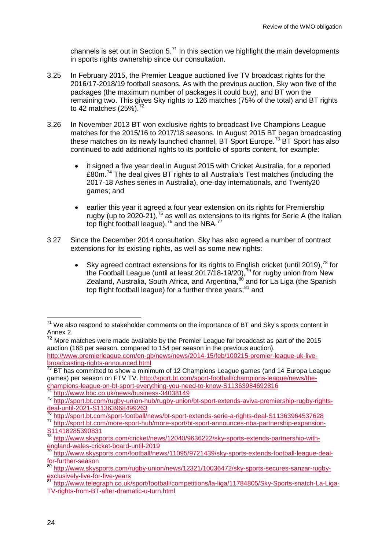channels is set out in Section  $5.^{71}$  $5.^{71}$  $5.^{71}$  In this section we highlight the main developments in sports rights ownership since our consultation.

- 3.25 In February 2015, the Premier League auctioned live TV broadcast rights for the 2016/17-2018/19 football seasons. As with the previous auction, Sky won five of the packages (the maximum number of packages it could buy), and BT won the remaining two. This gives Sky rights to 126 matches (75% of the total) and BT rights to 42 matches  $(25\%)$ .<sup>[72](#page-24-1)</sup>
- 3.26 In November 2013 BT won exclusive rights to broadcast live Champions League matches for the 2015/16 to 2017/18 seasons. In August 2015 BT began broadcasting these matches on its newly launched channel. BT Sport Europe.<sup>[73](#page-24-2)</sup> BT Sport has also continued to add additional rights to its portfolio of sports content, for example:
	- it signed a five year deal in August 2015 with Cricket Australia, for a reported £80m.[74](#page-24-3) The deal gives BT rights to all Australia's Test matches (including the 2017-18 Ashes series in Australia), one-day internationals, and Twenty20 games; and
	- earlier this year it agreed a four year extension on its rights for Premiership rugby (up to 2020-21),<sup>[75](#page-24-4)</sup> as well as extensions to its rights for Serie A (the Italian top flight football league),<sup>[76](#page-24-5)</sup> and the NBA.<sup>[77](#page-24-6)</sup>
- 3.27 Since the December 2014 consultation, Sky has also agreed a number of contract extensions for its existing rights, as well as some new rights:
	- Sky agreed contract extensions for its rights to English cricket (until 2019),<sup>[78](#page-24-7)</sup> for the Football League (until at least 2017/18-19/20),<sup>[79](#page-24-8)</sup> for rugby union from New Zealand, Australia, South Africa, and Argentina,<sup>[80](#page-24-9)</sup> and for La Liga (the Spanish top flight football league) for a further three years;<sup>[81](#page-24-10)</sup> and

<span id="page-24-0"></span> $71$  We also respond to stakeholder comments on the importance of BT and Sky's sports content in Annex 2.  $\overline{a}$ 

<span id="page-24-1"></span> $72$  More matches were made available by the Premier League for broadcast as part of the 2015 auction (168 per season, compared to 154 per season in the previous auction). [http://www.premierleague.com/en-gb/news/news/2014-15/feb/100215-premier-league-uk-live](http://www.premierleague.com/en-gb/news/news/2014-15/feb/100215-premier-league-uk-live-broadcasting-rights-announced.html)[broadcasting-rights-announced.html](http://www.premierleague.com/en-gb/news/news/2014-15/feb/100215-premier-league-uk-live-broadcasting-rights-announced.html)

<span id="page-24-2"></span> $73$  BT has committed to show a minimum of 12 Champions League games (and 14 Europa League games) per season on FTV TV. [http://sport.bt.com/sport-football/champions-league/news/the](http://sport.bt.com/sport-football/champions-league/news/the-champions-league-on-bt-sport-everything-you-need-to-know-S11363984692816)[champions-league-on-bt-sport-everything-you-need-to-know-S11363984692816](http://sport.bt.com/sport-football/champions-league/news/the-champions-league-on-bt-sport-everything-you-need-to-know-S11363984692816)

<http://www.bbc.co.uk/news/business-34038149>

<span id="page-24-4"></span><span id="page-24-3"></span><sup>75</sup> [http://sport.bt.com/rugby-union-hub/rugby-union/bt-sport-extends-aviva-premiership-rugby-rights](http://sport.bt.com/rugby-union-hub/rugby-union/bt-sport-extends-aviva-premiership-rugby-rights-deal-until-2021-S11363968499263)[deal-until-2021-S11363968499263](http://sport.bt.com/rugby-union-hub/rugby-union/bt-sport-extends-aviva-premiership-rugby-rights-deal-until-2021-S11363968499263)<br>Thttp://sport.bt.com/sport-football/news/bt-sport-extends-serie-a-rights-deal-S11363964537628

<span id="page-24-6"></span><span id="page-24-5"></span><sup>77</sup> [http://sport.bt.com/more-sport-hub/more-sport/bt-sport-announces-nba-partnership-expansion-](http://sport.bt.com/more-sport-hub/more-sport/bt-sport-announces-nba-partnership-expansion-S11418285390831)[S11418285390831](http://sport.bt.com/more-sport-hub/more-sport/bt-sport-announces-nba-partnership-expansion-S11418285390831)

<span id="page-24-7"></span><sup>&</sup>lt;sup>78</sup> [http://www.skysports.com/cricket/news/12040/9636222/sky-sports-extends-partnership-with](http://www.skysports.com/cricket/news/12040/9636222/sky-sports-extends-partnership-with-england-wales-cricket-board-until-2019)[england-wales-cricket-board-until-2019](http://www.skysports.com/cricket/news/12040/9636222/sky-sports-extends-partnership-with-england-wales-cricket-board-until-2019)

<span id="page-24-8"></span><sup>&</sup>lt;sup>79</sup> [http://www.skysports.com/football/news/11095/9721439/sky-sports-extends-football-league-deal](http://www.skysports.com/football/news/11095/9721439/sky-sports-extends-football-league-deal-for-further-season)<u>[for-further-season](http://www.skysports.com/football/news/11095/9721439/sky-sports-extends-football-league-deal-for-further-season)</u>

<span id="page-24-9"></span><sup>&</sup>lt;sup>80</sup> http://www.skysports.com/rugby-union/news/12321/10036472/sky-sports-secures-sanzar-rugby-<br>exclusively-live-for-five-vears

<span id="page-24-10"></span><sup>81</sup> [http://www.telegraph.co.uk/sport/football/competitions/la-liga/11784805/Sky-Sports-snatch-La-Liga-](http://www.telegraph.co.uk/sport/football/competitions/la-liga/11784805/Sky-Sports-snatch-La-Liga-TV-rights-from-BT-after-dramatic-u-turn.html)[TV-rights-from-BT-after-dramatic-u-turn.html](http://www.telegraph.co.uk/sport/football/competitions/la-liga/11784805/Sky-Sports-snatch-La-Liga-TV-rights-from-BT-after-dramatic-u-turn.html)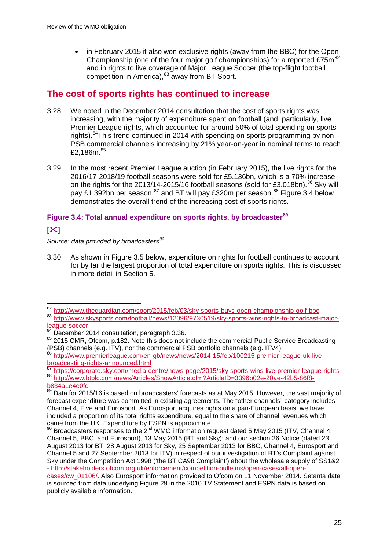• in February 2015 it also won exclusive rights (away from the BBC) for the Open Championship (one of the four major golf championships) for a reported  $£75m<sup>82</sup>$  $£75m<sup>82</sup>$  $£75m<sup>82</sup>$ and in rights to live coverage of Major League Soccer (the top-flight football competition in America), <sup>[83](#page-25-1)</sup> away from BT Sport.

## **The cost of sports rights has continued to increase**

- 3.28 We noted in the December 2014 consultation that the cost of sports rights was increasing, with the majority of expenditure spent on football (and, particularly, live Premier League rights, which accounted for around 50% of total spending on sports rights).[84T](#page-25-2)his trend continued in 2014 with spending on sports programming by non-PSB commercial channels increasing by 21% year-on-year in nominal terms to reach £2.186 $m$ .<sup>[85](#page-25-3)</sup>
- 3.29 In the most recent Premier League auction (in February 2015), the live rights for the 2016/17-2018/19 football seasons were sold for £5.136bn, which is a 70% increase on the rights for the 2013/14-2015/16 football seasons (sold for £3.018bn). $^{86}$  $^{86}$  $^{86}$  Sky will pay £1.392bn per season <sup>[87](#page-25-5)</sup> and BT will pay £320m per season.<sup>[88](#page-25-6)</sup> Figure 3.4 below demonstrates the overall trend of the increasing cost of sports rights.

#### **Figure 3.4: Total annual expenditure on sports rights, by broadcaster[89](#page-25-7)**

### **[]**

*Source: data provided by broadcasters[90](#page-25-8)*

3.30 As shown in Figure 3.5 below, expenditure on rights for football continues to account for by far the largest proportion of total expenditure on sports rights. This is discussed in more detail in Section 5.

<sup>&</sup>lt;sup>82</sup> <http://www.theguardian.com/sport/2015/feb/03/sky-sports-buys-open-championship-golf-bbc>  $\overline{a}$ 

<span id="page-25-1"></span><span id="page-25-0"></span><sup>83</sup> [http://www.skysports.com/football/news/12096/9730519/sky-sports-wins-rights-to-broadcast-major](http://www.skysports.com/football/news/12096/9730519/sky-sports-wins-rights-to-broadcast-major-league-soccer)[league-soccer](http://www.skysports.com/football/news/12096/9730519/sky-sports-wins-rights-to-broadcast-major-league-soccer)<br>
<sup>84</sup> December 2014 consultation, paragraph 3.36.

<span id="page-25-3"></span><span id="page-25-2"></span><sup>85 2015</sup> CMR, Ofcom, p.182. Note this does not include the commercial Public Service Broadcasting (PSB) channels (e.g. ITV), nor the commercial PSB portfolio channels (e.g. ITV4).

<span id="page-25-4"></span><sup>86</sup> [http://www.premierleague.com/en-gb/news/news/2014-15/feb/100215-premier-league-uk-live](http://www.premierleague.com/en-gb/news/news/2014-15/feb/100215-premier-league-uk-live-broadcasting-rights-announced.html)[broadcasting-rights-announced.html](http://www.premierleague.com/en-gb/news/news/2014-15/feb/100215-premier-league-uk-live-broadcasting-rights-announced.html)<br>
<sup>87</sup> https://corporate.sky.com/media-centre/news-page/2015/sky-sports-wins-live-premier-league-rights

<span id="page-25-6"></span><span id="page-25-5"></span><sup>88</sup> [http://www.btplc.com/news/Articles/ShowArticle.cfm?ArticleID=3396b02e-20ae-42b5-86f8](http://www.btplc.com/news/Articles/ShowArticle.cfm?ArticleID=3396b02e-20ae-42b5-86f8-b834a1e4e0fd) [b834a1e4e0fd](http://www.btplc.com/news/Articles/ShowArticle.cfm?ArticleID=3396b02e-20ae-42b5-86f8-b834a1e4e0fd)

<span id="page-25-7"></span><sup>&</sup>lt;u>0004a re4eord</u><br><sup>89</sup> Data for 2015/16 is based on broadcasters' forecasts as at May 2015. However, the vast majority of forecast expenditure was committed in existing agreements. The "other channels" category includes Channel 4, Five and Eurosport. As Eurosport acquires rights on a pan-European basis, we have included a proportion of its total rights expenditure, equal to the share of channel revenues which came from the UK. Expenditure by ESPN is approximate.<br><sup>90</sup> Broadcasters responses to the 2<sup>nd</sup> WMO information request dated 5 May 2015 (ITV, Channel 4,

<span id="page-25-8"></span>Channel 5, BBC, and Eurosport), 13 May 2015 (BT and Sky); and our section 26 Notice (dated 23 August 2013 for BT, 28 August 2013 for Sky, 25 September 2013 for BBC, Channel 4, Eurosport and Channel 5 and 27 September 2013 for ITV) in respect of our investigation of BT's Complaint against Sky under the Competition Act 1998 ('the BT CA98 Complaint') about the wholesale supply of SS1&2 - [http://stakeholders.ofcom.org.uk/enforcement/competition-bulletins/open-cases/all-open-](http://stakeholders.ofcom.org.uk/enforcement/competition-bulletins/open-cases/all-open-cases/cw_01106/)

[cases/cw\\_01106/.](http://stakeholders.ofcom.org.uk/enforcement/competition-bulletins/open-cases/all-open-cases/cw_01106/) Also Eurosport information provided to Ofcom on 11 November 2014. Setanta data is sourced from data underlying Figure 29 in the 2010 TV Statement and ESPN data is based on publicly available information.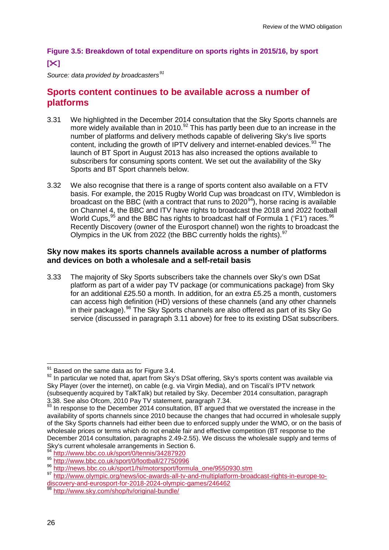## **Figure 3.5: Breakdown of total expenditure on sports rights in 2015/16, by sport []**

*Source: data provided by broadcasters[91](#page-26-0)*

# **Sports content continues to be available across a number of platforms**

- 3.31 We highlighted in the December 2014 consultation that the Sky Sports channels are more widely available than in 2010.<sup>[92](#page-26-1)</sup> This has partly been due to an increase in the number of platforms and delivery methods capable of delivering Sky's live sports content, including the growth of IPTV delivery and internet-enabled devices.<sup>[93](#page-26-2)</sup> The launch of BT Sport in August 2013 has also increased the options available to subscribers for consuming sports content. We set out the availability of the Sky Sports and BT Sport channels below.
- 3.32 We also recognise that there is a range of sports content also available on a FTV basis. For example, the 2015 Rugby World Cup was broadcast on ITV, Wimbledon is broadcast on the BBC (with a contract that runs to  $2020<sup>94</sup>$  $2020<sup>94</sup>$  $2020<sup>94</sup>$ ), horse racing is available on Channel 4, the BBC and ITV have rights to broadcast the 2018 and 2022 football World Cups,<sup>[95](#page-26-4)</sup> and the BBC has rights to broadcast half of Formula 1 ('F1') races.<sup>[96](#page-26-5)</sup> Recently Discovery (owner of the Eurosport channel) won the rights to broadcast the Olympics in the UK from 2022 (the BBC currently holds the rights).  $97$

#### **Sky now makes its sports channels available across a number of platforms and devices on both a wholesale and a self-retail basis**

3.33 The majority of Sky Sports subscribers take the channels over Sky's own DSat platform as part of a wider pay TV package (or communications package) from Sky for an additional £25.50 a month. In addition, for an extra £5.25 a month, customers can access high definition (HD) versions of these channels (and any other channels in their package).[98](#page-26-7) The Sky Sports channels are also offered as part of its Sky Go service (discussed in paragraph 3.11 above) for free to its existing DSat subscribers.

<sup>&</sup>lt;sup>91</sup> Based on the same data as for Figure 3.4.

<span id="page-26-1"></span><span id="page-26-0"></span><sup>91</sup> Based on the same data as for Figure 3.4. <sup>92</sup> In particular we noted that, apart from Sky's DSat offering, Sky's sports content was available via Sky Player (over the internet), on cable (e.g. via Virgin Media), and on Tiscali's IPTV network (subsequently acquired by TalkTalk) but retailed by Sky. December 2014 consultation, paragraph 3.38. See also Ofcom, 2010 Pay TV statement, paragraph 7.34.

<span id="page-26-2"></span> $93$  In response to the December 2014 consultation, BT argued that we overstated the increase in the availability of sports channels since 2010 because the changes that had occurred in wholesale supply of the Sky Sports channels had either been due to enforced supply under the WMO, or on the basis of wholesale prices or terms which do not enable fair and effective competition (BT response to the December 2014 consultation, paragraphs 2.49-2.55). We discuss the wholesale supply and terms of Sky's current wholesale arrangements in Section 6.<br><sup>94</sup> http://www.bbc.co.uk/sport/0/tennis/34287920

<span id="page-26-6"></span><span id="page-26-5"></span>

<span id="page-26-4"></span><span id="page-26-3"></span><sup>%&</sup>lt;br>% <http://www.bbc.co.uk/sport/0/football/27750996><br>% [http://news.bbc.co.uk/sport1/hi/motorsport/formula\\_one/9550930.stm](http://news.bbc.co.uk/sport1/hi/motorsport/formula_one/9550930.stm)<br>% [http://www.olympic.org/news/ioc-awards-all-tv-and-multiplatform-broadcast-rights-in-europe-to](http://www.olympic.org/news/ioc-awards-all-tv-and-multiplatform-broadcast-rights-in-europe-to-discovery-and-eurosport-for-2018-2024-olympic-games/246462)[discovery-and-eurosport-for-2018-2024-olympic-games/246462](http://www.olympic.org/news/ioc-awards-all-tv-and-multiplatform-broadcast-rights-in-europe-to-discovery-and-eurosport-for-2018-2024-olympic-games/246462) <sup>98</sup> <http://www.sky.com/shop/tv/original-bundle/>

<span id="page-26-7"></span>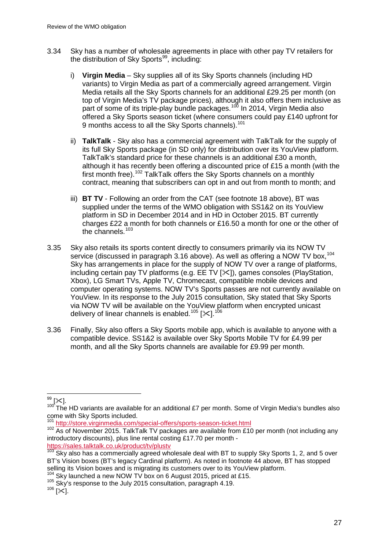- 3.34 Sky has a number of wholesale agreements in place with other pay TV retailers for the distribution of Sky Sports $99$ , including:
	- i) **Virgin Media** Sky supplies all of its Sky Sports channels (including HD variants) to Virgin Media as part of a commercially agreed arrangement. Virgin Media retails all the Sky Sports channels for an additional £29.25 per month (on top of Virgin Media's TV package prices), although it also offers them inclusive as part of some of its triple-play bundle packages.<sup>[100](#page-27-1)</sup> In 2014, Virgin Media also offered a Sky Sports season ticket (where consumers could pay £140 upfront for 9 months access to all the Sky Sports channels).<sup>[101](#page-27-2)</sup>
	- ii) **TalkTalk** Sky also has a commercial agreement with TalkTalk for the supply of its full Sky Sports package (in SD only) for distribution over its YouView platform. TalkTalk's standard price for these channels is an additional £30 a month, although it has recently been offering a discounted price of £15 a month (with the first month free).<sup>[102](#page-27-3)</sup> TalkTalk offers the Sky Sports channels on a monthly contract, meaning that subscribers can opt in and out from month to month; and
	- iii) **BT TV** Following an order from the CAT (see footnote 18 above), BT was supplied under the terms of the WMO obligation with SS1&2 on its YouView platform in SD in December 2014 and in HD in October 2015. BT currently charges £22 a month for both channels or £16.50 a month for one or the other of the channels.<sup>[103](#page-27-4)</sup>
- 3.35 Sky also retails its sports content directly to consumers primarily via its NOW TV service (discussed in paragraph 3.16 above). As well as offering a NOW TV box.<sup>[104](#page-27-5)</sup> Sky has arrangements in place for the supply of NOW TV over a range of platforms, including certain pay TV platforms (e.g.  $EE$  TV  $[\times]$ ), games consoles (PlayStation, Xbox), LG Smart TVs, Apple TV, Chromecast, compatible mobile devices and computer operating systems. NOW TV's Sports passes are not currently available on YouView. In its response to the July 2015 consultation, Sky stated that Sky Sports via NOW TV will be available on the YouView platform when encrypted unicast delivery of linear channels is enabled.<sup>[105](#page-27-6)</sup> [ $\angle 1^{106}$  $\angle 1^{106}$  $\angle 1^{106}$
- 3.36 Finally, Sky also offers a Sky Sports mobile app, which is available to anyone with a compatible device. SS1&2 is available over Sky Sports Mobile TV for £4.99 per month, and all the Sky Sports channels are available for £9.99 per month.

 $\overline{\phantom{a}}$ 

<span id="page-27-1"></span><span id="page-27-0"></span><sup>&</sup>lt;sup>99</sup> [╳].<br><sup>100</sup> The HD variants are available for an additional £7 per month. Some of Virgin Media's bundles also come with Sky Sports included. 101 <http://store.virginmedia.com/special-offers/sports-season-ticket.html><br>101 http://store.virginmedia.com/special-offers/sports-season-ticket.html

<span id="page-27-3"></span><span id="page-27-2"></span><sup>102</sup> As of November 2015. TalkTalk TV packages are available from £10 per month (not including any introductory discounts), plus line rental costing £17.70 per month -

<https://sales.talktalk.co.uk/product/tv/plustv> <sup>103</sup> Sky also has a commercially agreed wholesale deal with BT to supply Sky Sports 1, 2, and 5 over

<span id="page-27-4"></span>BT's Vision boxes (BT's legacy Cardinal platform). As noted in footnote 44 above, BT has stopped selling its Vision boxes and is migrating its customers over to its YouView platform.

<span id="page-27-6"></span><span id="page-27-5"></span><sup>&</sup>lt;sup>104</sup> Sky launched a new NOW TV box on 6 August 2015, priced at £15.<br><sup>105</sup> Sky's response to the July 2015 consultation, paragraph 4.19.<br><sup>106</sup> I<sup></sup>×1.

<span id="page-27-7"></span>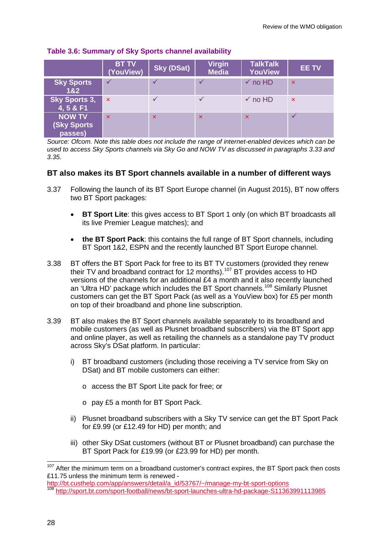|                                                 | <b>BT TV</b><br>(YouView) | <b>Sky (DSat)</b>         | <b>Virgin</b><br><b>Media</b> | <b>TalkTalk</b><br><b>YouView</b> | <b>EE TV</b>              |
|-------------------------------------------------|---------------------------|---------------------------|-------------------------------|-----------------------------------|---------------------------|
| <b>Sky Sports</b><br>18.2                       | $\checkmark$              |                           | ✓                             | $\checkmark$ no HD                | $\boldsymbol{\mathsf{x}}$ |
| Sky Sports 3,<br>4, 5 & F1                      | $\boldsymbol{\mathsf{x}}$ |                           |                               | $\checkmark$ no HD                | $\mathbf{x}$              |
| <b>NOW TV</b><br><b>(Sky Sports)</b><br>passes) | $\boldsymbol{\mathsf{x}}$ | $\boldsymbol{\mathsf{x}}$ | $\boldsymbol{\mathsf{x}}$     | $\boldsymbol{\mathsf{x}}$         |                           |

#### **Table 3.6: Summary of Sky Sports channel availability**

*Source: Ofcom. Note this table does not include the range of internet-enabled devices which can be used to access Sky Sports channels via Sky Go and NOW TV as discussed in paragraphs 3.33 and 3.35.*

#### **BT also makes its BT Sport channels available in a number of different ways**

- 3.37 Following the launch of its BT Sport Europe channel (in August 2015), BT now offers two BT Sport packages:
	- **BT Sport Lite**: this gives access to BT Sport 1 only (on which BT broadcasts all its live Premier League matches); and
	- **the BT Sport Pack**: this contains the full range of BT Sport channels, including BT Sport 1&2, ESPN and the recently launched BT Sport Europe channel.
- 3.38 BT offers the BT Sport Pack for free to its BT TV customers (provided they renew their TV and broadband contract for 12 months).<sup>[107](#page-28-0)</sup> BT provides access to HD versions of the channels for an additional £4 a month and it also recently launched an 'Ultra HD' package which includes the BT Sport channels.<sup>[108](#page-28-1)</sup> Similarly Plusnet customers can get the BT Sport Pack (as well as a YouView box) for £5 per month on top of their broadband and phone line subscription.
- 3.39 BT also makes the BT Sport channels available separately to its broadband and mobile customers (as well as Plusnet broadband subscribers) via the BT Sport app and online player, as well as retailing the channels as a standalone pay TV product across Sky's DSat platform. In particular:
	- i) BT broadband customers (including those receiving a TV service from Sky on DSat) and BT mobile customers can either:
		- o access the BT Sport Lite pack for free; or
		- o pay £5 a month for BT Sport Pack.
	- ii) Plusnet broadband subscribers with a Sky TV service can get the BT Sport Pack for £9.99 (or £12.49 for HD) per month; and
	- iii) other Sky DSat customers (without BT or Plusnet broadband) can purchase the BT Sport Pack for £19.99 (or £23.99 for HD) per month.

<span id="page-28-0"></span><sup>&</sup>lt;sup>107</sup> After the minimum term on a broadband customer's contract expires, the BT Sport pack then costs £11.75 unless the minimum term is renewed -  $\overline{a}$ 

<span id="page-28-1"></span>[http://bt.custhelp.com/app/answers/detail/a\\_id/53767/~/manage-my-bt-sport-options](http://bt.custhelp.com/app/answers/detail/a_id/53767/%7E/manage-my-bt-sport-options)<br><sup>108</sup> <http://sport.bt.com/sport-football/news/bt-sport-launches-ultra-hd-package-S11363991113985>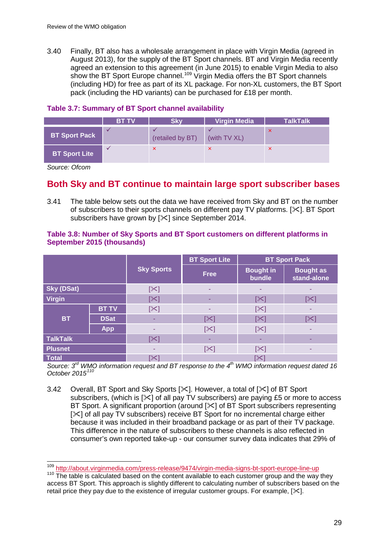3.40 Finally, BT also has a wholesale arrangement in place with Virgin Media (agreed in August 2013), for the supply of the BT Sport channels. BT and Virgin Media recently agreed an extension to this agreement (in June 2015) to enable Virgin Media to also show the BT Sport Europe channel.<sup>[109](#page-29-0)</sup> Virgin Media offers the BT Sport channels (including HD) for free as part of its XL package. For non-XL customers, the BT Sport pack (including the HD variants) can be purchased for £18 per month.

#### **Table 3.7: Summary of BT Sport channel availability**

|                      | <b>BT TV</b> | <b>Skv</b>                | <b>Virgin Media</b> | <b>TalkTalk</b>           |
|----------------------|--------------|---------------------------|---------------------|---------------------------|
| <b>BT Sport Pack</b> |              | (retailed by BT)          | (with TV XL)        | $\boldsymbol{\mathsf{x}}$ |
| <b>BT Sport Lite</b> |              | $\boldsymbol{\mathsf{x}}$ |                     |                           |

*Source: Ofcom*

# **Both Sky and BT continue to maintain large sport subscriber bases**

3.41 The table below sets out the data we have received from Sky and BT on the number of subscribers to their sports channels on different pay TV platforms.  $[\times]$ . BT Sport subscribers have grown by  $[\times]$  since September 2014.

|                   |              | <b>Sky Sports</b> | <b>BT Sport Lite</b>  | <b>BT Sport Pack</b>       |                                 |  |
|-------------------|--------------|-------------------|-----------------------|----------------------------|---------------------------------|--|
|                   |              |                   | <b>Free</b>           | <b>Bought in</b><br>bundle | <b>Bought as</b><br>stand-alone |  |
| <b>Sky (DSat)</b> |              | $[\times]$        | ٠                     | ۰                          |                                 |  |
| <b>Virgin</b>     |              | $[\times]$        | ۰                     | $[\times]$                 | $[\times]$                      |  |
|                   | <b>BT TV</b> | $[\times]$        |                       | $[\times]$                 |                                 |  |
| <b>BT</b>         | <b>DSat</b>  |                   | $\left[\infty\right]$ | $\left[\infty\right]$      | $\mathbb{K}$                    |  |
|                   | <b>App</b>   | -                 | $[\times]$            | $[\times]$                 |                                 |  |
| <b>TalkTalk</b>   |              | [ $\bowtie$ ]     | ۰                     |                            |                                 |  |
| <b>Plusnet</b>    |              |                   | $[\times]$            | $[\times]$                 |                                 |  |
| <b>Total</b>      |              | $\mathbb{K}$      | [╳]                   |                            |                                 |  |

#### **Table 3.8: Number of Sky Sports and BT Sport customers on different platforms in September 2015 (thousands)**

*Source: 3rd WMO information request and BT response to the 4th WMO information request dated 16 October 2015[110](#page-29-1)*

3.42 Overall, BT Sport and Sky Sports [ $\mathbb{X}$ ]. However, a total of [ $\mathbb{X}$ ] of BT Sport subscribers, (which is  $[\times]$  of all pay TV subscribers) are paying £5 or more to access BT Sport. A significant proportion (around [ $\angle$ ] of BT Sport subscribers representing  $[\times]$  of all pay TV subscribers) receive BT Sport for no incremental charge either because it was included in their broadband package or as part of their TV package. This difference in the nature of subscribers to these channels is also reflected in consumer's own reported take-up - our consumer survey data indicates that 29% of

<sup>&</sup>lt;sup>109</sup> <http://about.virginmedia.com/press-release/9474/virgin-media-signs-bt-sport-europe-line-up><br><sup>110</sup> The table is calculated based on the content available to each customer group and the way they  $\overline{a}$ 

<span id="page-29-1"></span><span id="page-29-0"></span>access BT Sport. This approach is slightly different to calculating number of subscribers based on the retail price they pay due to the existence of irregular customer groups. For example,  $[\times]$ .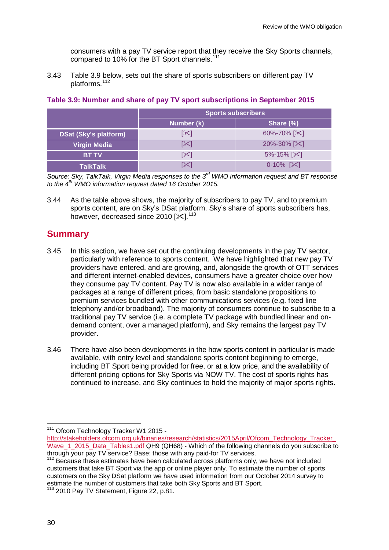consumers with a pay TV service report that they receive the Sky Sports channels, compared to 10% for the BT Sport channels.<sup>[111](#page-30-0)</sup>

3.43 Table 3.9 below, sets out the share of sports subscribers on different pay TV platforms.[112](#page-30-1)

|                              | <b>Sports subscribers</b> |                            |  |  |
|------------------------------|---------------------------|----------------------------|--|--|
|                              | Number (k)                | Share $(\%)$               |  |  |
| <b>DSat (Sky's platform)</b> | [╳]                       | 60%-70% [ $\&$ ]           |  |  |
| <b>Virgin Media</b>          | [≻]                       | $20\% - 30\%$ [ $\times$ ] |  |  |
| <b>BT TV</b>                 | [≻]                       | $5\% - 15\%$ [ $\times$ ]  |  |  |
| <b>TalkTalk</b>              | [╳                        | $0-10\%$ [ $\times$ ]      |  |  |

#### **Table 3.9: Number and share of pay TV sport subscriptions in September 2015**

*Source: Sky, TalkTalk, Virgin Media responses to the 3rd WMO information request and BT response to the 4th WMO information request dated 16 October 2015.*

3.44 As the table above shows, the majority of subscribers to pay TV, and to premium sports content, are on Sky's DSat platform. Sky's share of sports subscribers has, however, decreased since 2010  $[31]$ .<sup>[113](#page-30-2)</sup>

### **Summary**

- 3.45 In this section, we have set out the continuing developments in the pay TV sector, particularly with reference to sports content. We have highlighted that new pay TV providers have entered, and are growing, and, alongside the growth of OTT services and different internet-enabled devices, consumers have a greater choice over how they consume pay TV content. Pay TV is now also available in a wider range of packages at a range of different prices, from basic standalone propositions to premium services bundled with other communications services (e.g. fixed line telephony and/or broadband). The majority of consumers continue to subscribe to a traditional pay TV service (i.e. a complete TV package with bundled linear and ondemand content, over a managed platform), and Sky remains the largest pay TV provider.
- 3.46 There have also been developments in the how sports content in particular is made available, with entry level and standalone sports content beginning to emerge, including BT Sport being provided for free, or at a low price, and the availability of different pricing options for Sky Sports via NOW TV. The cost of sports rights has continued to increase, and Sky continues to hold the majority of major sports rights.

<sup>&</sup>lt;sup>111</sup> Ofcom Technology Tracker W1 2015 - $\overline{a}$ 

<span id="page-30-0"></span>[http://stakeholders.ofcom.org.uk/binaries/research/statistics/2015April/Ofcom\\_Technology\\_Tracker\\_](http://stakeholders.ofcom.org.uk/binaries/research/statistics/2015April/Ofcom_Technology_Tracker_Wave_1_2015_Data_Tables1.pdf) Wave 1 2015 Data Tables1.pdf QH9 (QH68) - Which of the following channels do you subscribe to

<span id="page-30-1"></span>through your pay TV service? Base: those with any paid-for TV services. <sup>112</sup> Because these estimates have been calculated across platforms only, we have not included customers that take BT Sport via the app or online player only. To estimate the number of sports customers on the Sky DSat platform we have used information from our October 2014 survey to estimate the number of customers that take both Sky Sports and BT Sport.<br><sup>113</sup> 2010 Pay TV Statement, Figure 22, p.81.

<span id="page-30-2"></span>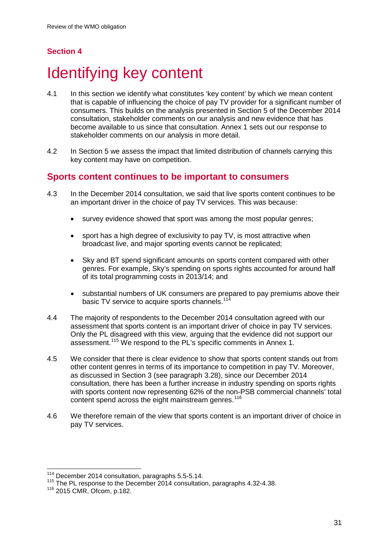# **Section 4**

# <span id="page-31-0"></span>Identifying key content

- 4.1 In this section we identify what constitutes 'key content' by which we mean content that is capable of influencing the choice of pay TV provider for a significant number of consumers. This builds on the analysis presented in Section 5 of the December 2014 consultation, stakeholder comments on our analysis and new evidence that has become available to us since that consultation. Annex 1 sets out our response to stakeholder comments on our analysis in more detail.
- 4.2 In Section 5 we assess the impact that limited distribution of channels carrying this key content may have on competition.

## **Sports content continues to be important to consumers**

- 4.3 In the December 2014 consultation, we said that live sports content continues to be an important driver in the choice of pay TV services. This was because:
	- survey evidence showed that sport was among the most popular genres;
	- sport has a high degree of exclusivity to pay TV, is most attractive when broadcast live, and major sporting events cannot be replicated;
	- Sky and BT spend significant amounts on sports content compared with other genres. For example, Sky's spending on sports rights accounted for around half of its total programming costs in 2013/14; and
	- substantial numbers of UK consumers are prepared to pay premiums above their basic TV service to acquire sports channels.<sup>[114](#page-31-1)</sup>
- 4.4 The majority of respondents to the December 2014 consultation agreed with our assessment that sports content is an important driver of choice in pay TV services. Only the PL disagreed with this view, arguing that the evidence did not support our assessment.[115](#page-31-2) We respond to the PL's specific comments in Annex 1.
- 4.5 We consider that there is clear evidence to show that sports content stands out from other content genres in terms of its importance to competition in pay TV. Moreover, as discussed in Section 3 (see paragraph 3.28), since our December 2014 consultation, there has been a further increase in industry spending on sports rights with sports content now representing 62% of the non-PSB commercial channels' total content spend across the eight mainstream genres.<sup>[116](#page-31-3)</sup>
- 4.6 We therefore remain of the view that sports content is an important driver of choice in pay TV services.

 $\frac{114}{112}$  December 2014 consultation, paragraphs 5.5-5.14.  $\overline{a}$ 

<span id="page-31-1"></span><sup>&</sup>lt;sup>115</sup> The PL response to the December 2014 consultation, paragraphs 4.32-4.38.

<span id="page-31-3"></span><span id="page-31-2"></span><sup>116</sup> 2015 CMR, Ofcom, p.182.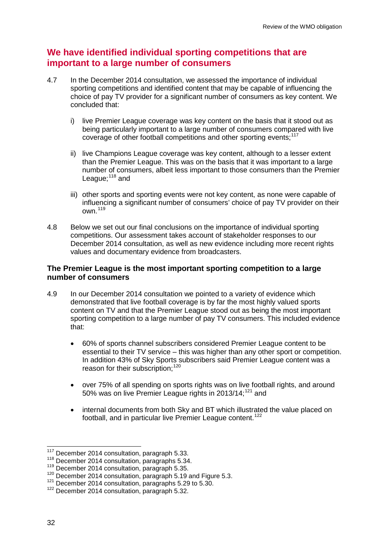## **We have identified individual sporting competitions that are important to a large number of consumers**

- 4.7 In the December 2014 consultation, we assessed the importance of individual sporting competitions and identified content that may be capable of influencing the choice of pay TV provider for a significant number of consumers as key content. We concluded that:
	- i) live Premier League coverage was key content on the basis that it stood out as being particularly important to a large number of consumers compared with live coverage of other football competitions and other sporting events;<sup>[117](#page-32-0)</sup>
	- ii) live Champions League coverage was key content, although to a lesser extent than the Premier League. This was on the basis that it was important to a large number of consumers, albeit less important to those consumers than the Premier League;<sup>[118](#page-32-1)</sup> and
	- iii) other sports and sporting events were not key content, as none were capable of influencing a significant number of consumers' choice of pay TV provider on their own.[119](#page-32-2)
- 4.8 Below we set out our final conclusions on the importance of individual sporting competitions. Our assessment takes account of stakeholder responses to our December 2014 consultation, as well as new evidence including more recent rights values and documentary evidence from broadcasters.

#### **The Premier League is the most important sporting competition to a large number of consumers**

- 4.9 In our December 2014 consultation we pointed to a variety of evidence which demonstrated that live football coverage is by far the most highly valued sports content on TV and that the Premier League stood out as being the most important sporting competition to a large number of pay TV consumers. This included evidence that:
	- 60% of sports channel subscribers considered Premier League content to be essential to their TV service – this was higher than any other sport or competition. In addition 43% of Sky Sports subscribers said Premier League content was a reason for their subscription;<sup>[120](#page-32-3)</sup>
	- over 75% of all spending on sports rights was on live football rights, and around 50% was on live Premier League rights in 2013/14;<sup>[121](#page-32-4)</sup> and
	- internal documents from both Sky and BT which illustrated the value placed on football, and in particular live Premier League content.<sup>[122](#page-32-5)</sup>

 $117$  December 2014 consultation, paragraph 5.33.  $\overline{a}$ 

<span id="page-32-1"></span><span id="page-32-0"></span><sup>118</sup> December 2014 consultation, paragraphs 5.34. <sup>119</sup> December 2014 consultation, paragraph 5.35.

<span id="page-32-3"></span><span id="page-32-2"></span><sup>&</sup>lt;sup>120</sup> December 2014 consultation, paragraph 5.19 and Figure 5.3.<br><sup>121</sup> December 2014 consultation, paragraphs 5.29 to 5.30.<br><sup>122</sup> December 2014 consultation, paragraph 5.32.

<span id="page-32-5"></span><span id="page-32-4"></span>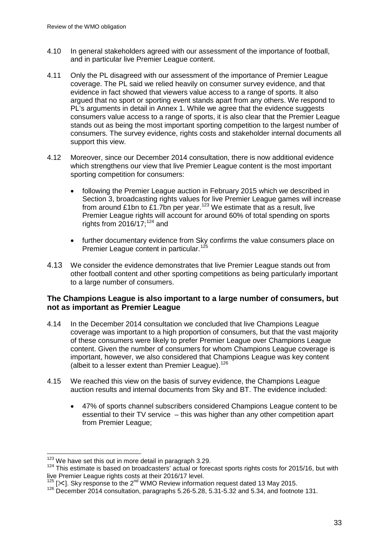- 4.10 In general stakeholders agreed with our assessment of the importance of football, and in particular live Premier League content.
- 4.11 Only the PL disagreed with our assessment of the importance of Premier League coverage. The PL said we relied heavily on consumer survey evidence, and that evidence in fact showed that viewers value access to a range of sports. It also argued that no sport or sporting event stands apart from any others. We respond to PL's arguments in detail in Annex 1. While we agree that the evidence suggests consumers value access to a range of sports, it is also clear that the Premier League stands out as being the most important sporting competition to the largest number of consumers. The survey evidence, rights costs and stakeholder internal documents all support this view.
- 4.12 Moreover, since our December 2014 consultation, there is now additional evidence which strengthens our view that live Premier League content is the most important sporting competition for consumers:
	- following the Premier League auction in February 2015 which we described in Section 3, broadcasting rights values for live Premier League games will increase from around £1bn to £1.7bn per year.[123](#page-33-0) We estimate that as a result, live Premier League rights will account for around 60% of total spending on sports rights from  $2016/17$ ;<sup>[124](#page-33-1)</sup> and
	- further documentary evidence from Sky confirms the value consumers place on Premier League content in particular.<sup>[125](#page-33-2)</sup>
- 4.13 We consider the evidence demonstrates that live Premier League stands out from other football content and other sporting competitions as being particularly important to a large number of consumers.

#### **The Champions League is also important to a large number of consumers, but not as important as Premier League**

- 4.14 In the December 2014 consultation we concluded that live Champions League coverage was important to a high proportion of consumers, but that the vast majority of these consumers were likely to prefer Premier League over Champions League content. Given the number of consumers for whom Champions League coverage is important, however, we also considered that Champions League was key content (albeit to a lesser extent than Premier League).<sup>[126](#page-33-3)</sup>
- 4.15 We reached this view on the basis of survey evidence, the Champions League auction results and internal documents from Sky and BT. The evidence included:
	- 47% of sports channel subscribers considered Champions League content to be essential to their TV service – this was higher than any other competition apart from Premier League;

<sup>&</sup>lt;sup>123</sup> We have set this out in more detail in paragraph 3.29.

<span id="page-33-1"></span><span id="page-33-0"></span><sup>&</sup>lt;sup>124</sup> This estimate is based on broadcasters' actual or forecast sports rights costs for 2015/16, but with live Premier League rights costs at their 2016/17 level.

<span id="page-33-3"></span><span id="page-33-2"></span><sup>125 [</sup> $\times$ ]. Sky response to the 2<sup>nd</sup> WMO Review information request dated 13 May 2015.<br><sup>126</sup> December 2014 consultation, paragraphs 5.26-5.28, 5.31-5.32 and 5.34, and footnote 131.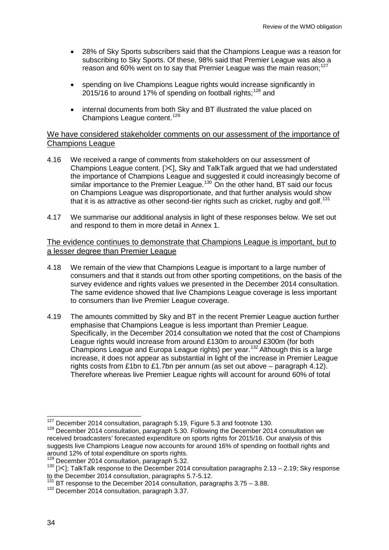- 28% of Sky Sports subscribers said that the Champions League was a reason for subscribing to Sky Sports. Of these, 98% said that Premier League was also a reason and 60% went on to say that Premier League was the main reason;<sup>[127](#page-34-0)</sup>
- spending on live Champions League rights would increase significantly in 2015/16 to around 17% of spending on football rights;<sup>[128](#page-34-1)</sup> and
- internal documents from both Sky and BT illustrated the value placed on Champions League content.<sup>[129](#page-34-2)</sup>

#### We have considered stakeholder comments on our assessment of the importance of Champions League

- 4.16 We received a range of comments from stakeholders on our assessment of Champions League content.  $[\times]$ , Sky and TalkTalk argued that we had understated the importance of Champions League and suggested it could increasingly become of similar importance to the Premier League.<sup>[130](#page-34-3)</sup> On the other hand, BT said our focus on Champions League was disproportionate, and that further analysis would show that it is as attractive as other second-tier rights such as cricket, rugby and golf.<sup>[131](#page-34-4)</sup>
- 4.17 We summarise our additional analysis in light of these responses below. We set out and respond to them in more detail in Annex 1.

#### The evidence continues to demonstrate that Champions League is important, but to a lesser degree than Premier League

- 4.18 We remain of the view that Champions League is important to a large number of consumers and that it stands out from other sporting competitions, on the basis of the survey evidence and rights values we presented in the December 2014 consultation. The same evidence showed that live Champions League coverage is less important to consumers than live Premier League coverage.
- 4.19 The amounts committed by Sky and BT in the recent Premier League auction further emphasise that Champions League is less important than Premier League. Specifically, in the December 2014 consultation we noted that the cost of Champions League rights would increase from around £130m to around £300m (for both Champions League and Europa League rights) per year.[132](#page-34-5) Although this is a large increase, it does not appear as substantial in light of the increase in Premier League rights costs from £1bn to £1.7bn per annum (as set out above – paragraph 4.12). Therefore whereas live Premier League rights will account for around 60% of total

<sup>&</sup>lt;sup>127</sup> December 2014 consultation, paragraph 5.19, Figure 5.3 and footnote 130.

<span id="page-34-1"></span><span id="page-34-0"></span> $128$  December 2014 consultation, paragraph 5.30. Following the December 2014 consultation we received broadcasters' forecasted expenditure on sports rights for 2015/16. Our analysis of this suggests live Champions League now accounts for around 16% of spending on football rights and around 12% of total expenditure on sports rights.

<span id="page-34-3"></span><span id="page-34-2"></span><sup>&</sup>lt;sup>129</sup> December 2014 consultation, paragraph 5.32.<br><sup>130</sup> [ $\times$ ]; TalkTalk response to the December 2014 consultation paragraphs 2.13 – 2.19; Sky response to the December 2014 consultation, paragraphs 5.7-5.12.

<span id="page-34-5"></span><span id="page-34-4"></span> $^{131}$  BT response to the December 2014 consultation, paragraphs 3.75 – 3.88.  $^{132}$  December 2014 consultation, paragraph 3.37.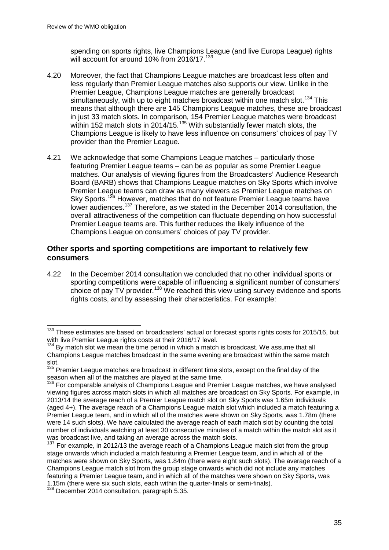spending on sports rights, live Champions League (and live Europa League) rights will account for around 10% from 2016/17.<sup>[133](#page-35-0)</sup>

- 4.20 Moreover, the fact that Champions League matches are broadcast less often and less regularly than Premier League matches also supports our view. Unlike in the Premier League, Champions League matches are generally broadcast simultaneously, with up to eight matches broadcast within one match slot.<sup>[134](#page-35-1)</sup> This means that although there are 145 Champions League matches, these are broadcast in just 33 match slots. In comparison, 154 Premier League matches were broadcast within 152 match slots in 2014/15.<sup>[135](#page-35-2)</sup> With substantially fewer match slots, the Champions League is likely to have less influence on consumers' choices of pay TV provider than the Premier League.
- 4.21 We acknowledge that some Champions League matches particularly those featuring Premier League teams – can be as popular as some Premier League matches. Our analysis of viewing figures from the Broadcasters' Audience Research Board (BARB) shows that Champions League matches on Sky Sports which involve Premier League teams can draw as many viewers as Premier League matches on Sky Sports.<sup>[136](#page-35-3)</sup> However, matches that do not feature Premier League teams have lower audiences.<sup>[137](#page-35-4)</sup> Therefore, as we stated in the December 2014 consultation, the overall attractiveness of the competition can fluctuate depending on how successful Premier League teams are. This further reduces the likely influence of the Champions League on consumers' choices of pay TV provider.

#### **Other sports and sporting competitions are important to relatively few consumers**

4.22 In the December 2014 consultation we concluded that no other individual sports or sporting competitions were capable of influencing a significant number of consumers' choice of pay TV provider.[138](#page-35-5) We reached this view using survey evidence and sports rights costs, and by assessing their characteristics. For example:

<span id="page-35-0"></span><sup>&</sup>lt;sup>133</sup> These estimates are based on broadcasters' actual or forecast sports rights costs for 2015/16, but with live Premier League rights costs at their 2016/17 level.  $\overline{a}$ 

<span id="page-35-1"></span> $134$  By match slot we mean the time period in which a match is broadcast. We assume that all Champions League matches broadcast in the same evening are broadcast within the same match slot.

<span id="page-35-2"></span><sup>&</sup>lt;sup>135</sup> Premier League matches are broadcast in different time slots, except on the final day of the season when all of the matches are played at the same time.<br><sup>136</sup> For comparable analysis of Champions League and Premier League matches, we have analysed

<span id="page-35-3"></span>viewing figures across match slots in which all matches are broadcast on Sky Sports. For example, in 2013/14 the average reach of a Premier League match slot on Sky Sports was 1.65m individuals (aged 4+). The average reach of a Champions League match slot which included a match featuring a Premier League team, and in which all of the matches were shown on Sky Sports, was 1.78m (there were 14 such slots). We have calculated the average reach of each match slot by counting the total number of individuals watching at least 30 consecutive minutes of a match within the match slot as it was broadcast live, and taking an average across the match slots.

<span id="page-35-4"></span> $137$  For example, in 2012/13 the average reach of a Champions League match slot from the group stage onwards which included a match featuring a Premier League team, and in which all of the matches were shown on Sky Sports, was 1.84m (there were eight such slots). The average reach of a Champions League match slot from the group stage onwards which did not include any matches featuring a Premier League team, and in which all of the matches were shown on Sky Sports, was 1.15m (there were six such slots, each within the quarter-finals or semi-finals). <sup>138</sup> December 2014 consultation, paragraph 5.35.

<span id="page-35-5"></span>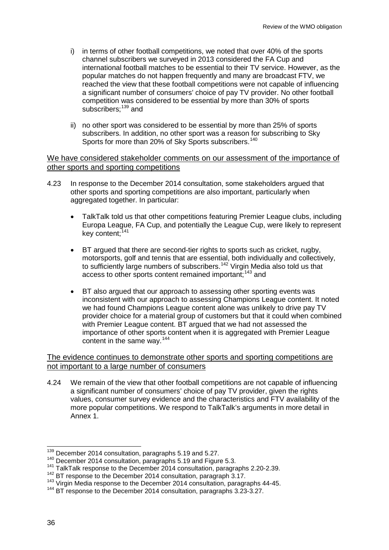- i) in terms of other football competitions, we noted that over 40% of the sports channel subscribers we surveyed in 2013 considered the FA Cup and international football matches to be essential to their TV service. However, as the popular matches do not happen frequently and many are broadcast FTV, we reached the view that these football competitions were not capable of influencing a significant number of consumers' choice of pay TV provider. No other football competition was considered to be essential by more than 30% of sports subscribers: <sup>[139](#page-36-0)</sup> and
- ii) no other sport was considered to be essential by more than 25% of sports subscribers. In addition, no other sport was a reason for subscribing to Sky Sports for more than 20% of Sky Sports subscribers.<sup>[140](#page-36-1)</sup>

### We have considered stakeholder comments on our assessment of the importance of other sports and sporting competitions

- 4.23 In response to the December 2014 consultation, some stakeholders argued that other sports and sporting competitions are also important, particularly when aggregated together. In particular:
	- TalkTalk told us that other competitions featuring Premier League clubs, including Europa League, FA Cup, and potentially the League Cup, were likely to represent key content: [141](#page-36-2)
	- BT argued that there are second-tier rights to sports such as cricket, rugby, motorsports, golf and tennis that are essential, both individually and collectively, to sufficiently large numbers of subscribers.<sup>[142](#page-36-3)</sup> Virgin Media also told us that access to other sports content remained important;<sup>[143](#page-36-4)</sup> and
	- BT also argued that our approach to assessing other sporting events was inconsistent with our approach to assessing Champions League content. It noted we had found Champions League content alone was unlikely to drive pay TV provider choice for a material group of customers but that it could when combined with Premier League content. BT argued that we had not assessed the importance of other sports content when it is aggregated with Premier League content in the same way.[144](#page-36-5)

### The evidence continues to demonstrate other sports and sporting competitions are not important to a large number of consumers

4.24 We remain of the view that other football competitions are not capable of influencing a significant number of consumers' choice of pay TV provider, given the rights values, consumer survey evidence and the characteristics and FTV availability of the more popular competitions. We respond to TalkTalk's arguments in more detail in Annex 1.

<sup>&</sup>lt;sup>139</sup> December 2014 consultation, paragraphs 5.19 and 5.27.

<span id="page-36-2"></span><span id="page-36-1"></span><span id="page-36-0"></span><sup>140</sup> December 2014 consultation, paragraphs 5.19 and Figure 5.3.<br><sup>141</sup> TalkTalk response to the December 2014 consultation, paragraphs 2.20-2.39.<br><sup>142</sup> BT response to the December 2014 consultation, paragraph 3.17.

<span id="page-36-3"></span> $143$  Virgin Media response to the December 2014 consultation, paragraphs 44-45.

<span id="page-36-5"></span><span id="page-36-4"></span><sup>&</sup>lt;sup>144</sup> BT response to the December 2014 consultation, paragraphs 3.23-3.27.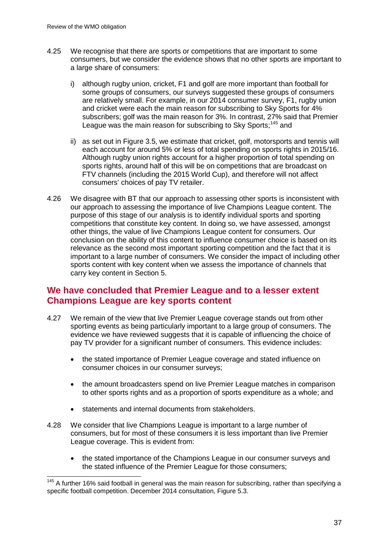- 4.25 We recognise that there are sports or competitions that are important to some consumers, but we consider the evidence shows that no other sports are important to a large share of consumers:
	- i) although rugby union, cricket, F1 and golf are more important than football for some groups of consumers, our surveys suggested these groups of consumers are relatively small. For example, in our 2014 consumer survey, F1, rugby union and cricket were each the main reason for subscribing to Sky Sports for 4% subscribers; golf was the main reason for 3%. In contrast, 27% said that Premier League was the main reason for subscribing to Sky Sports;<sup>[145](#page-37-0)</sup> and
	- ii) as set out in Figure 3.5, we estimate that cricket, golf, motorsports and tennis will each account for around 5% or less of total spending on sports rights in 2015/16. Although rugby union rights account for a higher proportion of total spending on sports rights, around half of this will be on competitions that are broadcast on FTV channels (including the 2015 World Cup), and therefore will not affect consumers' choices of pay TV retailer.
- 4.26 We disagree with BT that our approach to assessing other sports is inconsistent with our approach to assessing the importance of live Champions League content. The purpose of this stage of our analysis is to identify individual sports and sporting competitions that constitute key content. In doing so, we have assessed, amongst other things, the value of live Champions League content for consumers. Our conclusion on the ability of this content to influence consumer choice is based on its relevance as the second most important sporting competition and the fact that it is important to a large number of consumers. We consider the impact of including other sports content with key content when we assess the importance of channels that carry key content in Section 5.

# **We have concluded that Premier League and to a lesser extent Champions League are key sports content**

- 4.27 We remain of the view that live Premier League coverage stands out from other sporting events as being particularly important to a large group of consumers. The evidence we have reviewed suggests that it is capable of influencing the choice of pay TV provider for a significant number of consumers. This evidence includes:
	- the stated importance of Premier League coverage and stated influence on consumer choices in our consumer surveys;
	- the amount broadcasters spend on live Premier League matches in comparison to other sports rights and as a proportion of sports expenditure as a whole; and
	- statements and internal documents from stakeholders.
- 4.28 We consider that live Champions League is important to a large number of consumers, but for most of these consumers it is less important than live Premier League coverage. This is evident from:
	- the stated importance of the Champions League in our consumer surveys and the stated influence of the Premier League for those consumers;

<span id="page-37-0"></span><sup>&</sup>lt;sup>145</sup> A further 16% said football in general was the main reason for subscribing, rather than specifying a specific football competition. December 2014 consultation, Figure 5.3.  $\overline{a}$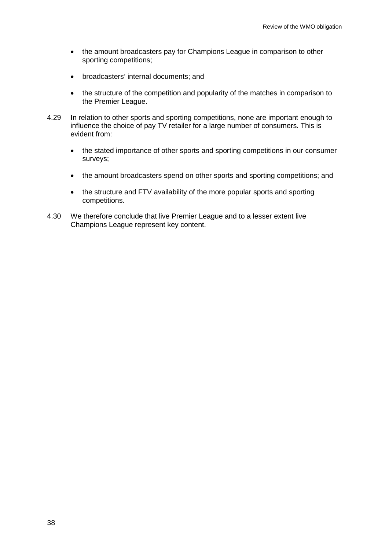- the amount broadcasters pay for Champions League in comparison to other sporting competitions;
- broadcasters' internal documents; and
- the structure of the competition and popularity of the matches in comparison to the Premier League.
- 4.29 In relation to other sports and sporting competitions, none are important enough to influence the choice of pay TV retailer for a large number of consumers. This is evident from:
	- the stated importance of other sports and sporting competitions in our consumer surveys;
	- the amount broadcasters spend on other sports and sporting competitions: and
	- the structure and FTV availability of the more popular sports and sporting competitions.
- 4.30 We therefore conclude that live Premier League and to a lesser extent live Champions League represent key content.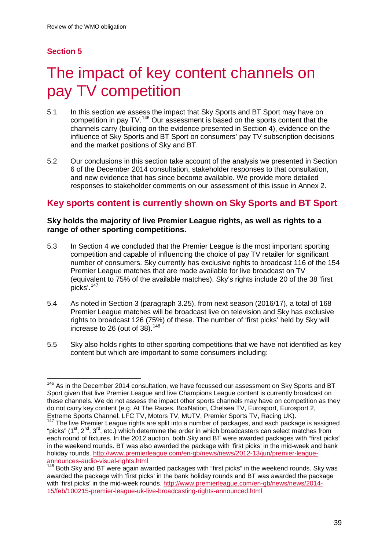# **Section 5**

# The impact of key content channels on pay TV competition

- 5.1 In this section we assess the impact that Sky Sports and BT Sport may have on competition in pay TV.<sup>[146](#page-39-0)</sup> Our assessment is based on the sports content that the channels carry (building on the evidence presented in Section 4), evidence on the influence of Sky Sports and BT Sport on consumers' pay TV subscription decisions and the market positions of Sky and BT.
- 5.2 Our conclusions in this section take account of the analysis we presented in Section 6 of the December 2014 consultation, stakeholder responses to that consultation, and new evidence that has since become available. We provide more detailed responses to stakeholder comments on our assessment of this issue in Annex 2.

# **Key sports content is currently shown on Sky Sports and BT Sport**

## **Sky holds the majority of live Premier League rights, as well as rights to a range of other sporting competitions.**

- 5.3 In Section 4 we concluded that the Premier League is the most important sporting competition and capable of influencing the choice of pay TV retailer for significant number of consumers. Sky currently has exclusive rights to broadcast 116 of the 154 Premier League matches that are made available for live broadcast on TV (equivalent to 75% of the available matches). Sky's rights include 20 of the 38 'first picks'. [147](#page-39-1)
- 5.4 As noted in Section 3 (paragraph 3.25), from next season (2016/17), a total of 168 Premier League matches will be broadcast live on television and Sky has exclusive rights to broadcast 126 (75%) of these. The number of 'first picks' held by Sky will increase to 26 (out of 38). $148$
- 5.5 Sky also holds rights to other sporting competitions that we have not identified as key content but which are important to some consumers including:

<span id="page-39-0"></span> $146$  As in the December 2014 consultation, we have focussed our assessment on Sky Sports and BT Sport given that live Premier League and live Champions League content is currently broadcast on these channels. We do not assess the impact other sports channels may have on competition as they do not carry key content (e.g. At The Races, BoxNation, Chelsea TV, Eurosport, Eurosport 2, Extreme Sports Channel, LFC TV, Motors TV, MUTV, Premier Sports TV, Racing UK).<br><sup>147</sup> The live Premier League rights are split into a number of packages, and each package is assigned  $\overline{a}$ 

<span id="page-39-1"></span><sup>&</sup>quot;picks" ( $1<sup>st</sup>$ ,  $2<sup>nd</sup>$ ,  $3<sup>rd</sup>$ , etc.) which determine the order in which broadcasters can select matches from each round of fixtures. In the 2012 auction, both Sky and BT were awarded packages with "first picks" in the weekend rounds. BT was also awarded the package with 'first picks' in the mid-week and bank holiday rounds. http://www.premierleague.com/en-gb/news/news/2012-13/jun/premier-league-<br>announces-audio-visual-rights.html<br><sup>148</sup> Both Sky and PT were easily always in the second with the second with

<span id="page-39-2"></span>Both Sky and BT were again awarded packages with "first picks" in the weekend rounds. Sky was awarded the package with 'first picks' in the bank holiday rounds and BT was awarded the package with 'first picks' in the mid-week rounds. [http://www.premierleague.com/en-gb/news/news/2014-](http://www.premierleague.com/en-gb/news/news/2014-15/feb/100215-premier-league-uk-live-broadcasting-rights-announced.html) [15/feb/100215-premier-league-uk-live-broadcasting-rights-announced.html](http://www.premierleague.com/en-gb/news/news/2014-15/feb/100215-premier-league-uk-live-broadcasting-rights-announced.html)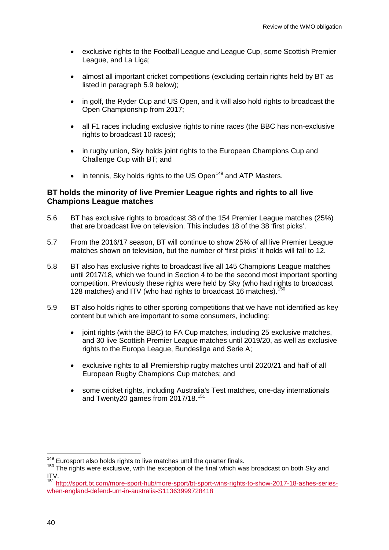- exclusive rights to the Football League and League Cup, some Scottish Premier League, and La Liga;
- almost all important cricket competitions (excluding certain rights held by BT as listed in paragraph 5.9 below);
- in golf, the Ryder Cup and US Open, and it will also hold rights to broadcast the Open Championship from 2017;
- all F1 races including exclusive rights to nine races (the BBC has non-exclusive rights to broadcast 10 races);
- in rugby union, Sky holds joint rights to the European Champions Cup and Challenge Cup with BT; and
- in tennis, Sky holds rights to the US Open<sup>[149](#page-40-0)</sup> and ATP Masters.

### **BT holds the minority of live Premier League rights and rights to all live Champions League matches**

- 5.6 BT has exclusive rights to broadcast 38 of the 154 Premier League matches (25%) that are broadcast live on television. This includes 18 of the 38 'first picks'.
- 5.7 From the 2016/17 season, BT will continue to show 25% of all live Premier League matches shown on television, but the number of 'first picks' it holds will fall to 12.
- 5.8 BT also has exclusive rights to broadcast live all 145 Champions League matches until 2017/18, which we found in Section 4 to be the second most important sporting competition. Previously these rights were held by Sky (who had rights to broadcast 128 matches) and ITV (who had rights to broadcast 16 matches).  $150$
- 5.9 BT also holds rights to other sporting competitions that we have not identified as key content but which are important to some consumers, including:
	- joint rights (with the BBC) to FA Cup matches, including 25 exclusive matches, and 30 live Scottish Premier League matches until 2019/20, as well as exclusive rights to the Europa League, Bundesliga and Serie A;
	- exclusive rights to all Premiership rugby matches until 2020/21 and half of all European Rugby Champions Cup matches; and
	- some cricket rights, including Australia's Test matches, one-day internationals and Twenty20 games from 2017/18.<sup>[151](#page-40-2)</sup>

<sup>&</sup>lt;sup>149</sup> Eurosport also holds rights to live matches until the quarter finals.

<span id="page-40-1"></span><span id="page-40-0"></span><sup>149</sup> Eurosport also holds rights to live matches until the quarter finals. <sup>150</sup> The rights were exclusive, with the exception of the final which was broadcast on both Sky and ITV.

<span id="page-40-2"></span><sup>151</sup> [http://sport.bt.com/more-sport-hub/more-sport/bt-sport-wins-rights-to-show-2017-18-ashes-series](http://sport.bt.com/more-sport-hub/more-sport/bt-sport-wins-rights-to-show-2017-18-ashes-series-when-england-defend-urn-in-australia-S11363999728418)[when-england-defend-urn-in-australia-S11363999728418](http://sport.bt.com/more-sport-hub/more-sport/bt-sport-wins-rights-to-show-2017-18-ashes-series-when-england-defend-urn-in-australia-S11363999728418)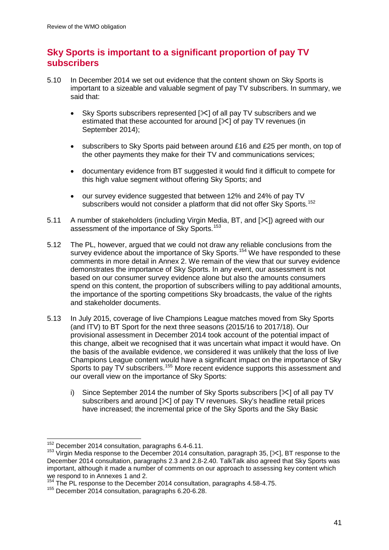# **Sky Sports is important to a significant proportion of pay TV subscribers**

- 5.10 In December 2014 we set out evidence that the content shown on Sky Sports is important to a sizeable and valuable segment of pay TV subscribers. In summary, we said that:
	- Sky Sports subscribers represented  $[\times]$  of all pay TV subscribers and we estimated that these accounted for around  $[\times]$  of pay TV revenues (in September 2014);
	- subscribers to Sky Sports paid between around £16 and £25 per month, on top of the other payments they make for their TV and communications services;
	- documentary evidence from BT suggested it would find it difficult to compete for this high value segment without offering Sky Sports; and
	- our survey evidence suggested that between 12% and 24% of pay TV subscribers would not consider a platform that did not offer Sky Sports.<sup>[152](#page-41-0)</sup>
- 5.11 A number of stakeholders (including Virgin Media, BT, and [ $\angle$ ]) agreed with our assessment of the importance of Sky Sports.<sup>[153](#page-41-1)</sup>
- 5.12 The PL, however, argued that we could not draw any reliable conclusions from the survey evidence about the importance of Sky Sports.<sup>[154](#page-41-2)</sup> We have responded to these comments in more detail in Annex 2. We remain of the view that our survey evidence demonstrates the importance of Sky Sports. In any event, our assessment is not based on our consumer survey evidence alone but also the amounts consumers spend on this content, the proportion of subscribers willing to pay additional amounts, the importance of the sporting competitions Sky broadcasts, the value of the rights and stakeholder documents.
- 5.13 In July 2015, coverage of live Champions League matches moved from Sky Sports (and ITV) to BT Sport for the next three seasons (2015/16 to 2017/18). Our provisional assessment in December 2014 took account of the potential impact of this change, albeit we recognised that it was uncertain what impact it would have. On the basis of the available evidence, we considered it was unlikely that the loss of live Champions League content would have a significant impact on the importance of Sky Sports to pay TV subscribers.<sup>[155](#page-41-3)</sup> More recent evidence supports this assessment and our overall view on the importance of Sky Sports:
	- i) Since September 2014 the number of Sky Sports subscribers  $[\times]$  of all pay TV subscribers and around  $[\times]$  of pay TV revenues. Sky's headline retail prices have increased; the incremental price of the Sky Sports and the Sky Basic

 $^{152}$  December 2014 consultation, paragraphs 6.4-6.11.  $\overline{a}$ 

<span id="page-41-1"></span><span id="page-41-0"></span><sup>&</sup>lt;sup>153</sup> Virgin Media response to the December 2014 consultation, paragraph 35, [ $\times$ ], BT response to the December 2014 consultation, paragraphs 2.3 and 2.8-2.40. TalkTalk also agreed that Sky Sports was important, although it made a number of comments on our approach to assessing key content which we respond to in Annexes 1 and 2.

 $154$  The PL response to the December 2014 consultation, paragraphs 4.58-4.75.

<span id="page-41-3"></span><span id="page-41-2"></span><sup>155</sup> December 2014 consultation, paragraphs 6.20-6.28.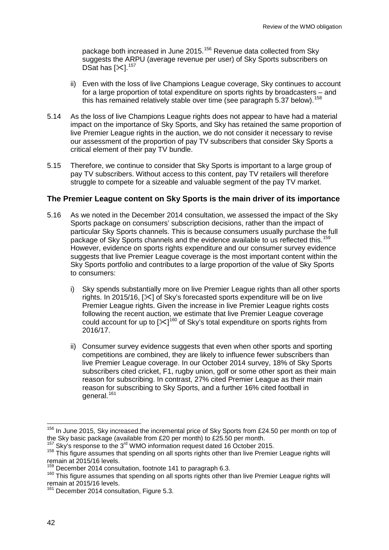package both increased in June 2015.<sup>[156](#page-42-0)</sup> Revenue data collected from Sky suggests the ARPU (average revenue per user) of Sky Sports subscribers on DSat has  $[\times]$ .<sup>[157](#page-42-1)</sup>

- ii) Even with the loss of live Champions League coverage, Sky continues to account for a large proportion of total expenditure on sports rights by broadcasters – and this has remained relatively stable over time (see paragraph 5.37 below).<sup>[158](#page-42-2)</sup>
- 5.14 As the loss of live Champions League rights does not appear to have had a material impact on the importance of Sky Sports, and Sky has retained the same proportion of live Premier League rights in the auction, we do not consider it necessary to revise our assessment of the proportion of pay TV subscribers that consider Sky Sports a critical element of their pay TV bundle.
- 5.15 Therefore, we continue to consider that Sky Sports is important to a large group of pay TV subscribers. Without access to this content, pay TV retailers will therefore struggle to compete for a sizeable and valuable segment of the pay TV market.

### **The Premier League content on Sky Sports is the main driver of its importance**

- 5.16 As we noted in the December 2014 consultation, we assessed the impact of the Sky Sports package on consumers' subscription decisions, rather than the impact of particular Sky Sports channels. This is because consumers usually purchase the full package of Sky Sports channels and the evidence available to us reflected this.<sup>[159](#page-42-3)</sup> However, evidence on sports rights expenditure and our consumer survey evidence suggests that live Premier League coverage is the most important content within the Sky Sports portfolio and contributes to a large proportion of the value of Sky Sports to consumers:
	- i) Sky spends substantially more on live Premier League rights than all other sports rights. In 2015/16, [ $\ll$ ] of Sky's forecasted sports expenditure will be on live Premier League rights. Given the increase in live Premier League rights costs following the recent auction, we estimate that live Premier League coverage could account for up to  $[\times]^{160}$  $[\times]^{160}$  $[\times]^{160}$  of Sky's total expenditure on sports rights from 2016/17.
	- ii) Consumer survey evidence suggests that even when other sports and sporting competitions are combined, they are likely to influence fewer subscribers than live Premier League coverage. In our October 2014 survey, 18% of Sky Sports subscribers cited cricket, F1, rugby union, golf or some other sport as their main reason for subscribing. In contrast, 27% cited Premier League as their main reason for subscribing to Sky Sports, and a further 16% cited football in general.<sup>[161](#page-42-5)</sup>

<span id="page-42-0"></span><sup>&</sup>lt;sup>156</sup> In June 2015, Sky increased the incremental price of Sky Sports from £24.50 per month on top of the Sky basic package (available from £20 per month) to £25.50 per month.<br><sup>157</sup> Sky's response to the 3<sup>rd</sup> WMO information request dated 16 October 2015.<br><sup>158</sup> This figure assumes that spending on all sports rights other  $\overline{a}$ 

<span id="page-42-1"></span>

<span id="page-42-2"></span>remain at 2015/16 levels.<br><sup>159</sup> December 2014 consultation, footnote 141 to paragraph 6.3.

<span id="page-42-4"></span><span id="page-42-3"></span><sup>&</sup>lt;sup>160</sup> This figure assumes that spending on all sports rights other than live Premier League rights will remain at 2015/16 levels.

<span id="page-42-5"></span><sup>&</sup>lt;sup>161</sup> December 2014 consultation, Figure 5.3.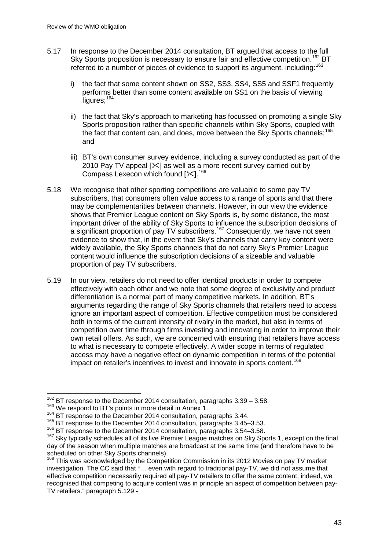- 5.17 In response to the December 2014 consultation, BT argued that access to the full Sky Sports proposition is necessary to ensure fair and effective competition.<sup>[162](#page-43-0)</sup> BT referred to a number of pieces of evidence to support its argument, including:<sup>[163](#page-43-1)</sup>
	- i) the fact that some content shown on SS2, SS3, SS4, SS5 and SSF1 frequently performs better than some content available on SS1 on the basis of viewing figures;<sup>[164](#page-43-2)</sup>
	- ii) the fact that Sky's approach to marketing has focussed on promoting a single Sky Sports proposition rather than specific channels within Sky Sports, coupled with the fact that content can, and does, move between the Sky Sports channels:<sup>[165](#page-43-3)</sup> and
	- iii) BT's own consumer survey evidence, including a survey conducted as part of the 2010 Pay TV appeal  $[\times]$  as well as a more recent survey carried out by Compass Lexecon which found  $[36]$ .<sup>[166](#page-43-4)</sup>
- 5.18 We recognise that other sporting competitions are valuable to some pay TV subscribers, that consumers often value access to a range of sports and that there may be complementarities between channels. However, in our view the evidence shows that Premier League content on Sky Sports is, by some distance, the most important driver of the ability of Sky Sports to influence the subscription decisions of a significant proportion of pay TV subscribers.<sup>[167](#page-43-5)</sup> Consequently, we have not seen evidence to show that, in the event that Sky's channels that carry key content were widely available, the Sky Sports channels that do not carry Sky's Premier League content would influence the subscription decisions of a sizeable and valuable proportion of pay TV subscribers.
- 5.19 In our view, retailers do not need to offer identical products in order to compete effectively with each other and we note that some degree of exclusivity and product differentiation is a normal part of many competitive markets. In addition, BT's arguments regarding the range of Sky Sports channels that retailers need to access ignore an important aspect of competition. Effective competition must be considered both in terms of the current intensity of rivalry in the market, but also in terms of competition over time through firms investing and innovating in order to improve their own retail offers. As such, we are concerned with ensuring that retailers have access to what is necessary to compete effectively. A wider scope in terms of regulated access may have a negative effect on dynamic competition in terms of the potential impact on retailer's incentives to invest and innovate in sports content.<sup>[168](#page-43-6)</sup>

 $^{162}_{162}$  BT response to the December 2014 consultation, paragraphs 3.39 – 3.58.  $\overline{1}$ 

<span id="page-43-1"></span><span id="page-43-0"></span><sup>&</sup>lt;sup>163</sup> We respond to BT's points in more detail in Annex 1.<br><sup>164</sup> BT response to the December 2014 consultation, paragraphs 3.44.

<span id="page-43-3"></span><span id="page-43-2"></span><sup>&</sup>lt;sup>165</sup> BT response to the December 2014 consultation, paragraphs 3.45–3.53.

<sup>&</sup>lt;sup>166</sup> BT response to the December 2014 consultation, paragraphs 3.54-3.58.

<span id="page-43-5"></span><span id="page-43-4"></span><sup>&</sup>lt;sup>167</sup> Skv typically schedules all of its live Premier League matches on Sky Sports 1, except on the final day of the season when multiple matches are broadcast at the same time (and therefore have to be scheduled on other Sky Sports channels).<br><sup>168</sup> This was acknowledged by the Competition Commission in its 2012 Movies on pay TV market

<span id="page-43-6"></span>investigation. The CC said that "… even with regard to traditional pay-TV, we did not assume that effective competition necessarily required all pay-TV retailers to offer the same content; indeed, we recognised that competing to acquire content was in principle an aspect of competition between pay-TV retailers." paragraph 5.129 -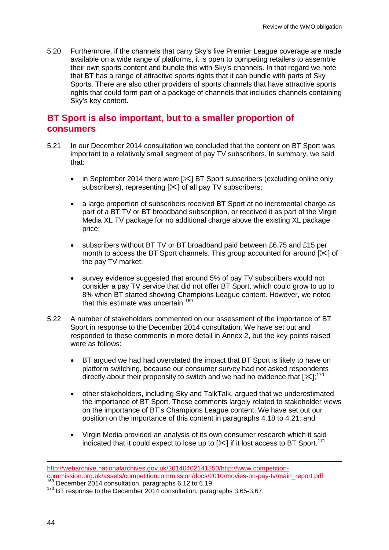5.20 Furthermore, if the channels that carry Sky's live Premier League coverage are made available on a wide range of platforms, it is open to competing retailers to assemble their own sports content and bundle this with Sky's channels. In that regard we note that BT has a range of attractive sports rights that it can bundle with parts of Sky Sports. There are also other providers of sports channels that have attractive sports rights that could form part of a package of channels that includes channels containing Sky's key content.

# **BT Sport is also important, but to a smaller proportion of consumers**

- 5.21 In our December 2014 consultation we concluded that the content on BT Sport was important to a relatively small segment of pay TV subscribers. In summary, we said that:
	- in September 2014 there were  $[\times]$  BT Sport subscribers (excluding online only subscribers), representing  $[\times]$  of all pay TV subscribers;
	- a large proportion of subscribers received BT Sport at no incremental charge as part of a BT TV or BT broadband subscription, or received it as part of the Virgin Media XL TV package for no additional charge above the existing XL package price;
	- subscribers without BT TV or BT broadband paid between £6.75 and £15 per month to access the BT Sport channels. This group accounted for around  $[\times]$  of the pay TV market;
	- survey evidence suggested that around 5% of pay TV subscribers would not consider a pay TV service that did not offer BT Sport, which could grow to up to 8% when BT started showing Champions League content. However, we noted that this estimate was uncertain.<sup>[169](#page-44-0)</sup>
- 5.22 A number of stakeholders commented on our assessment of the importance of BT Sport in response to the December 2014 consultation. We have set out and responded to these comments in more detail in Annex 2, but the key points raised were as follows:
	- BT argued we had had overstated the impact that BT Sport is likely to have on platform switching, because our consumer survey had not asked respondents directly about their propensity to switch and we had no evidence that [ $\ll$ ];<sup>[170](#page-44-1)</sup>
	- other stakeholders, including Sky and TalkTalk, argued that we underestimated the importance of BT Sport. These comments largely related to stakeholder views on the importance of BT's Champions League content. We have set out our position on the importance of this content in paragraphs 4.18 to 4.21; and
	- Virgin Media provided an analysis of its own consumer research which it said indicated that it could expect to lose up to  $[\times]$  if it lost access to BT Sport.<sup>[171](#page-44-2)</sup>

-

<span id="page-44-2"></span>http://webarchive.nationalarchives.gov.uk/20140402141250/http://www.competition-<br>commission.org.uk/assets/competitioncommission/docs/2010/movies-on-pay-tv/main report.pdf

<span id="page-44-1"></span><span id="page-44-0"></span> $\frac{169}{169}$  December 2014 consultation, paragraphs 6.12 to 6.19. 170 BT response to the December 2014 consultation, paragraphs 3.65-3.67.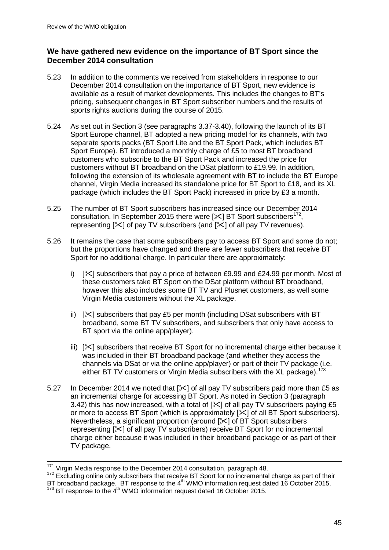## **We have gathered new evidence on the importance of BT Sport since the December 2014 consultation**

- 5.23 In addition to the comments we received from stakeholders in response to our December 2014 consultation on the importance of BT Sport, new evidence is available as a result of market developments. This includes the changes to BT's pricing, subsequent changes in BT Sport subscriber numbers and the results of sports rights auctions during the course of 2015.
- 5.24 As set out in Section 3 (see paragraphs 3.37-3.40), following the launch of its BT Sport Europe channel, BT adopted a new pricing model for its channels, with two separate sports packs (BT Sport Lite and the BT Sport Pack, which includes BT Sport Europe). BT introduced a monthly charge of £5 to most BT broadband customers who subscribe to the BT Sport Pack and increased the price for customers without BT broadband on the DSat platform to £19.99. In addition, following the extension of its wholesale agreement with BT to include the BT Europe channel, Virgin Media increased its standalone price for BT Sport to £18, and its XL package (which includes the BT Sport Pack) increased in price by £3 a month.
- 5.25 The number of BT Sport subscribers has increased since our December 2014 consultation. In September 2015 there were  $[\times]$  BT Sport subscribers<sup>172</sup>. representing  $[\times]$  of pay TV subscribers (and  $[\times]$  of all pay TV revenues).
- 5.26 It remains the case that some subscribers pay to access BT Sport and some do not; but the proportions have changed and there are fewer subscribers that receive BT Sport for no additional charge. In particular there are approximately:
	- i)  $[\times]$  subscribers that pay a price of between £9.99 and £24.99 per month. Most of these customers take BT Sport on the DSat platform without BT broadband, however this also includes some BT TV and Plusnet customers, as well some Virgin Media customers without the XL package.
	- ii)  $[\times]$  subscribers that pay £5 per month (including DSat subscribers with BT broadband, some BT TV subscribers, and subscribers that only have access to BT sport via the online app/player).
	- iii)  $[\times]$  subscribers that receive BT Sport for no incremental charge either because it was included in their BT broadband package (and whether they access the channels via DSat or via the online app/player) or part of their TV package (i.e. either BT TV customers or Virgin Media subscribers with the XL package).<sup>[173](#page-45-1)</sup>
- 5.27 In December 2014 we noted that  $[\&0]$  of all pay TV subscribers paid more than £5 as an incremental charge for accessing BT Sport. As noted in Section 3 (paragraph 3.42) this has now increased, with a total of  $[\times]$  of all pay TV subscribers paying £5 or more to access BT Sport (which is approximately  $[\times]$  of all BT Sport subscribers). Nevertheless, a significant proportion (around  $[\times]$  of BT Sport subscribers representing  $[\times]$  of all pay TV subscribers) receive BT Sport for no incremental charge either because it was included in their broadband package or as part of their TV package.

<sup>&</sup>lt;sup>171</sup> Virgin Media response to the December 2014 consultation, paragraph 48.

<span id="page-45-0"></span><sup>&</sup>lt;sup>172</sup> Excluding online only subscribers that receive BT Sport for no incremental charge as part of their<br>BT broadband package. BT response to the 4<sup>th</sup> WMO information request dated 16 October 2015.

<span id="page-45-1"></span> $^{173}$  BT response to the 4<sup>th</sup> WMO information request dated 16 October 2015.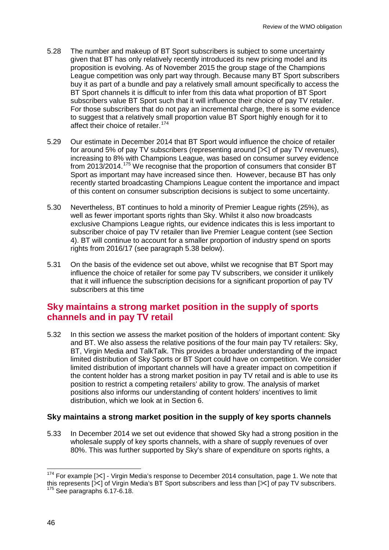- 5.28 The number and makeup of BT Sport subscribers is subject to some uncertainty given that BT has only relatively recently introduced its new pricing model and its proposition is evolving. As of November 2015 the group stage of the Champions League competition was only part way through. Because many BT Sport subscribers buy it as part of a bundle and pay a relatively small amount specifically to access the BT Sport channels it is difficult to infer from this data what proportion of BT Sport subscribers value BT Sport such that it will influence their choice of pay TV retailer. For those subscribers that do not pay an incremental charge, there is some evidence to suggest that a relatively small proportion value BT Sport highly enough for it to affect their choice of retailer.<sup>[174](#page-46-0)</sup>
- 5.29 Our estimate in December 2014 that BT Sport would influence the choice of retailer for around 5% of pay TV subscribers (representing around  $[\times]$  of pay TV revenues), increasing to 8% with Champions League, was based on consumer survey evidence from 2013/2014.[175](#page-46-1) We recognise that the proportion of consumers that consider BT Sport as important may have increased since then. However, because BT has only recently started broadcasting Champions League content the importance and impact of this content on consumer subscription decisions is subject to some uncertainty.
- 5.30 Nevertheless, BT continues to hold a minority of Premier League rights (25%), as well as fewer important sports rights than Sky. Whilst it also now broadcasts exclusive Champions League rights, our evidence indicates this is less important to subscriber choice of pay TV retailer than live Premier League content (see Section 4). BT will continue to account for a smaller proportion of industry spend on sports rights from 2016/17 (see paragraph 5.38 below).
- 5.31 On the basis of the evidence set out above, whilst we recognise that BT Sport may influence the choice of retailer for some pay TV subscribers, we consider it unlikely that it will influence the subscription decisions for a significant proportion of pay TV subscribers at this time

## **Sky maintains a strong market position in the supply of sports channels and in pay TV retail**

5.32 In this section we assess the market position of the holders of important content: Sky and BT. We also assess the relative positions of the four main pay TV retailers: Sky, BT, Virgin Media and TalkTalk. This provides a broader understanding of the impact limited distribution of Sky Sports or BT Sport could have on competition. We consider limited distribution of important channels will have a greater impact on competition if the content holder has a strong market position in pay TV retail and is able to use its position to restrict a competing retailers' ability to grow. The analysis of market positions also informs our understanding of content holders' incentives to limit distribution, which we look at in Section 6.

## **Sky maintains a strong market position in the supply of key sports channels**

5.33 In December 2014 we set out evidence that showed Sky had a strong position in the wholesale supply of key sports channels, with a share of supply revenues of over 80%. This was further supported by Sky's share of expenditure on sports rights, a

<span id="page-46-1"></span><span id="page-46-0"></span> $174$  For example [ $\le$ ] - Virgin Media's response to December 2014 consultation, page 1. We note that this represents [ $\ge$ ] of Virgin Media's BT Sport subscribers and less than [ $\ge$ ] of pay TV subscribers. <sup>175</sup> See paragraphs 6.17-6.18.  $\overline{a}$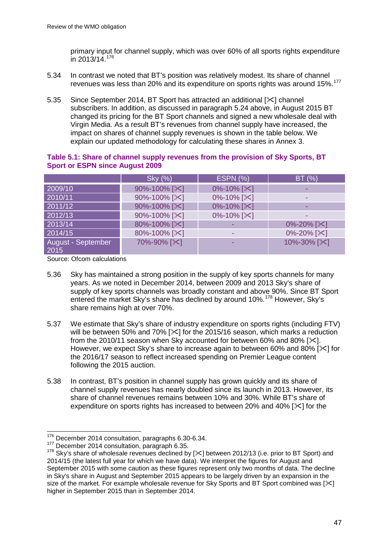primary input for channel supply, which was over 60% of all sports rights expenditure in 2013/14.[176](#page-47-0)

- 5.34 In contrast we noted that BT's position was relatively modest. Its share of channel revenues was less than 20% and its expenditure on sports rights was around 15%.[177](#page-47-1)
- 5.35 Since September 2014, BT Sport has attracted an additional [ $\ge$ ] channel subscribers. In addition, as discussed in paragraph 5.24 above, in August 2015 BT changed its pricing for the BT Sport channels and signed a new wholesale deal with Virgin Media. As a result BT's revenues from channel supply have increased, the impact on shares of channel supply revenues is shown in the table below. We explain our updated methodology for calculating these shares in Annex 3.

|                            | Sky (%)                        | <b>ESPN (%)</b>              | BT(%)                     |
|----------------------------|--------------------------------|------------------------------|---------------------------|
| 2009/10                    | 90%-100% [ $\approx$ ]         | 0%-10% [ $\times$ ]          |                           |
| 2010/11                    | 90%-100% [ $\mathsf{\times}$ ] | 0%-10% [ $\mathsf{\times}$ ] |                           |
| 2011/12                    | 90%-100% [ $\approx$ ]         | 0%-10% [ $\&$ ]              |                           |
| 2012/13                    | 90%-100% [ $\&$ ]              | 0%-10% [ $\times$ ]          |                           |
| 2013/14                    | 80%-100% [ $\approx$ ]         |                              | $0\% - 20\%$ [ $\times$ ] |
| 2014/15                    | 80%-100% [ $\approx$ ]         |                              | 0%-20% [ $\times$ ]       |
| August - September<br>2015 | 70%-90% [ $\&$ ]               |                              | 10%-30% [ $\mathbb{X}$ ]  |

### **Table 5.1: Share of channel supply revenues from the provision of Sky Sports, BT Sport or ESPN since August 2009**

Source: Ofcom calculations

- 5.36 Sky has maintained a strong position in the supply of key sports channels for many years. As we noted in December 2014, between 2009 and 2013 Sky's share of supply of key sports channels was broadly constant and above 90%. Since BT Sport entered the market Sky's share has declined by around 10%.<sup>[178](#page-47-2)</sup> However, Sky's share remains high at over 70%.
- 5.37 We estimate that Sky's share of industry expenditure on sports rights (including FTV) will be between 50% and 70%  $[\times]$  for the 2015/16 season, which marks a reduction from the 2010/11 season when Sky accounted for between 60% and 80% [ $\angle$ ]. However, we expect Sky's share to increase again to between 60% and 80%  $[\times]$  for the 2016/17 season to reflect increased spending on Premier League content following the 2015 auction.
- 5.38 In contrast, BT's position in channel supply has grown quickly and its share of channel supply revenues has nearly doubled since its launch in 2013. However, its share of channel revenues remains between 10% and 30%. While BT's share of expenditure on sports rights has increased to between 20% and 40% [ $\ll$ ] for the

<sup>&</sup>lt;sup>176</sup> December 2014 consultation, paragraphs 6.30-6.34.  $\overline{a}$ 

<span id="page-47-2"></span><span id="page-47-1"></span><span id="page-47-0"></span><sup>177</sup> December 2014 consultation, paragraph 6.35.<br><sup>178</sup> Sky's share of wholesale revenues declined by [ $\&$ ] between 2012/13 (i.e. prior to BT Sport) and 2014/15 (the latest full year for which we have data). We interpret the figures for August and September 2015 with some caution as these figures represent only two months of data. The decline in Sky's share in August and September 2015 appears to be largely driven by an expansion in the size of the market. For example wholesale revenue for Sky Sports and BT Sport combined was  $[\times]$ higher in September 2015 than in September 2014.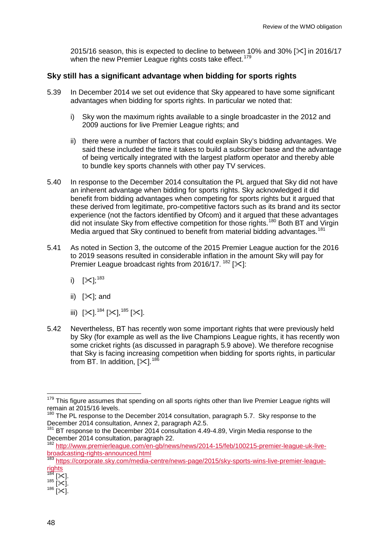2015/16 season, this is expected to decline to between 10% and 30%  $[\times]$  in 2016/17 when the new Premier League rights costs take effect.<sup>[179](#page-48-0)</sup>

## **Sky still has a significant advantage when bidding for sports rights**

- 5.39 In December 2014 we set out evidence that Sky appeared to have some significant advantages when bidding for sports rights. In particular we noted that:
	- i) Sky won the maximum rights available to a single broadcaster in the 2012 and 2009 auctions for live Premier League rights; and
	- ii) there were a number of factors that could explain Sky's bidding advantages. We said these included the time it takes to build a subscriber base and the advantage of being vertically integrated with the largest platform operator and thereby able to bundle key sports channels with other pay TV services.
- 5.40 In response to the December 2014 consultation the PL argued that Sky did not have an inherent advantage when bidding for sports rights. Sky acknowledged it did benefit from bidding advantages when competing for sports rights but it argued that these derived from legitimate, pro-competitive factors such as its brand and its sector experience (not the factors identified by Ofcom) and it argued that these advantages did not insulate Sky from effective competition for those rights.<sup>[180](#page-48-1)</sup> Both BT and Virgin Media argued that Sky continued to benefit from material bidding advantages.<sup>[181](#page-48-2)</sup>
- 5.41 As noted in Section 3, the outcome of the 2015 Premier League auction for the 2016 to 2019 seasons resulted in considerable inflation in the amount Sky will pay for Premier League broadcast rights from 2016/17.  $182$  [ $\angle$ ]:
	- i)  $[\mathbb{X}]^{,183}_{,}$  $[\mathbb{X}]^{,183}_{,}$  $[\mathbb{X}]^{,183}_{,}$
	- ii)  $[\times]$ ; and
	- iii)  $[31.184]$  $[31.184]$  $[31.184]$   $[31.185]$  $[31.185]$  $[31.185]$   $[31.185]$
- 5.42 Nevertheless, BT has recently won some important rights that were previously held by Sky (for example as well as the live Champions League rights, it has recently won some cricket rights (as discussed in paragraph 5.9 above). We therefore recognise that Sky is facing increasing competition when bidding for sports rights, in particular from BT. In addition,  $[\times]$ . <sup>186</sup>

<span id="page-48-0"></span><sup>&</sup>lt;sup>179</sup> This figure assumes that spending on all sports rights other than live Premier League rights will remain at 2015/16 levels.  $\overline{1}$ 

<span id="page-48-1"></span><sup>&</sup>lt;sup>180</sup> The PL response to the December 2014 consultation, paragraph 5.7. Sky response to the December 2014 consultation, Annex 2, paragraph A2.5.

<span id="page-48-2"></span><sup>&</sup>lt;sup>181</sup> BT response to the December 2014 consultation 4.49-4.89, Virgin Media response to the December 2014 consultation, paragraph 22.<br><sup>182</sup> [http://www.premierleague.com/en-gb/news/news/2014-15/feb/100215-premier-league-uk-live-](http://www.premierleague.com/en-gb/news/news/2014-15/feb/100215-premier-league-uk-live-broadcasting-rights-announced.html)

<span id="page-48-3"></span>[broadcasting-rights-announced.html](http://www.premierleague.com/en-gb/news/news/2014-15/feb/100215-premier-league-uk-live-broadcasting-rights-announced.html)

<span id="page-48-4"></span><sup>&</sup>lt;sup>183</sup> [https://corporate.sky.com/media-centre/news-page/2015/sky-sports-wins-live-premier-league-](https://corporate.sky.com/media-centre/news-page/2015/sky-sports-wins-live-premier-league-rights)

 $\frac{rights}{184}$  $\frac{rights}{184}$  $\frac{rights}{184}$ 

<span id="page-48-7"></span><span id="page-48-6"></span><span id="page-48-5"></span> $\frac{184}{185}$  [ $\times$ ].<br>  $\frac{185}{186}$  [ $\times$ ].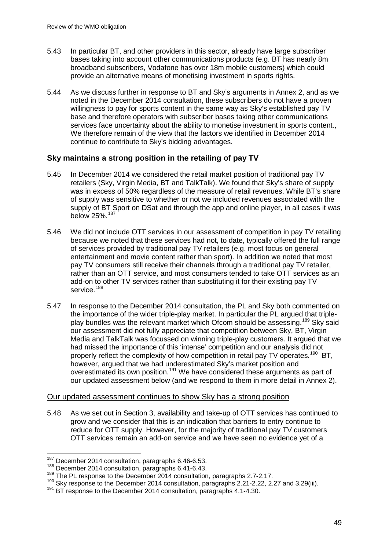- 5.43 In particular BT, and other providers in this sector, already have large subscriber bases taking into account other communications products (e.g. BT has nearly 8m broadband subscribers, Vodafone has over 18m mobile customers) which could provide an alternative means of monetising investment in sports rights.
- 5.44 As we discuss further in response to BT and Sky's arguments in Annex 2, and as we noted in the December 2014 consultation, these subscribers do not have a proven willingness to pay for sports content in the same way as Sky's established pay TV base and therefore operators with subscriber bases taking other communications services face uncertainty about the ability to monetise investment in sports content., We therefore remain of the view that the factors we identified in December 2014 continue to contribute to Sky's bidding advantages.

## **Sky maintains a strong position in the retailing of pay TV**

- 5.45 In December 2014 we considered the retail market position of traditional pay TV retailers (Sky, Virgin Media, BT and TalkTalk). We found that Sky's share of supply was in excess of 50% regardless of the measure of retail revenues. While BT's share of supply was sensitive to whether or not we included revenues associated with the supply of BT Sport on DSat and through the app and online player, in all cases it was below 25%.[187](#page-49-0)
- 5.46 We did not include OTT services in our assessment of competition in pay TV retailing because we noted that these services had not, to date, typically offered the full range of services provided by traditional pay TV retailers (e.g. most focus on general entertainment and movie content rather than sport). In addition we noted that most pay TV consumers still receive their channels through a traditional pay TV retailer, rather than an OTT service, and most consumers tended to take OTT services as an add-on to other TV services rather than substituting it for their existing pay TV service.<sup>[188](#page-49-1)</sup>
- 5.47 In response to the December 2014 consultation, the PL and Sky both commented on the importance of the wider triple-play market. In particular the PL argued that triple-play bundles was the relevant market which Ofcom should be assessing.<sup>[189](#page-49-2)</sup> Sky said our assessment did not fully appreciate that competition between Sky, BT, Virgin Media and TalkTalk was focussed on winning triple-play customers. It argued that we had missed the importance of this 'intense' competition and our analysis did not properly reflect the complexity of how competition in retail pay TV operates.<sup>[190](#page-49-3)</sup> BT. however, argued that we had underestimated Sky's market position and overestimated its own position.<sup>[191](#page-49-4)</sup> We have considered these arguments as part of our updated assessment below (and we respond to them in more detail in Annex 2).

### Our updated assessment continues to show Sky has a strong position

5.48 As we set out in Section 3, availability and take-up of OTT services has continued to grow and we consider that this is an indication that barriers to entry continue to reduce for OTT supply. However, for the majority of traditional pay TV customers OTT services remain an add-on service and we have seen no evidence yet of a

<sup>&</sup>lt;sup>187</sup> December 2014 consultation, paragraphs 6.46-6.53.  $\overline{a}$ 

<span id="page-49-1"></span><span id="page-49-0"></span><sup>188</sup> December 2014 consultation, paragraphs 6.41-6.43.

<span id="page-49-2"></span><sup>&</sup>lt;sup>189</sup> The PL response to the December 2014 consultation, paragraphs 2.7-2.17.

<span id="page-49-4"></span><span id="page-49-3"></span><sup>&</sup>lt;sup>190</sup> Sky response to the December 2014 consultation, paragraphs 2.21-2.22, 2.27 and 3.29(iii).<br><sup>191</sup> BT response to the December 2014 consultation, paragraphs 4.1-4.30.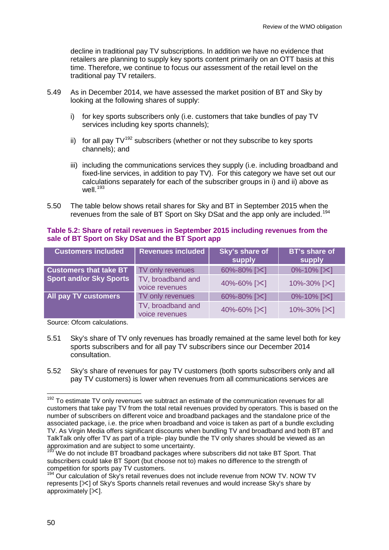decline in traditional pay TV subscriptions. In addition we have no evidence that retailers are planning to supply key sports content primarily on an OTT basis at this time. Therefore, we continue to focus our assessment of the retail level on the traditional pay TV retailers.

- 5.49 As in December 2014, we have assessed the market position of BT and Sky by looking at the following shares of supply:
	- i) for key sports subscribers only (i.e. customers that take bundles of pay TV services including key sports channels);
	- ii) for all pay  $TV^{192}$  $TV^{192}$  $TV^{192}$  subscribers (whether or not they subscribe to key sports channels); and
	- iii) including the communications services they supply (i.e. including broadband and fixed-line services, in addition to pay TV). For this category we have set out our calculations separately for each of the subscriber groups in i) and ii) above as well. [193](#page-50-1)
- 5.50 The table below shows retail shares for Sky and BT in September 2015 when the revenues from the sale of BT Sport on Sky DSat and the app only are included.<sup>[194](#page-50-2)</sup>

### **Table 5.2: Share of retail revenues in September 2015 including revenues from the sale of BT Sport on Sky DSat and the BT Sport app**

| <b>Customers included</b>                                       | <b>Revenues included</b>            | Sky's share of<br>supply | <b>BT's share of</b><br>supply |
|-----------------------------------------------------------------|-------------------------------------|--------------------------|--------------------------------|
| <b>Customers that take BT</b><br><b>Sport and/or Sky Sports</b> | TV only revenues                    | 60%-80% [ $\times$ ]     | $0\% - 10\%$ [ $\times$ ]      |
|                                                                 | TV, broadband and<br>voice revenues | 40%-60% [ $\&$ ]         | 10%-30% [ $\approx$ ]          |
| <b>All pay TV customers</b>                                     | TV only revenues                    | 60%-80% [ $\times$ ]     | $0\% - 10\%$ [ $\times$ ]      |
|                                                                 | TV, broadband and<br>voice revenues | 40%-60% [ $\approx$ ]    | 10%-30% [ $\mathsf{X}$ ]       |

Source: Ofcom calculations.

- 5.51 Sky's share of TV only revenues has broadly remained at the same level both for key sports subscribers and for all pay TV subscribers since our December 2014 consultation.
- 5.52 Sky's share of revenues for pay TV customers (both sports subscribers only and all pay TV customers) is lower when revenues from all communications services are

<span id="page-50-0"></span>To estimate TV only revenues we subtract an estimate of the communication revenues for all customers that take pay TV from the total retail revenues provided by operators. This is based on the number of subscribers on different voice and broadband packages and the standalone price of the associated package, i.e. the price when broadband and voice is taken as part of a bundle excluding TV. As Virgin Media offers significant discounts when bundling TV and broadband and both BT and TalkTalk only offer TV as part of a triple- play bundle the TV only shares should be viewed as an approximation and are subject to some uncertainty. 192

<span id="page-50-1"></span><sup>&</sup>lt;sup>193</sup> We do not include BT broadband packages where subscribers did not take BT Sport. That subscribers could take BT Sport (but choose not to) makes no difference to the strength of competition for sports pay TV customers.

<span id="page-50-2"></span> $194$  Our calculation of Sky's retail revenues does not include revenue from NOW TV. NOW TV represents  $[\times]$  of Sky's Sports channels retail revenues and would increase Sky's share by approximately  $[32]$ .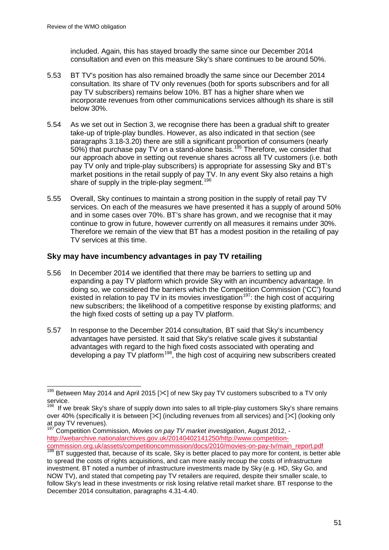included. Again, this has stayed broadly the same since our December 2014 consultation and even on this measure Sky's share continues to be around 50%.

- 5.53 BT TV's position has also remained broadly the same since our December 2014 consultation. Its share of TV only revenues (both for sports subscribers and for all pay TV subscribers) remains below 10%. BT has a higher share when we incorporate revenues from other communications services although its share is still below 30%.
- 5.54 As we set out in Section 3, we recognise there has been a gradual shift to greater take-up of triple-play bundles. However, as also indicated in that section (see paragraphs 3.18-3.20) there are still a significant proportion of consumers (nearly 50%) that purchase pay TV on a stand-alone basis.<sup>[195](#page-51-0)</sup> Therefore, we consider that our approach above in setting out revenue shares across all TV customers (i.e. both pay TV only and triple-play subscribers) is appropriate for assessing Sky and BT's market positions in the retail supply of pay TV. In any event Sky also retains a high share of supply in the triple-play segment.<sup>[196](#page-51-1)</sup>
- 5.55 Overall, Sky continues to maintain a strong position in the supply of retail pay TV services. On each of the measures we have presented it has a supply of around 50% and in some cases over 70%. BT's share has grown, and we recognise that it may continue to grow in future, however currently on all measures it remains under 30%. Therefore we remain of the view that BT has a modest position in the retailing of pay TV services at this time.

### **Sky may have incumbency advantages in pay TV retailing**

- 5.56 In December 2014 we identified that there may be barriers to setting up and expanding a pay TV platform which provide Sky with an incumbency advantage. In doing so, we considered the barriers which the Competition Commission ('CC') found existed in relation to pay TV in its movies investigation<sup>197</sup>: the high cost of acquiring new subscribers; the likelihood of a competitive response by existing platforms; and the high fixed costs of setting up a pay TV platform.
- 5.57 In response to the December 2014 consultation, BT said that Sky's incumbency advantages have persisted. It said that Sky's relative scale gives it substantial advantages with regard to the high fixed costs associated with operating and developing a pay TV platform<sup>[198](#page-51-3)</sup>, the high cost of acquiring new subscribers created

<span id="page-51-2"></span><sup>197</sup> Competition Commission, *Movies on pay TV market investigation*, August 2012, [http://webarchive.nationalarchives.gov.uk/20140402141250/http://www.competition-](http://webarchive.nationalarchives.gov.uk/20140402141250/http:/www.competition-commission.org.uk/assets/competitioncommission/docs/2010/movies-on-pay-tv/main_report.pdf)

<span id="page-51-0"></span><sup>&</sup>lt;sup>195</sup> Between May 2014 and April 2015 [ $\ll$ ] of new Sky pay TV customers subscribed to a TV only service.  $\overline{a}$ 

<span id="page-51-1"></span><sup>&</sup>lt;sup>196</sup> If we break Sky's share of supply down into sales to all triple-play customers Sky's share remains over 40% (specifically it is between  $[\times]$  (including revenues from all services) and  $[\times]$  (looking only at pay TV revenues).

<span id="page-51-3"></span>[commission.org.uk/assets/competitioncommission/docs/2010/movies-on-pay-tv/main\\_report.pdf 198](http://webarchive.nationalarchives.gov.uk/20140402141250/http:/www.competition-commission.org.uk/assets/competitioncommission/docs/2010/movies-on-pay-tv/main_report.pdf) BT suggested that, because of its scale, Sky is better placed to pay more for content, is better able to spread the costs of rights acquisitions, and can more easily recoup the costs of infrastructure investment. BT noted a number of infrastructure investments made by Sky (e.g. HD, Sky Go, and NOW TV), and stated that competing pay TV retailers are required, despite their smaller scale, to follow Sky's lead in these investments or risk losing relative retail market share. BT response to the December 2014 consultation, paragraphs 4.31-4.40.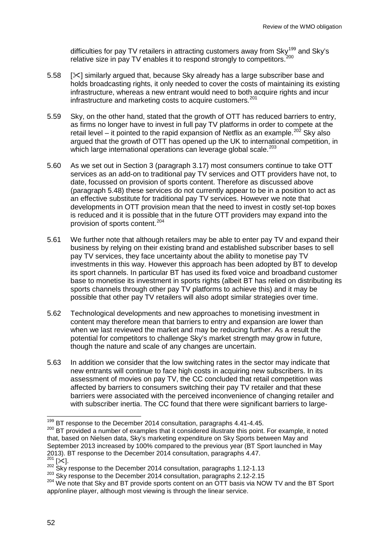difficulties for pay TV retailers in attracting customers away from  $\text{Sky}^{\text{199}}$  $\text{Sky}^{\text{199}}$  $\text{Sky}^{\text{199}}$  and  $\text{Sky's}$ relative size in pay TV enables it to respond strongly to competitors.<sup>[200](#page-52-1)</sup>

- 5.58 [ $\%$ ] similarly argued that, because Sky already has a large subscriber base and holds broadcasting rights, it only needed to cover the costs of maintaining its existing infrastructure, whereas a new entrant would need to both acquire rights and incur infrastructure and marketing costs to acquire customers.<sup>[201](#page-52-2)</sup>
- 5.59 Sky, on the other hand, stated that the growth of OTT has reduced barriers to entry, as firms no longer have to invest in full pay TV platforms in order to compete at the retail level – it pointed to the rapid expansion of Netflix as an example.<sup>[202](#page-52-3)</sup> Sky also argued that the growth of OTT has opened up the UK to international competition, in which large international operations can leverage global scale.<sup>[203](#page-52-4)</sup>
- 5.60 As we set out in Section 3 (paragraph 3.17) most consumers continue to take OTT services as an add-on to traditional pay TV services and OTT providers have not, to date, focussed on provision of sports content. Therefore as discussed above (paragraph 5.48) these services do not currently appear to be in a position to act as an effective substitute for traditional pay TV services. However we note that developments in OTT provision mean that the need to invest in costly set-top boxes is reduced and it is possible that in the future OTT providers may expand into the provision of sports content.[204](#page-52-5)
- 5.61 We further note that although retailers may be able to enter pay TV and expand their business by relying on their existing brand and established subscriber bases to sell pay TV services, they face uncertainty about the ability to monetise pay TV investments in this way. However this approach has been adopted by BT to develop its sport channels. In particular BT has used its fixed voice and broadband customer base to monetise its investment in sports rights (albeit BT has relied on distributing its sports channels through other pay TV platforms to achieve this) and it may be possible that other pay TV retailers will also adopt similar strategies over time.
- 5.62 Technological developments and new approaches to monetising investment in content may therefore mean that barriers to entry and expansion are lower than when we last reviewed the market and may be reducing further. As a result the potential for competitors to challenge Sky's market strength may grow in future, though the nature and scale of any changes are uncertain.
- 5.63 In addition we consider that the low switching rates in the sector may indicate that new entrants will continue to face high costs in acquiring new subscribers. In its assessment of movies on pay TV, the CC concluded that retail competition was affected by barriers to consumers switching their pay TV retailer and that these barriers were associated with the perceived inconvenience of changing retailer and with subscriber inertia. The CC found that there were significant barriers to large-

<sup>&</sup>lt;sup>199</sup> BT response to the December 2014 consultation, paragraphs 4.41-4.45.

<span id="page-52-1"></span><span id="page-52-0"></span><sup>&</sup>lt;sup>200</sup> BT provided a number of examples that it considered illustrate this point. For example, it noted that, based on Nielsen data, Sky's marketing expenditure on Sky Sports between May and September 2013 increased by 100% compared to the previous year (BT Sport launched in May 2013). BT response to the December 2014 consultation, paragraphs 4.47.<br><sup>201</sup> [ $\approx$ ].<br><sup>202</sup> Sky response to the December 2014 consultation, paragraphs 1.12-1.13

<span id="page-52-2"></span>

<span id="page-52-4"></span><span id="page-52-3"></span><sup>&</sup>lt;sup>203</sup> Sky response to the December 2014 consultation, paragraphs 2.12-2.15

<span id="page-52-5"></span><sup>&</sup>lt;sup>204</sup> We note that Sky and BT provide sports content on an OTT basis via NOW TV and the BT Sport app/online player, although most viewing is through the linear service.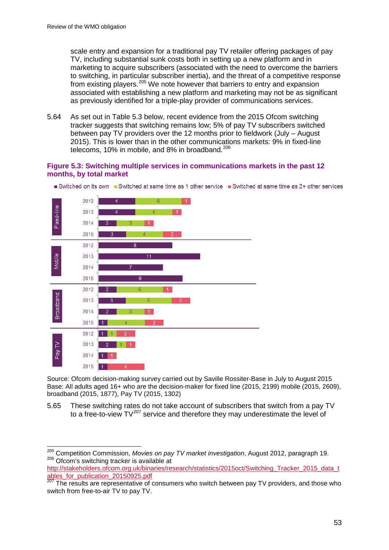scale entry and expansion for a traditional pay TV retailer offering packages of pay TV, including substantial sunk costs both in setting up a new platform and in marketing to acquire subscribers (associated with the need to overcome the barriers to switching, in particular subscriber inertia), and the threat of a competitive response from existing players.<sup>[205](#page-53-0)</sup> We note however that barriers to entry and expansion associated with establishing a new platform and marketing may not be as significant as previously identified for a triple-play provider of communications services.

5.64 As set out in Table 5.3 below, recent evidence from the 2015 Ofcom switching tracker suggests that switching remains low; 5% of pay TV subscribers switched between pay TV providers over the 12 months prior to fieldwork (July – August 2015). This is lower than in the other communications markets: 9% in fixed-line telecoms, 10% in mobile, and 8% in broadband. $206$ 

### **Figure 5.3: Switching multiple services in communications markets in the past 12 months, by total market**



Switched on its own Switched at same time as 1 other service Switched at same time as 2+ other services

Source: Ofcom decision-making survey carried out by Saville Rossiter-Base in July to August 2015 Base: All adults aged 16+ who are the decision-maker for fixed line (2015, 2199) mobile (2015, 2609), broadband (2015, 1877), Pay TV (2015, 1302)

5.65 These switching rates do not take account of subscribers that switch from a pay TV to a free-to-view  $TV^{207}$  $TV^{207}$  $TV^{207}$  service and therefore they may underestimate the level of

<span id="page-53-0"></span><sup>205</sup> Competition Commission, *Movies on pay TV market investigation*, August 2012, paragraph 19. 206 Ofcom's switching tracker is available at  $\overline{a}$ 

<span id="page-53-1"></span>[http://stakeholders.ofcom.org.uk/binaries/research/statistics/2015oct/Switching\\_Tracker\\_2015\\_data\\_t](http://stakeholders.ofcom.org.uk/binaries/research/statistics/2015oct/Switching_Tracker_2015_data_tables_for_publication_20150925.pdf) [ables\\_for\\_publication\\_20150925.pdf](http://stakeholders.ofcom.org.uk/binaries/research/statistics/2015oct/Switching_Tracker_2015_data_tables_for_publication_20150925.pdf)

<span id="page-53-2"></span><sup>&</sup>lt;sup>207</sup> The results are representative of consumers who switch between pay TV providers, and those who switch from free-to-air TV to pay TV.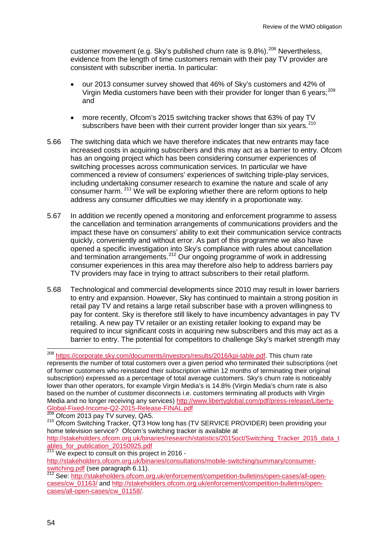customer movement (e.g. Sky's published churn rate is 9.8%).<sup>[208](#page-54-0)</sup> Nevertheless, evidence from the length of time customers remain with their pay TV provider are consistent with subscriber inertia. In particular:

- our 2013 consumer survey showed that 46% of Sky's customers and 42% of Virgin Media customers have been with their provider for longer than 6 years;[209](#page-54-1) and
- more recently, Ofcom's 2015 switching tracker shows that 63% of pay TV subscribers have been with their current provider longer than six years.<sup>[210](#page-54-2)</sup>
- 5.66 The switching data which we have therefore indicates that new entrants may face increased costs in acquiring subscribers and this may act as a barrier to entry. Ofcom has an ongoing project which has been considering consumer experiences of switching processes across communication services. In particular we have commenced a review of consumers' experiences of switching triple-play services, including undertaking consumer research to examine the nature and scale of any consumer harm. <sup>[211](#page-54-3)</sup> We will be exploring whether there are reform options to help address any consumer difficulties we may identify in a proportionate way.
- 5.67 In addition we recently opened a monitoring and enforcement programme to assess the cancellation and termination arrangements of communications providers and the impact these have on consumers' ability to exit their communication service contracts quickly, conveniently and without error. As part of this programme we also have opened a specific investigation into Sky's compliance with rules about cancellation and termination arrangements.<sup>[212](#page-54-4)</sup> Our ongoing programme of work in addressing consumer experiences in this area may therefore also help to address barriers pay TV providers may face in trying to attract subscribers to their retail platform.
- 5.68 Technological and commercial developments since 2010 may result in lower barriers to entry and expansion. However, Sky has continued to maintain a strong position in retail pay TV and retains a large retail subscriber base with a proven willingness to pay for content. Sky is therefore still likely to have incumbency advantages in pay TV retailing. A new pay TV retailer or an existing retailer looking to expand may be required to incur significant costs in acquiring new subscribers and this may act as a barrier to entry. The potential for competitors to challenge Sky's market strength may

[ables\\_for\\_publication\\_20150925.pdf](http://stakeholders.ofcom.org.uk/binaries/research/statistics/2015oct/Switching_Tracker_2015_data_tables_for_publication_20150925.pdf)

<span id="page-54-0"></span><sup>208</sup> [https://corporate.sky.com/documents/investors/results/2016/kpi-table.pdf.](https://corporate.sky.com/documents/investors/results/2016/kpi-table.pdf) This churn rate represents the number of total customers over a given period who terminated their subscriptions (net of former customers who reinstated their subscription within 12 months of terminating their original subscription) expressed as a percentage of total average customers. Sky's churn rate is noticeably lower than other operators, for example Virgin Media's is 14.8% (Virgin Media's churn rate is also based on the number of customer disconnects i.e. customers terminating all products with Virgin Media and no longer receiving any services) http://www.libertyglobal.com/pdf/press-release/Liberty-<br>Global-Fixed-Income-Q2-2015-Release-FINAL.pdf<br>209 Ofsem 2012 Paul TV = 2015 208

<span id="page-54-2"></span><span id="page-54-1"></span> $\frac{209}{200}$  Ofcom 2013 pay TV survey, QA5.  $\frac{210}{200}$  Ofcom Switching Tracker, QT3 How long has (TV SERVICE PROVIDER) been providing your home television service? Ofcom's switching tracker is available at [http://stakeholders.ofcom.org.uk/binaries/research/statistics/2015oct/Switching\\_Tracker\\_2015\\_data\\_t](http://stakeholders.ofcom.org.uk/binaries/research/statistics/2015oct/Switching_Tracker_2015_data_tables_for_publication_20150925.pdf)

<span id="page-54-3"></span><sup>&</sup>lt;sup>211</sup> We expect to consult on this project in 2016 [http://stakeholders.ofcom.org.uk/binaries/consultations/mobile-switching/summary/consumer](http://stakeholders.ofcom.org.uk/binaries/consultations/mobile-switching/summary/consumer-switching.pdf)[switching.pdf](http://stakeholders.ofcom.org.uk/binaries/consultations/mobile-switching/summary/consumer-switching.pdf) (see paragraph 6.11).<br><sup>212</sup> See: [http://stakeholders.ofcom.org.uk/enforcement/competition-bulletins/open-cases/all-open-](http://stakeholders.ofcom.org.uk/enforcement/competition-bulletins/open-cases/all-open-cases/cw_01163/)

<span id="page-54-4"></span>[cases/cw\\_01163/](http://stakeholders.ofcom.org.uk/enforcement/competition-bulletins/open-cases/all-open-cases/cw_01163/) and [http://stakeholders.ofcom.org.uk/enforcement/competition-bulletins/open](http://stakeholders.ofcom.org.uk/enforcement/competition-bulletins/open-cases/all-open-cases/cw_01158/)[cases/all-open-cases/cw\\_01158/.](http://stakeholders.ofcom.org.uk/enforcement/competition-bulletins/open-cases/all-open-cases/cw_01158/)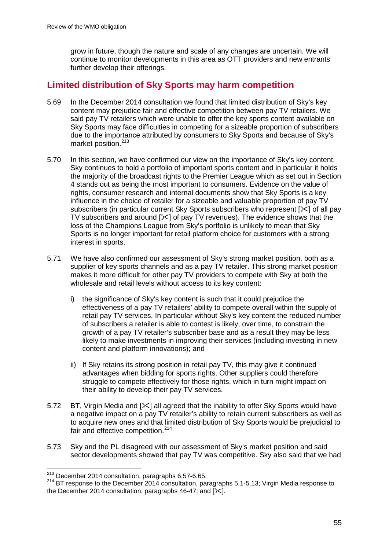grow in future, though the nature and scale of any changes are uncertain. We will continue to monitor developments in this area as OTT providers and new entrants further develop their offerings.

# **Limited distribution of Sky Sports may harm competition**

- 5.69 In the December 2014 consultation we found that limited distribution of Sky's key content may prejudice fair and effective competition between pay TV retailers. We said pay TV retailers which were unable to offer the key sports content available on Sky Sports may face difficulties in competing for a sizeable proportion of subscribers due to the importance attributed by consumers to Sky Sports and because of Sky's market position.<sup>[213](#page-55-0)</sup>
- 5.70 In this section, we have confirmed our view on the importance of Sky's key content. Sky continues to hold a portfolio of important sports content and in particular it holds the majority of the broadcast rights to the Premier League which as set out in Section 4 stands out as being the most important to consumers. Evidence on the value of rights, consumer research and internal documents show that Sky Sports is a key influence in the choice of retailer for a sizeable and valuable proportion of pay TV subscribers (in particular current Sky Sports subscribers who represent  $[\times]$  of all pay TV subscribers and around  $[\times]$  of pay TV revenues). The evidence shows that the loss of the Champions League from Sky's portfolio is unlikely to mean that Sky Sports is no longer important for retail platform choice for customers with a strong interest in sports.
- 5.71 We have also confirmed our assessment of Sky's strong market position, both as a supplier of key sports channels and as a pay TV retailer. This strong market position makes it more difficult for other pay TV providers to compete with Sky at both the wholesale and retail levels without access to its key content:
	- i) the significance of Sky's key content is such that it could prejudice the effectiveness of a pay TV retailers' ability to compete overall within the supply of retail pay TV services. In particular without Sky's key content the reduced number of subscribers a retailer is able to contest is likely, over time, to constrain the growth of a pay TV retailer's subscriber base and as a result they may be less likely to make investments in improving their services (including investing in new content and platform innovations); and
	- ii) If Sky retains its strong position in retail pay TV, this may give it continued advantages when bidding for sports rights. Other suppliers could therefore struggle to compete effectively for those rights, which in turn might impact on their ability to develop their pay TV services.
- 5.72 BT, Virgin Media and  $[\times]$  all agreed that the inability to offer Sky Sports would have a negative impact on a pay TV retailer's ability to retain current subscribers as well as to acquire new ones and that limited distribution of Sky Sports would be prejudicial to fair and effective competition.<sup>[214](#page-55-1)</sup>
- 5.73 Sky and the PL disagreed with our assessment of Sky's market position and said sector developments showed that pay TV was competitive. Sky also said that we had

 $\frac{^{213}}{^{213}}$  December 2014 consultation, paragraphs 6.57-6.65.  $\overline{a}$ 

<span id="page-55-1"></span><span id="page-55-0"></span><sup>&</sup>lt;sup>214</sup> BT response to the December 2014 consultation, paragraphs 5.1-5.13; Virgin Media response to the December 2014 consultation, paragraphs 46-47; and  $\left[\times\right]$ .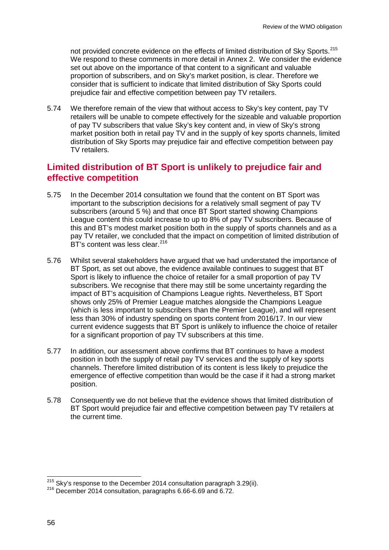not provided concrete evidence on the effects of limited distribution of Sky Sports.<sup>[215](#page-56-0)</sup> We respond to these comments in more detail in Annex 2. We consider the evidence set out above on the importance of that content to a significant and valuable proportion of subscribers, and on Sky's market position, is clear. Therefore we consider that is sufficient to indicate that limited distribution of Sky Sports could prejudice fair and effective competition between pay TV retailers.

5.74 We therefore remain of the view that without access to Sky's key content, pay TV retailers will be unable to compete effectively for the sizeable and valuable proportion of pay TV subscribers that value Sky's key content and, in view of Sky's strong market position both in retail pay TV and in the supply of key sports channels, limited distribution of Sky Sports may prejudice fair and effective competition between pay TV retailers.

# **Limited distribution of BT Sport is unlikely to prejudice fair and effective competition**

- 5.75 In the December 2014 consultation we found that the content on BT Sport was important to the subscription decisions for a relatively small segment of pay TV subscribers (around 5 %) and that once BT Sport started showing Champions League content this could increase to up to 8% of pay TV subscribers. Because of this and BT's modest market position both in the supply of sports channels and as a pay TV retailer, we concluded that the impact on competition of limited distribution of BT's content was less clear.<sup>[216](#page-56-1)</sup>
- 5.76 Whilst several stakeholders have argued that we had understated the importance of BT Sport, as set out above, the evidence available continues to suggest that BT Sport is likely to influence the choice of retailer for a small proportion of pay TV subscribers. We recognise that there may still be some uncertainty regarding the impact of BT's acquisition of Champions League rights. Nevertheless, BT Sport shows only 25% of Premier League matches alongside the Champions League (which is less important to subscribers than the Premier League), and will represent less than 30% of industry spending on sports content from 2016/17. In our view current evidence suggests that BT Sport is unlikely to influence the choice of retailer for a significant proportion of pay TV subscribers at this time.
- 5.77 In addition, our assessment above confirms that BT continues to have a modest position in both the supply of retail pay TV services and the supply of key sports channels. Therefore limited distribution of its content is less likely to prejudice the emergence of effective competition than would be the case if it had a strong market position.
- 5.78 Consequently we do not believe that the evidence shows that limited distribution of BT Sport would prejudice fair and effective competition between pay TV retailers at the current time.

<span id="page-56-0"></span><sup>&</sup>lt;sup>215</sup> Sky's response to the December 2014 consultation paragraph 3.29(ii).

<span id="page-56-1"></span> $216$  December 2014 consultation, paragraphs 6.66-6.69 and 6.72.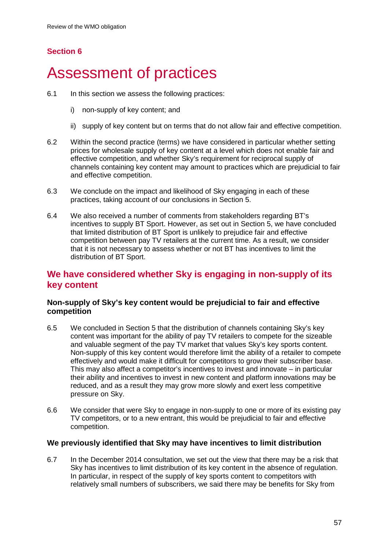# **Section 6**

# 6 Assessment of practices

- 6.1 In this section we assess the following practices:
	- i) non-supply of key content; and
	- ii) supply of key content but on terms that do not allow fair and effective competition.
- 6.2 Within the second practice (terms) we have considered in particular whether setting prices for wholesale supply of key content at a level which does not enable fair and effective competition, and whether Sky's requirement for reciprocal supply of channels containing key content may amount to practices which are prejudicial to fair and effective competition.
- 6.3 We conclude on the impact and likelihood of Sky engaging in each of these practices, taking account of our conclusions in Section 5.
- 6.4 We also received a number of comments from stakeholders regarding BT's incentives to supply BT Sport. However, as set out in Section 5, we have concluded that limited distribution of BT Sport is unlikely to prejudice fair and effective competition between pay TV retailers at the current time. As a result, we consider that it is not necessary to assess whether or not BT has incentives to limit the distribution of BT Sport.

# **We have considered whether Sky is engaging in non-supply of its key content**

## **Non-supply of Sky's key content would be prejudicial to fair and effective competition**

- 6.5 We concluded in Section 5 that the distribution of channels containing Sky's key content was important for the ability of pay TV retailers to compete for the sizeable and valuable segment of the pay TV market that values Sky's key sports content. Non-supply of this key content would therefore limit the ability of a retailer to compete effectively and would make it difficult for competitors to grow their subscriber base. This may also affect a competitor's incentives to invest and innovate – in particular their ability and incentives to invest in new content and platform innovations may be reduced, and as a result they may grow more slowly and exert less competitive pressure on Sky.
- 6.6 We consider that were Sky to engage in non-supply to one or more of its existing pay TV competitors, or to a new entrant, this would be prejudicial to fair and effective competition.

## **We previously identified that Sky may have incentives to limit distribution**

6.7 In the December 2014 consultation, we set out the view that there may be a risk that Sky has incentives to limit distribution of its key content in the absence of regulation. In particular, in respect of the supply of key sports content to competitors with relatively small numbers of subscribers, we said there may be benefits for Sky from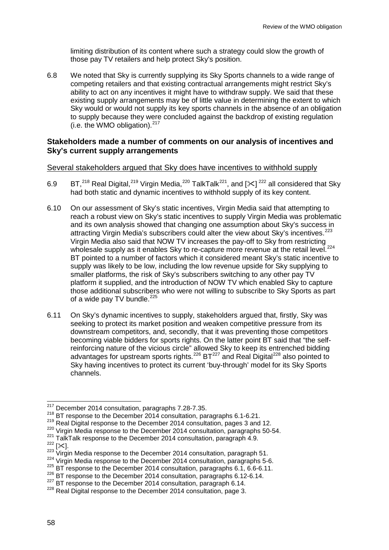limiting distribution of its content where such a strategy could slow the growth of those pay TV retailers and help protect Sky's position.

6.8 We noted that Sky is currently supplying its Sky Sports channels to a wide range of competing retailers and that existing contractual arrangements might restrict Sky's ability to act on any incentives it might have to withdraw supply. We said that these existing supply arrangements may be of little value in determining the extent to which Sky would or would not supply its key sports channels in the absence of an obligation to supply because they were concluded against the backdrop of existing regulation (i.e. the WMO obligation). [217](#page-58-0)

### **Stakeholders made a number of comments on our analysis of incentives and Sky's current supply arrangements**

### Several stakeholders argued that Sky does have incentives to withhold supply

- 6.9 BT,<sup>[218](#page-58-1)</sup> Real Digital,<sup>[219](#page-58-2)</sup> Virgin Media,<sup>[220](#page-58-3)</sup> TalkTalk<sup>221</sup>, and [ $\ll$ ]<sup>[222](#page-58-5)</sup> all considered that Sky had both static and dynamic incentives to withhold supply of its key content.
- 6.10 On our assessment of Sky's static incentives, Virgin Media said that attempting to reach a robust view on Sky's static incentives to supply Virgin Media was problematic and its own analysis showed that changing one assumption about Sky's success in attracting Virgin Media's subscribers could alter the view about Sky's incentives.<sup>[223](#page-58-6)</sup> Virgin Media also said that NOW TV increases the pay-off to Sky from restricting wholesale supply as it enables Sky to re-capture more revenue at the retail level.<sup>[224](#page-58-7)</sup> BT pointed to a number of factors which it considered meant Sky's static incentive to supply was likely to be low, including the low revenue upside for Sky supplying to smaller platforms, the risk of Sky's subscribers switching to any other pay TV platform it supplied, and the introduction of NOW TV which enabled Sky to capture those additional subscribers who were not willing to subscribe to Sky Sports as part of a wide pay TV bundle.<sup>[225](#page-58-8)</sup>
- 6.11 On Sky's dynamic incentives to supply, stakeholders argued that, firstly, Sky was seeking to protect its market position and weaken competitive pressure from its downstream competitors, and, secondly, that it was preventing those competitors becoming viable bidders for sports rights. On the latter point BT said that "the selfreinforcing nature of the vicious circle" allowed Sky to keep its entrenched bidding advantages for upstream sports rights.<sup>[226](#page-58-9)</sup> BT<sup>[227](#page-58-10)</sup> and Real Digital<sup>[228](#page-58-11)</sup> also pointed to Sky having incentives to protect its current 'buy-through' model for its Sky Sports channels.

 $\frac{217}{11}$  December 2014 consultation, paragraphs 7.28-7.35.  $\overline{a}$ 

<span id="page-58-1"></span><span id="page-58-0"></span> $^{218}$  BT response to the December 2014 consultation, paragraphs 6.1-6.21.<br> $^{219}$  Real Digital response to the December 2014 consultation, pages 3 and 12.

<span id="page-58-3"></span><span id="page-58-2"></span><sup>&</sup>lt;sup>220</sup> Virgin Media response to the December 2014 consultation, paragraphs 50-54.<br><sup>221</sup> TalkTalk response to the December 2014 consultation, paragraph 4.9.

<span id="page-58-6"></span><span id="page-58-5"></span><span id="page-58-4"></span> $\frac{222}{222}$ [ $\approx$ ].<br>
<sup>223</sup> Virgin Media response to the December 2014 consultation, paragraph 51.<br>
<sup>224</sup> Virgin Media response to the December 2014 consultation, paragraphs 5-6.

<span id="page-58-8"></span><span id="page-58-7"></span><sup>225</sup> BT response to the December 2014 consultation, paragraphs 6.1, 6.6-6.11.

<span id="page-58-9"></span> $^{226}$  BT response to the December 2014 consultation, paragraphs 6.12-6.14.<br> $^{227}$  BT response to the December 2014 consultation, paragraph 6.14.

<span id="page-58-11"></span><span id="page-58-10"></span> $228$  Real Digital response to the December 2014 consultation, page 3.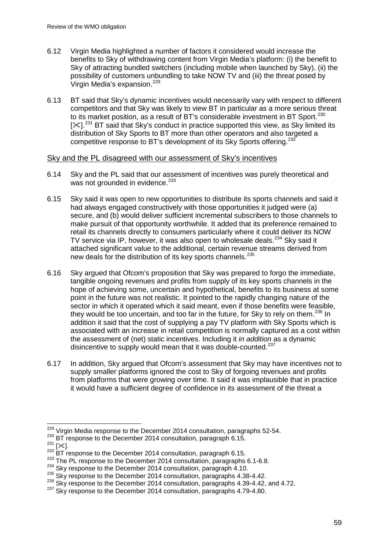- 6.12 Virgin Media highlighted a number of factors it considered would increase the benefits to Sky of withdrawing content from Virgin Media's platform: (i) the benefit to Sky of attracting bundled switchers (including mobile when launched by Sky), (ii) the possibility of customers unbundling to take NOW TV and (iii) the threat posed by Virgin Media's expansion.<sup>[229](#page-59-0)</sup>
- 6.13 BT said that Sky's dynamic incentives would necessarily vary with respect to different competitors and that Sky was likely to view BT in particular as a more serious threat to its market position, as a result of BT's considerable investment in BT Sport.<sup>[230](#page-59-1)</sup>  $[\times]$ <sup>[231](#page-59-2)</sup> BT said that Sky's conduct in practice supported this view, as Sky limited its distribution of Sky Sports to BT more than other operators and also targeted a competitive response to BT's development of its Sky Sports offering.<sup>[232](#page-59-3)</sup>

### Sky and the PL disagreed with our assessment of Sky's incentives

- 6.14 Sky and the PL said that our assessment of incentives was purely theoretical and was not grounded in evidence.<sup>[233](#page-59-4)</sup>
- 6.15 Sky said it was open to new opportunities to distribute its sports channels and said it had always engaged constructively with those opportunities it judged were (a) secure, and (b) would deliver sufficient incremental subscribers to those channels to make pursuit of that opportunity worthwhile. It added that its preference remained to retail its channels directly to consumers particularly where it could deliver its NOW TV service via IP, however, it was also open to wholesale deals.<sup>[234](#page-59-5)</sup> Sky said it attached significant value to the additional, certain revenue streams derived from new deals for the distribution of its key sports channels.<sup>[235](#page-59-6)</sup>
- 6.16 Sky argued that Ofcom's proposition that Sky was prepared to forgo the immediate, tangible ongoing revenues and profits from supply of its key sports channels in the hope of achieving some, uncertain and hypothetical, benefits to its business at some point in the future was not realistic. It pointed to the rapidly changing nature of the sector in which it operated which it said meant, even if those benefits were feasible, they would be too uncertain, and too far in the future, for Sky to rely on them. $^{236}$  $^{236}$  $^{236}$  In addition it said that the cost of supplying a pay TV platform with Sky Sports which is associated with an increase in retail competition is normally captured as a cost within the assessment of (net) static incentives. Including it *in addition* as a dynamic disincentive to supply would mean that it was double-counted.<sup>[237](#page-59-8)</sup>
- 6.17 In addition, Sky argued that Ofcom's assessment that Sky may have incentives not to supply smaller platforms ignored the cost to Sky of forgoing revenues and profits from platforms that were growing over time. It said it was implausible that in practice it would have a sufficient degree of confidence in its assessment of the threat a

 $\frac{^{229}}{^{229}}$  Virgin Media response to the December 2014 consultation, paragraphs 52-54.  $\overline{a}$ 

<span id="page-59-3"></span>

<span id="page-59-4"></span>

<span id="page-59-5"></span>

<span id="page-59-7"></span><span id="page-59-6"></span>

<span id="page-59-2"></span><span id="page-59-1"></span><span id="page-59-0"></span><sup>&</sup>lt;sup>230</sup> BT response to the December 2014 consultation, paragraph 6.15.<br><sup>231</sup> [ $\times$ ].<br><sup>232</sup> BT response to the December 2014 consultation, paragraph 6.15.<br><sup>233</sup> The PL response to the December 2014 consultation, paragraphs 6

<span id="page-59-8"></span>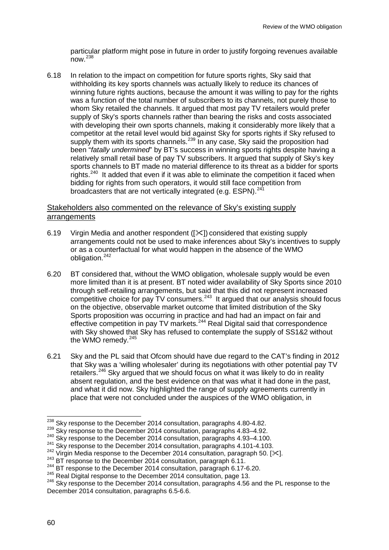particular platform might pose in future in order to justify forgoing revenues available now.[238](#page-60-0)

6.18 In relation to the impact on competition for future sports rights, Sky said that withholding its key sports channels was actually likely to reduce its chances of winning future rights auctions, because the amount it was willing to pay for the rights was a function of the total number of subscribers to its channels, not purely those to whom Sky retailed the channels. It argued that most pay TV retailers would prefer supply of Sky's sports channels rather than bearing the risks and costs associated with developing their own sports channels, making it considerably more likely that a competitor at the retail level would bid against Sky for sports rights if Sky refused to supply them with its sports channels.<sup>[239](#page-60-1)</sup> In any case, Sky said the proposition had been "*fatally undermined*" by BT's success in winning sports rights despite having a relatively small retail base of pay TV subscribers. It argued that supply of Sky's key sports channels to BT made no material difference to its threat as a bidder for sports rights.<sup>[240](#page-60-2)</sup> It added that even if it was able to eliminate the competition it faced when bidding for rights from such operators, it would still face competition from broadcasters that are not vertically integrated (e.g. ESPN).<sup>[241](#page-60-3)</sup>

### Stakeholders also commented on the relevance of Sky's existing supply arrangements

- 6.19 Virgin Media and another respondent  $(|\times|)$  considered that existing supply arrangements could not be used to make inferences about Sky's incentives to supply or as a counterfactual for what would happen in the absence of the WMO obligation. [242](#page-60-4)
- 6.20 BT considered that, without the WMO obligation, wholesale supply would be even more limited than it is at present. BT noted wider availability of Sky Sports since 2010 through self-retailing arrangements, but said that this did not represent increased competitive choice for pay  $TV$  consumers.<sup>[243](#page-60-5)</sup> It argued that our analysis should focus on the objective, observable market outcome that limited distribution of the Sky Sports proposition was occurring in practice and had had an impact on fair and effective competition in pay TV markets.[244](#page-60-6) Real Digital said that correspondence with Sky showed that Sky has refused to contemplate the supply of SS1&2 without the WMO remedy. $245$
- 6.21 Sky and the PL said that Ofcom should have due regard to the CAT's finding in 2012 that Sky was a 'willing wholesaler' during its negotiations with other potential pay TV retailers.<sup>[246](#page-60-8)</sup> Sky argued that we should focus on what it was likely to do in reality absent regulation, and the best evidence on that was what it had done in the past, and what it did now. Sky highlighted the range of supply agreements currently in place that were not concluded under the auspices of the WMO obligation, in

<span id="page-60-0"></span><sup>&</sup>lt;sup>238</sup> Sky response to the December 2014 consultation, paragraphs 4.80-4.82.<br><sup>239</sup> Sky response to the December 2014 consultation, paragraphs 4.83–4.92.<br><sup>240</sup> Sky response to the December 2014 consultation, paragraphs 4.93  $\overline{a}$ 

<span id="page-60-2"></span><span id="page-60-1"></span><sup>&</sup>lt;sup>240</sup> Sky response to the December 2014 consultation, paragraphs 4.93–4.100.<br><sup>241</sup> Sky response to the December 2014 consultation, paragraphs 4.101-4.103.

<span id="page-60-3"></span>

<span id="page-60-4"></span><sup>&</sup>lt;sup>242</sup> Virgin Media response to the December 2014 consultation, paragraph 50. [ $\approx$ ].<br><sup>243</sup> BT response to the December 2014 consultation, paragraph 6.11.<br><sup>244</sup> BT response to the December 2014 consultation, paragraph 6.17

<span id="page-60-5"></span>

<span id="page-60-6"></span>

<span id="page-60-8"></span><span id="page-60-7"></span>

 $^{245}$  Real Digital response to the December 2014 consultation, page 13.<br><sup>246</sup> Skv response to the December 2014 consultation, paragraphs 4.56 and the PL response to the December 2014 consultation, paragraphs 6.5-6.6.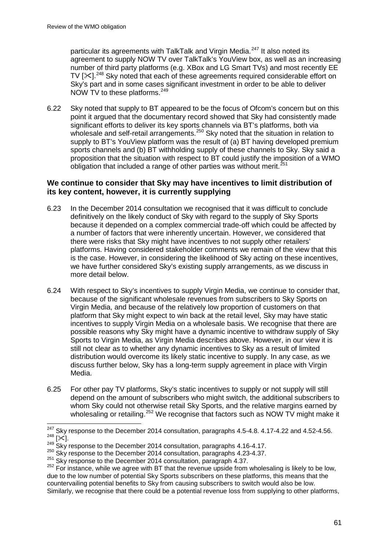particular its agreements with TalkTalk and Virgin Media.<sup>[247](#page-61-0)</sup> It also noted its agreement to supply NOW TV over TalkTalk's YouView box, as well as an increasing number of third party platforms (e.g. XBox and LG Smart TVs) and most recently EE TV  $[\times]$ <sup>[248](#page-61-1)</sup> Sky noted that each of these agreements required considerable effort on Sky's part and in some cases significant investment in order to be able to deliver NOW TV to these platforms.<sup>[249](#page-61-2)</sup>

6.22 Sky noted that supply to BT appeared to be the focus of Ofcom's concern but on this point it argued that the documentary record showed that Sky had consistently made significant efforts to deliver its key sports channels via BT's platforms, both via wholesale and self-retail arrangements.<sup>[250](#page-61-3)</sup> Sky noted that the situation in relation to supply to BT's YouView platform was the result of (a) BT having developed premium sports channels and (b) BT withholding supply of these channels to Sky. Sky said a proposition that the situation with respect to BT could justify the imposition of a WMO obligation that included a range of other parties was without merit. $^{251}$  $^{251}$  $^{251}$ 

### **We continue to consider that Sky may have incentives to limit distribution of its key content, however, it is currently supplying**

- 6.23 In the December 2014 consultation we recognised that it was difficult to conclude definitively on the likely conduct of Sky with regard to the supply of Sky Sports because it depended on a complex commercial trade-off which could be affected by a number of factors that were inherently uncertain. However, we considered that there were risks that Sky might have incentives to not supply other retailers' platforms. Having considered stakeholder comments we remain of the view that this is the case. However, in considering the likelihood of Sky acting on these incentives, we have further considered Sky's existing supply arrangements, as we discuss in more detail below.
- 6.24 With respect to Sky's incentives to supply Virgin Media, we continue to consider that, because of the significant wholesale revenues from subscribers to Sky Sports on Virgin Media, and because of the relatively low proportion of customers on that platform that Sky might expect to win back at the retail level, Sky may have static incentives to supply Virgin Media on a wholesale basis. We recognise that there are possible reasons why Sky might have a dynamic incentive to withdraw supply of Sky Sports to Virgin Media, as Virgin Media describes above. However, in our view it is still not clear as to whether any dynamic incentives to Sky as a result of limited distribution would overcome its likely static incentive to supply. In any case, as we discuss further below, Sky has a long-term supply agreement in place with Virgin Media.
- 6.25 For other pay TV platforms, Sky's static incentives to supply or not supply will still depend on the amount of subscribers who might switch, the additional subscribers to whom Sky could not otherwise retail Sky Sports, and the relative margins earned by wholesaling or retailing.<sup>[252](#page-61-5)</sup> We recognise that factors such as NOW TV might make it

<span id="page-61-1"></span><span id="page-61-0"></span>Expressions to the December 2014 consultation, paragraphs 4.16-4.17.<br>
<sup>249</sup> Sky response to the December 2014 consultation, paragraphs 4.16-4.17.<br>
<sup>250</sup> Sky response to the December 2014 consultation, paragraphs 4.23-4.37  $247$  Skv response to the December 2014 consultation, paragraphs 4.5-4.8. 4.17-4.22 and 4.52-4.56.

<span id="page-61-2"></span>

<span id="page-61-3"></span>

<span id="page-61-4"></span>

<span id="page-61-5"></span>due to the low number of potential Sky Sports subscribers on these platforms, this means that the countervailing potential benefits to Sky from causing subscribers to switch would also be low. Similarly, we recognise that there could be a potential revenue loss from supplying to other platforms,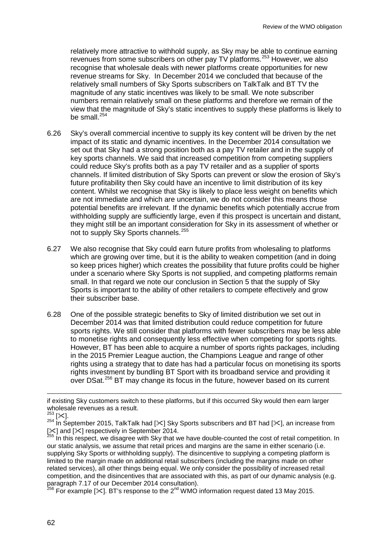relatively more attractive to withhold supply, as Sky may be able to continue earning revenues from some subscribers on other pay TV platforms.<sup>[253](#page-62-0)</sup> However, we also recognise that wholesale deals with newer platforms create opportunities for new revenue streams for Sky. In December 2014 we concluded that because of the relatively small numbers of Sky Sports subscribers on TalkTalk and BT TV the magnitude of any static incentives was likely to be small. We note subscriber numbers remain relatively small on these platforms and therefore we remain of the view that the magnitude of Sky's static incentives to supply these platforms is likely to be small.<sup>[254](#page-62-1)</sup>

- 6.26 Sky's overall commercial incentive to supply its key content will be driven by the net impact of its static and dynamic incentives. In the December 2014 consultation we set out that Sky had a strong position both as a pay TV retailer and in the supply of key sports channels. We said that increased competition from competing suppliers could reduce Sky's profits both as a pay TV retailer and as a supplier of sports channels. If limited distribution of Sky Sports can prevent or slow the erosion of Sky's future profitability then Sky could have an incentive to limit distribution of its key content. Whilst we recognise that Sky is likely to place less weight on benefits which are not immediate and which are uncertain, we do not consider this means those potential benefits are irrelevant. If the dynamic benefits which potentially accrue from withholding supply are sufficiently large, even if this prospect is uncertain and distant, they might still be an important consideration for Sky in its assessment of whether or not to supply Sky Sports channels.<sup>[255](#page-62-2)</sup>
- 6.27 We also recognise that Sky could earn future profits from wholesaling to platforms which are growing over time, but it is the ability to weaken competition (and in doing so keep prices higher) which creates the possibility that future profits could be higher under a scenario where Sky Sports is not supplied, and competing platforms remain small. In that regard we note our conclusion in Section 5 that the supply of Sky Sports is important to the ability of other retailers to compete effectively and grow their subscriber base.
- 6.28 One of the possible strategic benefits to Sky of limited distribution we set out in December 2014 was that limited distribution could reduce competition for future sports rights. We still consider that platforms with fewer subscribers may be less able to monetise rights and consequently less effective when competing for sports rights. However, BT has been able to acquire a number of sports rights packages, including in the 2015 Premier League auction, the Champions League and range of other rights using a strategy that to date has had a particular focus on monetising its sports rights investment by bundling BT Sport with its broadband service and providing it over DSat.<sup>[256](#page-62-3)</sup> BT may change its focus in the future, however based on its current

-

if existing Sky customers switch to these platforms, but if this occurred Sky would then earn larger wholesale revenues as a result.

<span id="page-62-0"></span><sup>&</sup>lt;sup>253</sup> [※].<br><sup>254</sup> In September 2015, TalkTalk had [※] Sky Sports subscribers and BT had [※], an increase from

<span id="page-62-2"></span><span id="page-62-1"></span><sup>[%]</sup> and [%] respectively in September 2014.<br><sup>255</sup> In this respect, we disagree with Sky that we have double-counted the cost of retail competition. In our static analysis, we assume that retail prices and margins are the same in either scenario (i.e. supplying Sky Sports or withholding supply). The disincentive to supplying a competing platform is limited to the margin made on additional retail subscribers (including the margins made on other related services), all other things being equal. We only consider the possibility of increased retail competition, and the disincentives that are associated with this, as part of our dynamic analysis (e.g. paragraph 7.17 of our December 2014 consultation).

<span id="page-62-3"></span><sup>&</sup>lt;sup>256</sup> For example [ $\ll$ ]. BT's response to the 2<sup>nd</sup> WMO information request dated 13 May 2015.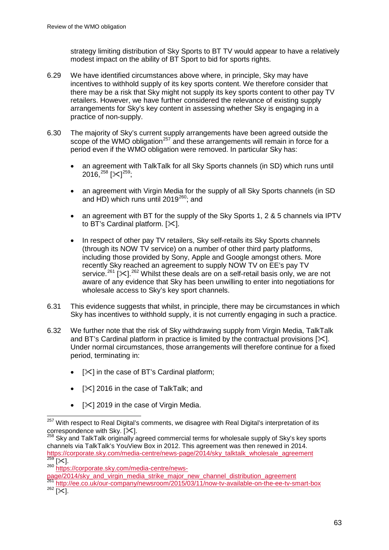strategy limiting distribution of Sky Sports to BT TV would appear to have a relatively modest impact on the ability of BT Sport to bid for sports rights.

- 6.29 We have identified circumstances above where, in principle, Sky may have incentives to withhold supply of its key sports content. We therefore consider that there may be a risk that Sky might not supply its key sports content to other pay TV retailers. However, we have further considered the relevance of existing supply arrangements for Sky's key content in assessing whether Sky is engaging in a practice of non-supply.
- 6.30 The majority of Sky's current supply arrangements have been agreed outside the scope of the WMO obligation<sup>[257](#page-63-0)</sup> and these arrangements will remain in force for a period even if the WMO obligation were removed. In particular Sky has:
	- an agreement with TalkTalk for all Sky Sports channels (in SD) which runs until 2016, $^{258}$  $^{258}$  $^{258}$  [ $\times$ ] $^{259}$  $^{259}$  $^{259}$ ;
	- an agreement with Virgin Media for the supply of all Sky Sports channels (in SD and  $\text{HD}$ ) which runs until 2019<sup>[260](#page-63-3)</sup>; and
	- an agreement with BT for the supply of the Sky Sports 1, 2 & 5 channels via IPTV to BT's Cardinal platform.  $[\times]$ .
	- In respect of other pay TV retailers, Sky self-retails its Sky Sports channels (through its NOW TV service) on a number of other third party platforms, including those provided by Sony, Apple and Google amongst others. More recently Sky reached an agreement to supply NOW TV on EE's pay TV service.<sup>[261](#page-63-4)</sup> [ $\times$ ].<sup>[262](#page-63-5)</sup> Whilst these deals are on a self-retail basis only, we are not aware of any evidence that Sky has been unwilling to enter into negotiations for wholesale access to Sky's key sport channels.
- 6.31 This evidence suggests that whilst, in principle, there may be circumstances in which Sky has incentives to withhold supply, it is not currently engaging in such a practice.
- 6.32 We further note that the risk of Sky withdrawing supply from Virgin Media, TalkTalk and BT's Cardinal platform in practice is limited by the contractual provisions  $[\times]$ . Under normal circumstances, those arrangements will therefore continue for a fixed period, terminating in:
	- $[\times]$  in the case of BT's Cardinal platform;
	- $[\times]$  2016 in the case of TalkTalk; and
	- [ $\le$ ] 2019 in the case of Virgin Media.

<span id="page-63-3"></span>[page/2014/sky\\_and\\_virgin\\_media\\_strike\\_major\\_new\\_channel\\_distribution\\_agreement](https://corporate.sky.com/media-centre/news-page/2014/sky_and_virgin_media_strike_major_new_channel_distribution_agreement)

<span id="page-63-0"></span><sup>&</sup>lt;sup>257</sup> With respect to Real Digital's comments, we disagree with Real Digital's interpretation of its correspondence with Sky.  $[\times]$ .  $\overline{a}$ 

<span id="page-63-1"></span><sup>&</sup>lt;sup>258</sup> Sky and TalkTalk originally agreed commercial terms for wholesale supply of Sky's key sports channels via TalkTalk's YouView Box in 2012. This agreement was then renewed in 2014. [https://corporate.sky.com/media-centre/news-page/2014/sky\\_talktalk\\_wholesale\\_agreement](https://corporate.sky.com/media-centre/news-page/2014/sky_talktalk_wholesale_agreement) <sup>259</sup> [ $\times$ ].<br><sup>259</sup> [ $\times$ ].<br><sup>260</sup> [https://corporate.sky.com/media-centre/news-](https://corporate.sky.com/media-centre/news-page/2014/sky_and_virgin_media_strike_major_new_channel_distribution_agreement)

<span id="page-63-2"></span>

<span id="page-63-5"></span><span id="page-63-4"></span><http://ee.co.uk/our-company/newsroom/2015/03/11/now-tv-available-on-the-ee-tv-smart-box>  $262 \overline{[31]}$ .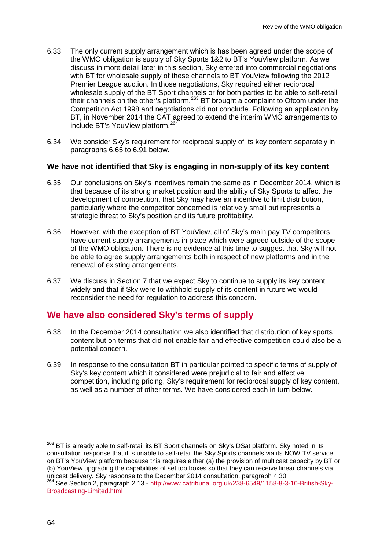- 6.33 The only current supply arrangement which is has been agreed under the scope of the WMO obligation is supply of Sky Sports 1&2 to BT's YouView platform. As we discuss in more detail later in this section, Sky entered into commercial negotiations with BT for wholesale supply of these channels to BT YouView following the 2012 Premier League auction. In those negotiations, Sky required either reciprocal wholesale supply of the BT Sport channels or for both parties to be able to self-retail their channels on the other's platform.[263](#page-64-0) BT brought a complaint to Ofcom under the Competition Act 1998 and negotiations did not conclude. Following an application by BT, in November 2014 the CAT agreed to extend the interim WMO arrangements to include BT's YouView platform.<sup>[264](#page-64-1)</sup>
- 6.34 We consider Sky's requirement for reciprocal supply of its key content separately in paragraphs 6.65 to 6.91 below.

### **We have not identified that Sky is engaging in non-supply of its key content**

- 6.35 Our conclusions on Sky's incentives remain the same as in December 2014, which is that because of its strong market position and the ability of Sky Sports to affect the development of competition, that Sky may have an incentive to limit distribution, particularly where the competitor concerned is relatively small but represents a strategic threat to Sky's position and its future profitability.
- 6.36 However, with the exception of BT YouView, all of Sky's main pay TV competitors have current supply arrangements in place which were agreed outside of the scope of the WMO obligation. There is no evidence at this time to suggest that Sky will not be able to agree supply arrangements both in respect of new platforms and in the renewal of existing arrangements.
- 6.37 We discuss in Section 7 that we expect Sky to continue to supply its key content widely and that if Sky were to withhold supply of its content in future we would reconsider the need for regulation to address this concern.

## **We have also considered Sky's terms of supply**

- 6.38 In the December 2014 consultation we also identified that distribution of key sports content but on terms that did not enable fair and effective competition could also be a potential concern.
- 6.39 In response to the consultation BT in particular pointed to specific terms of supply of Sky's key content which it considered were prejudicial to fair and effective competition, including pricing, Sky's requirement for reciprocal supply of key content, as well as a number of other terms. We have considered each in turn below.

<span id="page-64-0"></span>BT is already able to self-retail its BT Sport channels on Sky's DSat platform. Sky noted in its consultation response that it is unable to self-retail the Sky Sports channels via its NOW TV service on BT's YouView platform because this requires either (a) the provision of multicast capacity by BT or (b) YouView upgrading the capabilities of set top boxes so that they can receive linear channels via<br>unicast delivery. Sky response to the December 2014 consultation, paragraph 4.30. 263

<span id="page-64-1"></span><sup>&</sup>lt;sup>264</sup> See Section 2, paragraph 2.13 - [http://www.catribunal.org.uk/238-6549/1158-8-3-10-British-Sky-](http://www.catribunal.org.uk/238-6549/1158-8-3-10-British-Sky-Broadcasting-Limited.html)[Broadcasting-Limited.html](http://www.catribunal.org.uk/238-6549/1158-8-3-10-British-Sky-Broadcasting-Limited.html)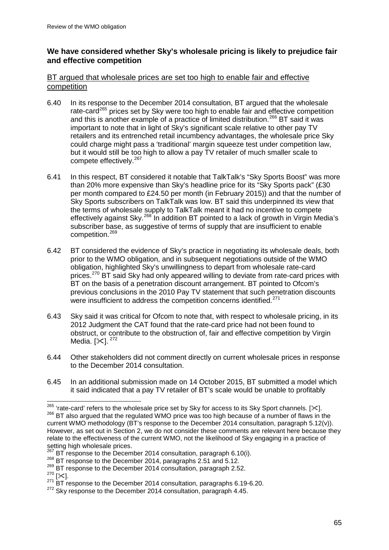## **We have considered whether Sky's wholesale pricing is likely to prejudice fair and effective competition**

## BT argued that wholesale prices are set too high to enable fair and effective competition

- 6.40 In its response to the December 2014 consultation, BT argued that the wholesale rate-card<sup>[265](#page-65-0)</sup> prices set by Sky were too high to enable fair and effective competition and this is another example of a practice of limited distribution.<sup>[266](#page-65-1)</sup> BT said it was important to note that in light of Sky's significant scale relative to other pay TV retailers and its entrenched retail incumbency advantages, the wholesale price Sky could charge might pass a 'traditional' margin squeeze test under competition law, but it would still be too high to allow a pay TV retailer of much smaller scale to compete effectively.<sup>[267](#page-65-2)</sup>
- 6.41 In this respect, BT considered it notable that TalkTalk's "Sky Sports Boost" was more than 20% more expensive than Sky's headline price for its "Sky Sports pack" (£30 per month compared to £24.50 per month (in February 2015)) and that the number of Sky Sports subscribers on TalkTalk was low. BT said this underpinned its view that the terms of wholesale supply to TalkTalk meant it had no incentive to compete effectively against Sky.<sup>[268](#page-65-3)</sup> In addition BT pointed to a lack of growth in Virgin Media's subscriber base, as suggestive of terms of supply that are insufficient to enable competition.<sup>[269](#page-65-4)</sup>
- 6.42 BT considered the evidence of Sky's practice in negotiating its wholesale deals, both prior to the WMO obligation, and in subsequent negotiations outside of the WMO obligation, highlighted Sky's unwillingness to depart from wholesale rate-card prices.<sup>[270](#page-65-5)</sup> BT said Sky had only appeared willing to deviate from rate-card prices with BT on the basis of a penetration discount arrangement. BT pointed to Ofcom's previous conclusions in the 2010 Pay TV statement that such penetration discounts were insufficient to address the competition concerns identified.<sup>[271](#page-65-6)</sup>
- 6.43 Sky said it was critical for Ofcom to note that, with respect to wholesale pricing, in its 2012 Judgment the CAT found that the rate-card price had not been found to obstruct, or contribute to the obstruction of, fair and effective competition by Virgin Media.  $[31. 272]$  $[31. 272]$  $[31. 272]$
- 6.44 Other stakeholders did not comment directly on current wholesale prices in response to the December 2014 consultation.
- 6.45 In an additional submission made on 14 October 2015, BT submitted a model which it said indicated that a pay TV retailer of BT's scale would be unable to profitably

<span id="page-65-1"></span><span id="page-65-0"></span><sup>&</sup>lt;sup>266</sup> BT also arqued that the regulated WMO price was too high because of a number of flaws in the current WMO methodology (BT's response to the December 2014 consultation, paragraph 5.12(v)). However, as set out in Section 2, we do not consider these comments are relevant here because they relate to the effectiveness of the current WMO, not the likelihood of Sky engaging in a practice of setting high wholesale prices.<br><sup>267</sup> BT response to the December 2014 consultation, paragraph 6.10(i). <sup>265</sup> 'rate-card' refers to the wholesale price set by Sky for access to its Sky Sport channels. [ $\ll$ ].

<span id="page-65-5"></span>

<span id="page-65-4"></span><span id="page-65-3"></span><span id="page-65-2"></span><sup>268</sup> BT response to the December 2014, paragraphs 2.51 and 5.12.<br>
<sup>269</sup> BT response to the December 2014 consultation, paragraph 2.52.<br>
<sup>270</sup> [ $\times$ ].<br>
<sup>271</sup> BT response to the December 2014 consultation, paragraphs 6.19-6.

<span id="page-65-7"></span><span id="page-65-6"></span><sup>272</sup> Sky response to the December 2014 consultation, paragraph 4.45.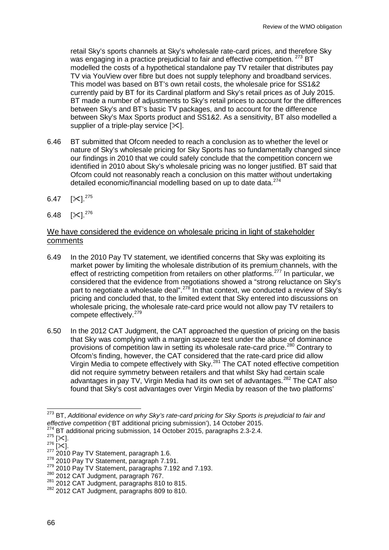retail Sky's sports channels at Sky's wholesale rate-card prices, and therefore Sky was engaging in a practice prejudicial to fair and effective competition. <sup>[273](#page-66-0)</sup> BT modelled the costs of a hypothetical standalone pay TV retailer that distributes pay TV via YouView over fibre but does not supply telephony and broadband services. This model was based on BT's own retail costs, the wholesale price for SS1&2 currently paid by BT for its Cardinal platform and Sky's retail prices as of July 2015. BT made a number of adjustments to Sky's retail prices to account for the differences between Sky's and BT's basic TV packages, and to account for the difference between Sky's Max Sports product and SS1&2. As a sensitivity, BT also modelled a supplier of a triple-play service  $[\times]$ .

- 6.46 BT submitted that Ofcom needed to reach a conclusion as to whether the level or nature of Sky's wholesale pricing for Sky Sports has so fundamentally changed since our findings in 2010 that we could safely conclude that the competition concern we identified in 2010 about Sky's wholesale pricing was no longer justified. BT said that Ofcom could not reasonably reach a conclusion on this matter without undertaking detailed economic/financial modelling based on up to date data.<sup>[274](#page-66-1)</sup>
- 6.47 [ $\times$ ]. $^{275}$  $^{275}$  $^{275}$
- 6.48 [ $\ll$ ]. $^{276}$  $^{276}$  $^{276}$

## We have considered the evidence on wholesale pricing in light of stakeholder comments

- 6.49 In the 2010 Pay TV statement, we identified concerns that Sky was exploiting its market power by limiting the wholesale distribution of its premium channels, with the effect of restricting competition from retailers on other platforms.<sup>[277](#page-66-4)</sup> In particular, we considered that the evidence from negotiations showed a "strong reluctance on Sky's part to negotiate a wholesale deal".<sup>[278](#page-66-5)</sup> In that context, we conducted a review of Sky's pricing and concluded that, to the limited extent that Sky entered into discussions on wholesale pricing, the wholesale rate-card price would not allow pay TV retailers to compete effectively. [279](#page-66-6)
- 6.50 In the 2012 CAT Judgment, the CAT approached the question of pricing on the basis that Sky was complying with a margin squeeze test under the abuse of dominance provisions of competition law in setting its wholesale rate-card price.<sup>[280](#page-66-7)</sup> Contrary to Ofcom's finding, however, the CAT considered that the rate-card price did allow Virgin Media to compete effectively with Sky.<sup>[281](#page-66-8)</sup> The CAT noted effective competition did not require symmetry between retailers and that whilst Sky had certain scale advantages in pay TV, Virgin Media had its own set of advantages.<sup>[282](#page-66-9)</sup> The CAT also found that Sky's cost advantages over Virgin Media by reason of the two platforms'

<span id="page-66-0"></span><sup>273</sup> BT, *Additional evidence on why Sky's rate-card pricing for Sky Sports is prejudicial to fair and effective competition* ('BT additional pricing submission'), 14 October 2015.<br><sup>274</sup> BT additional pricing submission, 14 October 2015, paragraphs 2.3-2.4.<br><sup>275</sup> [%<].  $\overline{a}$ 

<span id="page-66-1"></span>

<span id="page-66-5"></span>

<span id="page-66-4"></span><span id="page-66-3"></span><span id="page-66-2"></span><sup>&</sup>lt;sup>276</sup> [ $\approx$ ].<br><sup>277</sup> 2010 Pay TV Statement, paragraph 1.6.<br><sup>278</sup> 2010 Pay TV Statement, paragraph 7.191.<br><sup>279</sup> 2010 Pay TV Statement, paragraphs 7.192 and 7.193.<br><sup>280</sup> 2012 CAT Judgment, paragraph 767.<br><sup>281</sup> 2012 CAT Judgm

<span id="page-66-7"></span><span id="page-66-6"></span>

<span id="page-66-9"></span><span id="page-66-8"></span><sup>&</sup>lt;sup>282</sup> 2012 CAT Judgment, paragraphs 809 to 810.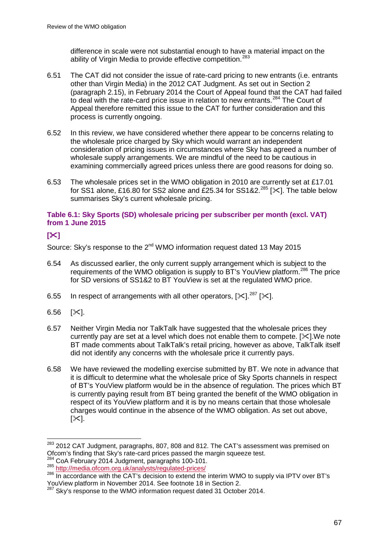difference in scale were not substantial enough to have a material impact on the ability of Virgin Media to provide effective competition.<sup>[283](#page-67-0)</sup>

- 6.51 The CAT did not consider the issue of rate-card pricing to new entrants (i.e. entrants other than Virgin Media) in the 2012 CAT Judgment. As set out in Section 2 (paragraph 2.15), in February 2014 the Court of Appeal found that the CAT had failed to deal with the rate-card price issue in relation to new entrants.<sup>[284](#page-67-1)</sup> The Court of Appeal therefore remitted this issue to the CAT for further consideration and this process is currently ongoing.
- 6.52 In this review, we have considered whether there appear to be concerns relating to the wholesale price charged by Sky which would warrant an independent consideration of pricing issues in circumstances where Sky has agreed a number of wholesale supply arrangements. We are mindful of the need to be cautious in examining commercially agreed prices unless there are good reasons for doing so.
- 6.53 The wholesale prices set in the WMO obligation in 2010 are currently set at £17.01 for SS1 alone,  $\stackrel{.}{E}$ 16.80 for SS2 alone and  $\stackrel{.}{E}$ 25.34 for SS1&2.<sup>[285](#page-67-2)</sup> [ $\times$ ]. The table below summarises Sky's current wholesale pricing.

### **Table 6.1: Sky Sports (SD) wholesale pricing per subscriber per month (excl. VAT) from 1 June 2015**

## **[]**

Source: Sky's response to the 2<sup>nd</sup> WMO information request dated 13 May 2015

- 6.54 As discussed earlier, the only current supply arrangement which is subject to the requirements of the WMO obligation is supply to BT's YouView platform.<sup>[286](#page-67-3)</sup> The price for SD versions of SS1&2 to BT YouView is set at the regulated WMO price.
- 6.55 In respect of arrangements with all other operators,  $[\times]$ .<sup>[287](#page-67-4)</sup> [ $[\times]$ .
- 6.56  $[\times]$ .

 $\overline{a}$ 

- 6.57 Neither Virgin Media nor TalkTalk have suggested that the wholesale prices they currently pay are set at a level which does not enable them to compete.  $[\times]$ . We note BT made comments about TalkTalk's retail pricing, however as above, TalkTalk itself did not identify any concerns with the wholesale price it currently pays.
- 6.58 We have reviewed the modelling exercise submitted by BT. We note in advance that it is difficult to determine what the wholesale price of Sky Sports channels in respect of BT's YouView platform would be in the absence of regulation. The prices which BT is currently paying result from BT being granted the benefit of the WMO obligation in respect of its YouView platform and it is by no means certain that those wholesale charges would continue in the absence of the WMO obligation. As set out above,  $[\times]$ .

<span id="page-67-0"></span><sup>&</sup>lt;sup>283</sup> 2012 CAT Judgment, paragraphs, 807, 808 and 812. The CAT's assessment was premised on Ofcom's finding that Sky's rate-card prices passed the margin squeeze test.<br><sup>284</sup> CoA February 2014 Judgment, paragraphs 100-101.<br><sup>285</sup> http://media.ofcom.org.uk/analysts/regulated-prices/

<span id="page-67-1"></span>

<span id="page-67-4"></span><span id="page-67-3"></span><span id="page-67-2"></span><sup>&</sup>lt;sup>286</sup> In accordance with the CAT's decision to extend the interim WMO to supply via IPTV over BT's YouView platform in November 2014. See footnote 18 in Section 2.<br>287 Sky's respected to the Water Correct of the Water Correct of the Water Correct of the Water Correct of the

 $\sigma$  Sky's response to the WMO information request dated 31 October 2014.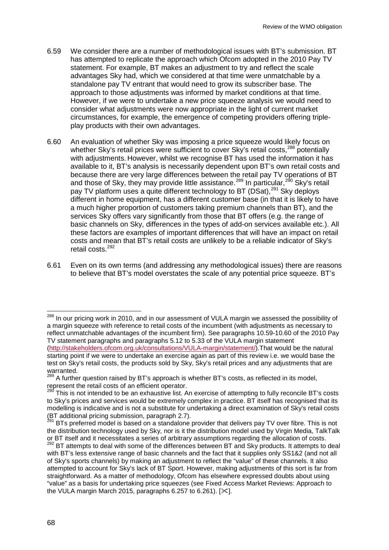- 6.59 We consider there are a number of methodological issues with BT's submission. BT has attempted to replicate the approach which Ofcom adopted in the 2010 Pay TV statement. For example, BT makes an adjustment to try and reflect the scale advantages Sky had, which we considered at that time were unmatchable by a standalone pay TV entrant that would need to grow its subscriber base. The approach to those adjustments was informed by market conditions at that time. However, if we were to undertake a new price squeeze analysis we would need to consider what adjustments were now appropriate in the light of current market circumstances, for example, the emergence of competing providers offering tripleplay products with their own advantages.
- 6.60 An evaluation of whether Sky was imposing a price squeeze would likely focus on whether Sky's retail prices were sufficient to cover Sky's retail costs,<sup>[288](#page-68-0)</sup> potentially with adjustments. However, whilst we recognise BT has used the information it has available to it, BT's analysis is necessarily dependent upon BT's own retail costs and because there are very large differences between the retail pay TV operations of BT and those of Sky, they may provide little assistance.<sup>[289](#page-68-1)</sup> In particular,<sup>[290](#page-68-2)</sup> Sky's retail pay TV platform uses a quite different technology to BT (DSat),<sup>[291](#page-68-3)</sup> Sky deploys different in home equipment, has a different customer base (in that it is likely to have a much higher proportion of customers taking premium channels than BT), and the services Sky offers vary significantly from those that BT offers (e.g. the range of basic channels on Sky, differences in the types of add-on services available etc.). All these factors are examples of important differences that will have an impact on retail costs and mean that BT's retail costs are unlikely to be a reliable indicator of Sky's retail costs.[292](#page-68-4)
- 6.61 Even on its own terms (and addressing any methodological issues) there are reasons to believe that BT's model overstates the scale of any potential price squeeze. BT's

 $\overline{a}$ 

<span id="page-68-0"></span><sup>&</sup>lt;sup>288</sup> In our pricing work in 2010, and in our assessment of VULA margin we assessed the possibility of a margin squeeze with reference to retail costs of the incumbent (with adjustments as necessary to reflect unmatchable advantages of the incumbent firm). See paragraphs 10.59-10.60 of the 2010 Pay TV statement paragraphs and paragraphs 5.12 to 5.33 of the VULA margin statement [\(http://stakeholders.ofcom.org.uk/consultations/VULA-margin/statement/\)](http://stakeholders.ofcom.org.uk/consultations/VULA-margin/statement/).That would be the natural starting point if we were to undertake an exercise again as part of this review i.e. we would base the test on Sky's retail costs, the products sold by Sky, Sky's retail prices and any adjustments that are warranted.

<span id="page-68-1"></span><sup>&</sup>lt;sup>289</sup> A further question raised by BT's approach is whether BT's costs, as reflected in its model, represent the retail costs of an efficient operator.<br><sup>290</sup> This is not interest.

<span id="page-68-2"></span>This is not intended to be an exhaustive list. An exercise of attempting to fully reconcile BT's costs to Sky's prices and services would be extremely complex in practice. BT itself has recognised that its modelling is indicative and is not a substitute for undertaking a direct examination of Sky's retail costs<br>(BT additional pricing submission, paragraph 2.7).

<span id="page-68-4"></span><span id="page-68-3"></span>BTs preferred model is based on a standalone provider that delivers pay TV over fibre. This is not the distribution technology used by Sky, nor is it the distribution model used by Virgin Media, TalkTalk or BT itself and it necessitates a series of arbitrary assumptions regarding the allocation of costs.<br><sup>292</sup> BT attempts to deal with some of the differences between BT and Sky products. It attempts to deal with BT's less extensive range of basic channels and the fact that it supplies only SS1&2 (and not all of Sky's sports channels) by making an adjustment to reflect the "value" of these channels. It also attempted to account for Sky's lack of BT Sport. However, making adjustments of this sort is far from straightforward. As a matter of methodology, Ofcom has elsewhere expressed doubts about using "value" as a basis for undertaking price squeezes (see Fixed Access Market Reviews: Approach to the VULA margin March 2015, paragraphs 6.257 to 6.261).  $[\times]$ .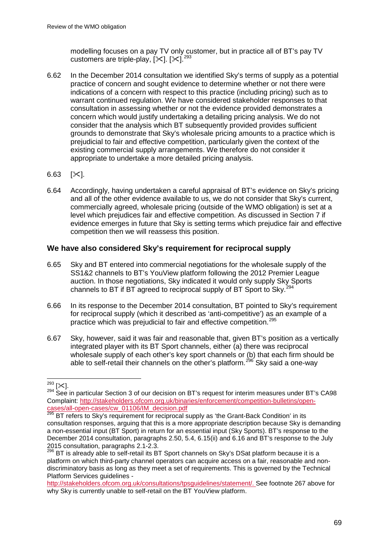modelling focuses on a pay TV only customer, but in practice all of BT's pay TV customers are triple-play,  $[\times]$ .  $[\times]$ . <sup>[293](#page-69-0)</sup>

- 6.62 In the December 2014 consultation we identified Sky's terms of supply as a potential practice of concern and sought evidence to determine whether or not there were indications of a concern with respect to this practice (including pricing) such as to warrant continued regulation. We have considered stakeholder responses to that consultation in assessing whether or not the evidence provided demonstrates a concern which would justify undertaking a detailing pricing analysis. We do not consider that the analysis which BT subsequently provided provides sufficient grounds to demonstrate that Sky's wholesale pricing amounts to a practice which is prejudicial to fair and effective competition, particularly given the context of the existing commercial supply arrangements. We therefore do not consider it appropriate to undertake a more detailed pricing analysis.
- 6.63  $[\times]$ .
- 6.64 Accordingly, having undertaken a careful appraisal of BT's evidence on Sky's pricing and all of the other evidence available to us, we do not consider that Sky's current, commercially agreed, wholesale pricing (outside of the WMO obligation) is set at a level which prejudices fair and effective competition. As discussed in Section 7 if evidence emerges in future that Sky is setting terms which prejudice fair and effective competition then we will reassess this position.

## **We have also considered Sky's requirement for reciprocal supply**

- 6.65 Sky and BT entered into commercial negotiations for the wholesale supply of the SS1&2 channels to BT's YouView platform following the 2012 Premier League auction. In those negotiations, Sky indicated it would only supply Sky Sports channels to BT if BT agreed to reciprocal supply of BT Sport to Sky.<sup>2</sup>
- 6.66 In its response to the December 2014 consultation, BT pointed to Sky's requirement for reciprocal supply (which it described as 'anti-competitive') as an example of a practice which was prejudicial to fair and effective competition.<sup>[295](#page-69-2)</sup>
- 6.67 Sky, however, said it was fair and reasonable that, given BT's position as a vertically integrated player with its BT Sport channels, either (a) there was reciprocal wholesale supply of each other's key sport channels or (b) that each firm should be able to self-retail their channels on the other's platform.<sup>[296](#page-69-3)</sup> Sky said a one-way

 $293$  [ $\times$ ].

<span id="page-69-1"></span><span id="page-69-0"></span> $294$  See in particular Section 3 of our decision on BT's request for interim measures under BT's CA98 Complaint: [http://stakeholders.ofcom.org.uk/binaries/enforcement/competition-bulletins/open](http://stakeholders.ofcom.org.uk/binaries/enforcement/competition-bulletins/open-cases/all-open-cases/cw_01106/IM_decision.pdf)[cases/all-open-cases/cw\\_01106/IM\\_decision.pdf](http://stakeholders.ofcom.org.uk/binaries/enforcement/competition-bulletins/open-cases/all-open-cases/cw_01106/IM_decision.pdf) <sup>295</sup> BT refers to Sky's requirement for reciprocal supply as 'the Grant-Back Condition' in its

<span id="page-69-2"></span>consultation responses, arguing that this is a more appropriate description because Sky is demanding a non-essential input (BT Sport) in return for an essential input (Sky Sports). BT's response to the December 2014 consultation, paragraphs 2.50, 5.4, 6.15(ii) and 6.16 and BT's response to the July 2015 consultation, paragraphs 2.1-2.3.

<span id="page-69-3"></span><sup>&</sup>lt;sup>296</sup> BT is already able to self-retail its BT Sport channels on Sky's DSat platform because it is a platform on which third-party channel operators can acquire access on a fair, reasonable and nondiscriminatory basis as long as they meet a set of requirements. This is governed by the Technical Platform Services quidelines -

[http://stakeholders.ofcom.org.uk/consultations/tpsguidelines/statement/.](http://stakeholders.ofcom.org.uk/consultations/tpsguidelines/statement/) See footnote 267 above for why Sky is currently unable to self-retail on the BT YouView platform.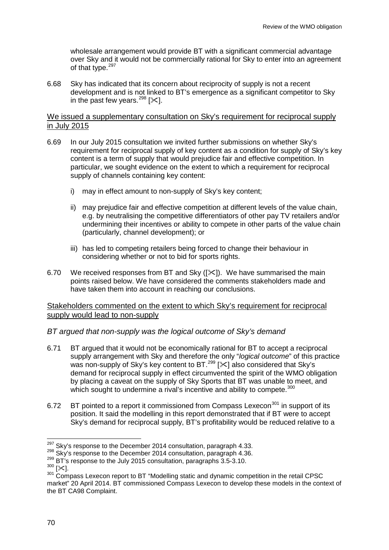wholesale arrangement would provide BT with a significant commercial advantage over Sky and it would not be commercially rational for Sky to enter into an agreement of that type.<sup>[297](#page-70-0)</sup>

6.68 Sky has indicated that its concern about reciprocity of supply is not a recent development and is not linked to BT's emergence as a significant competitor to Sky in the past few years.<sup>[298](#page-70-1)</sup> [ $\ll$ ].

### We issued a supplementary consultation on Sky's requirement for reciprocal supply in July 2015

- 6.69 In our July 2015 consultation we invited further submissions on whether Sky's requirement for reciprocal supply of key content as a condition for supply of Sky's key content is a term of supply that would prejudice fair and effective competition. In particular, we sought evidence on the extent to which a requirement for reciprocal supply of channels containing key content:
	- i) may in effect amount to non-supply of Sky's key content;
	- ii) may prejudice fair and effective competition at different levels of the value chain, e.g. by neutralising the competitive differentiators of other pay TV retailers and/or undermining their incentives or ability to compete in other parts of the value chain (particularly, channel development); or
	- iii) has led to competing retailers being forced to change their behaviour in considering whether or not to bid for sports rights.
- 6.70 We received responses from BT and Sky  $(|\times|)$ . We have summarised the main points raised below. We have considered the comments stakeholders made and have taken them into account in reaching our conclusions.

### Stakeholders commented on the extent to which Sky's requirement for reciprocal supply would lead to non-supply

## *BT argued that non-supply was the logical outcome of Sky's demand*

- 6.71 BT argued that it would not be economically rational for BT to accept a reciprocal supply arrangement with Sky and therefore the only "*logical outcome*" of this practice was non-supply of Sky's key content to BT.<sup>[299](#page-70-2)</sup> [ $\ll$ ] also considered that Sky's demand for reciprocal supply in effect circumvented the spirit of the WMO obligation by placing a caveat on the supply of Sky Sports that BT was unable to meet, and which sought to undermine a rival's incentive and ability to compete.<sup>[300](#page-70-3)</sup>
- 6.72 BT pointed to a report it commissioned from Compass Lexecon<sup>[301](#page-70-4)</sup> in support of its position. It said the modelling in this report demonstrated that if BT were to accept Sky's demand for reciprocal supply, BT's profitability would be reduced relative to a

<sup>&</sup>lt;sup>297</sup> Skv's response to the December 2014 consultation, paragraph 4.33.

<span id="page-70-2"></span>

<span id="page-70-4"></span><span id="page-70-3"></span>

<span id="page-70-1"></span><span id="page-70-0"></span><sup>&</sup>lt;sup>298</sup> Sky's response to the December 2014 consultation, paragraph 4.36.<br><sup>299</sup> BT's response to the July 2015 consultation, paragraphs 3.5-3.10.<br><sup>300</sup> [ $\times$ ].<br><sup>301</sup> Compass Lexecon report to BT "Modelling static and dynami market" 20 April 2014. BT commissioned Compass Lexecon to develop these models in the context of the BT CA98 Complaint.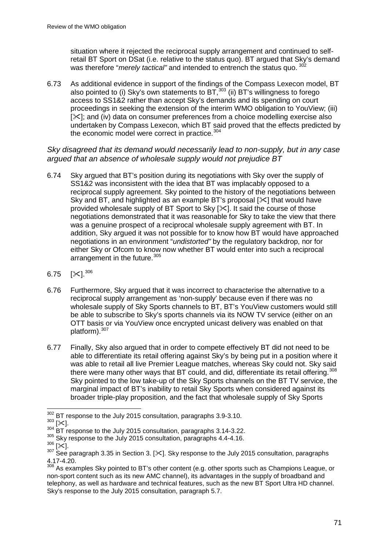situation where it rejected the reciprocal supply arrangement and continued to selfretail BT Sport on DSat (i.e. relative to the status quo). BT argued that Sky's demand was therefore "*merely tactical"* and intended to entrench the status quo. [302](#page-71-0)

6.73 As additional evidence in support of the findings of the Compass Lexecon model, BT also pointed to (i) Sky's own statements to BT,[303](#page-71-1) (ii) BT's willingness to forego access to SS1&2 rather than accept Sky's demands and its spending on court proceedings in seeking the extension of the interim WMO obligation to YouView; (iii) [ $\ge$ ]; and (iv) data on consumer preferences from a choice modelling exercise also undertaken by Compass Lexecon, which BT said proved that the effects predicted by the economic model were correct in practice.<sup>[304](#page-71-2)</sup>

*Sky disagreed that its demand would necessarily lead to non-supply, but in any case argued that an absence of wholesale supply would not prejudice BT*

- 6.74 Sky argued that BT's position during its negotiations with Sky over the supply of SS1&2 was inconsistent with the idea that BT was implacably opposed to a reciprocal supply agreement. Sky pointed to the history of the negotiations between Sky and BT, and highlighted as an example BT's proposal  $[\times]$  that would have provided wholesale supply of BT Sport to Sky  $[\times]$ . It said the course of those negotiations demonstrated that it was reasonable for Sky to take the view that there was a genuine prospect of a reciprocal wholesale supply agreement with BT. In addition, Sky argued it was not possible for to know how BT would have approached negotiations in an environment "*undistorted"* by the regulatory backdrop, nor for either Sky or Ofcom to know now whether BT would enter into such a reciprocal arrangement in the future.<sup>[305](#page-71-3)</sup>
- 6.75 [ $\Join$ ]. $^{306}$  $^{306}$  $^{306}$
- 6.76 Furthermore, Sky argued that it was incorrect to characterise the alternative to a reciprocal supply arrangement as 'non-supply' because even if there was no wholesale supply of Sky Sports channels to BT, BT's YouView customers would still be able to subscribe to Sky's sports channels via its NOW TV service (either on an OTT basis or via YouView once encrypted unicast delivery was enabled on that platform).<sup>[307](#page-71-5)</sup>
- 6.77 Finally, Sky also argued that in order to compete effectively BT did not need to be able to differentiate its retail offering against Sky's by being put in a position where it was able to retail all live Premier League matches, whereas Sky could not. Sky said there were many other ways that BT could, and did, differentiate its retail offering.<sup>[308](#page-71-6)</sup> Sky pointed to the low take-up of the Sky Sports channels on the BT TV service, the marginal impact of BT's inability to retail Sky Sports when considered against its broader triple-play proposition, and the fact that wholesale supply of Sky Sports

 $302$  BT response to the July 2015 consultation, paragraphs 3.9-3.10.  $\overline{a}$ 

<span id="page-71-1"></span><span id="page-71-0"></span> $\frac{303}{303}$  [ $\approx$ ].<br> $\frac{304}{304}$  BT response to the July 2015 consultation, paragraphs 3.14-3.22.

<span id="page-71-3"></span><span id="page-71-2"></span> $\frac{305}{306}$  Sky response to the July 2015 consultation, paragraphs 4.4-4.16.

<span id="page-71-5"></span><span id="page-71-4"></span> $\frac{306}{307}$  [ $\ll$ ].<br><sup>307</sup> See paragraph 3.35 in Section 3. [ $\ll$ ]. Sky response to the July 2015 consultation, paragraphs 4.17-4.20.

<span id="page-71-6"></span> $308$  As examples Sky pointed to BT's other content (e.g. other sports such as Champions League, or non-sport content such as its new AMC channel), its advantages in the supply of broadband and telephony, as well as hardware and technical features, such as the new BT Sport Ultra HD channel. Sky's response to the July 2015 consultation, paragraph 5.7.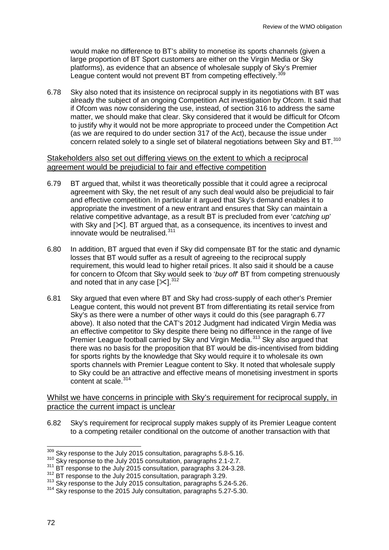would make no difference to BT's ability to monetise its sports channels (given a large proportion of BT Sport customers are either on the Virgin Media or Sky platforms), as evidence that an absence of wholesale supply of Sky's Premier League content would not prevent BT from competing effectively.<sup>[309](#page-72-0)</sup>

6.78 Sky also noted that its insistence on reciprocal supply in its negotiations with BT was already the subject of an ongoing Competition Act investigation by Ofcom. It said that if Ofcom was now considering the use, instead, of section 316 to address the same matter, we should make that clear. Sky considered that it would be difficult for Ofcom to justify why it would not be more appropriate to proceed under the Competition Act (as we are required to do under section 317 of the Act), because the issue under concern related solely to a single set of bilateral negotiations between Sky and BT.<sup>[310](#page-72-1)</sup>

### Stakeholders also set out differing views on the extent to which a reciprocal agreement would be prejudicial to fair and effective competition

- 6.79 BT argued that, whilst it was theoretically possible that it could agree a reciprocal agreement with Sky, the net result of any such deal would also be prejudicial to fair and effective competition. In particular it argued that Sky's demand enables it to appropriate the investment of a new entrant and ensures that Sky can maintain a relative competitive advantage, as a result BT is precluded from ever '*catching up*' with Sky and [ $\ll$ ]. BT argued that, as a consequence, its incentives to invest and innovate would be neutralised.<sup>[311](#page-72-2)</sup>
- 6.80 In addition, BT argued that even if Sky did compensate BT for the static and dynamic losses that BT would suffer as a result of agreeing to the reciprocal supply requirement, this would lead to higher retail prices. It also said it should be a cause for concern to Ofcom that Sky would seek to '*buy off*' BT from competing strenuously and noted that in any case  $[\times]^{312}$  $[\times]^{312}$  $[\times]^{312}$ .
- 6.81 Sky argued that even where BT and Sky had cross-supply of each other's Premier League content, this would not prevent BT from differentiating its retail service from Sky's as there were a number of other ways it could do this (see paragraph 6.77 above). It also noted that the CAT's 2012 Judgment had indicated Virgin Media was an effective competitor to Sky despite there being no difference in the range of live Premier League football carried by Sky and Virgin Media.<sup>[313](#page-72-4)</sup> Sky also argued that there was no basis for the proposition that BT would be dis-incentivised from bidding for sports rights by the knowledge that Sky would require it to wholesale its own sports channels with Premier League content to Sky. It noted that wholesale supply to Sky could be an attractive and effective means of monetising investment in sports content at scale.<sup>[314](#page-72-5)</sup>

### Whilst we have concerns in principle with Sky's requirement for reciprocal supply, in practice the current impact is unclear

6.82 Sky's requirement for reciprocal supply makes supply of its Premier League content to a competing retailer conditional on the outcome of another transaction with that

 $\frac{309}{100}$  Sky response to the July 2015 consultation, paragraphs 5.8-5.16.  $\overline{a}$ 

<span id="page-72-1"></span><span id="page-72-0"></span><sup>&</sup>lt;sup>310</sup> Sky response to the July 2015 consultation, paragraphs 2.1-2.7.

<span id="page-72-2"></span> $311$  BT response to the July 2015 consultation, paragraphs 3.24-3.28.<br> $312$  BT response to the July 2015 consultation, paragraph 3.29.

<span id="page-72-4"></span><span id="page-72-3"></span><sup>&</sup>lt;sup>313</sup> Sky response to the July 2015 consultation, paragraphs 5.24-5.26.

<span id="page-72-5"></span><sup>&</sup>lt;sup>314</sup> Sky response to the 2015 July consultation, paragraphs 5.27-5.30.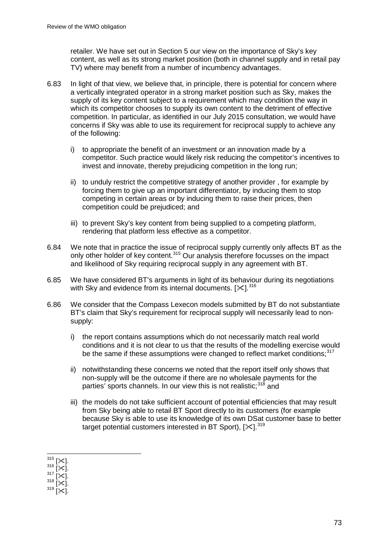retailer. We have set out in Section 5 our view on the importance of Sky's key content, as well as its strong market position (both in channel supply and in retail pay TV) where may benefit from a number of incumbency advantages.

- 6.83 In light of that view, we believe that, in principle, there is potential for concern where a vertically integrated operator in a strong market position such as Sky, makes the supply of its key content subject to a requirement which may condition the way in which its competitor chooses to supply its own content to the detriment of effective competition. In particular, as identified in our July 2015 consultation, we would have concerns if Sky was able to use its requirement for reciprocal supply to achieve any of the following:
	- i) to appropriate the benefit of an investment or an innovation made by a competitor. Such practice would likely risk reducing the competitor's incentives to invest and innovate, thereby prejudicing competition in the long run;
	- ii) to unduly restrict the competitive strategy of another provider , for example by forcing them to give up an important differentiator, by inducing them to stop competing in certain areas or by inducing them to raise their prices, then competition could be prejudiced; and
	- iii) to prevent Sky's key content from being supplied to a competing platform, rendering that platform less effective as a competitor.
- 6.84 We note that in practice the issue of reciprocal supply currently only affects BT as the only other holder of key content.<sup>[315](#page-73-0)</sup> Our analysis therefore focusses on the impact and likelihood of Sky requiring reciprocal supply in any agreement with BT.
- 6.85 We have considered BT's arguments in light of its behaviour during its negotiations with Sky and evidence from its internal documents.  $[\times]$ <sup>[316](#page-73-1)</sup>
- 6.86 We consider that the Compass Lexecon models submitted by BT do not substantiate BT's claim that Sky's requirement for reciprocal supply will necessarily lead to nonsupply:
	- i) the report contains assumptions which do not necessarily match real world conditions and it is not clear to us that the results of the modelling exercise would be the same if these assumptions were changed to reflect market conditions;<sup>[317](#page-73-2)</sup>
	- ii) notwithstanding these concerns we noted that the report itself only shows that non-supply will be the outcome if there are no wholesale payments for the parties' sports channels. In our view this is not realistic;<sup>[318](#page-73-3)</sup> and
	- iii) the models do not take sufficient account of potential efficiencies that may result from Sky being able to retail BT Sport directly to its customers (for example because Sky is able to use its knowledge of its own DSat customer base to better target potential customers interested in BT Sport),  $[\times]$ ,  $^{319}$  $^{319}$  $^{319}$

<span id="page-73-4"></span><span id="page-73-3"></span><span id="page-73-2"></span><span id="page-73-1"></span><span id="page-73-0"></span> $315$  [ $\times$ ].<br> $316$  [ $\times$ ].<br> $317$  [ $\times$ ].<br> $318$  [ $\times$ ].<br> $319$  [ $\times$ ]. 315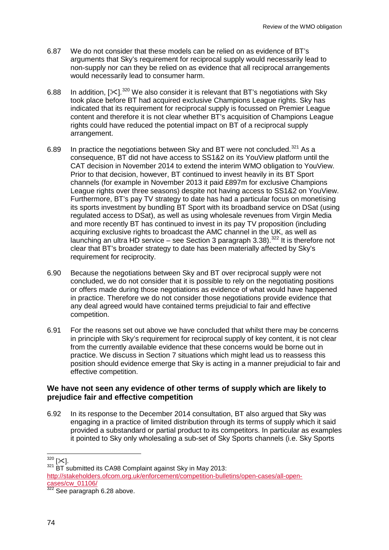- 6.87 We do not consider that these models can be relied on as evidence of BT's arguments that Sky's requirement for reciprocal supply would necessarily lead to non-supply nor can they be relied on as evidence that all reciprocal arrangements would necessarily lead to consumer harm.
- 6.88 In addition,  $[\times]$ . [320](#page-74-0) We also consider it is relevant that BT's negotiations with Sky took place before BT had acquired exclusive Champions League rights. Sky has indicated that its requirement for reciprocal supply is focussed on Premier League content and therefore it is not clear whether BT's acquisition of Champions League rights could have reduced the potential impact on BT of a reciprocal supply arrangement.
- 6.89 In practice the negotiations between Sky and BT were not concluded.<sup>[321](#page-74-1)</sup> As a consequence, BT did not have access to SS1&2 on its YouView platform until the CAT decision in November 2014 to extend the interim WMO obligation to YouView. Prior to that decision, however, BT continued to invest heavily in its BT Sport channels (for example in November 2013 it paid £897m for exclusive Champions League rights over three seasons) despite not having access to SS1&2 on YouView. Furthermore, BT's pay TV strategy to date has had a particular focus on monetising its sports investment by bundling BT Sport with its broadband service on DSat (using regulated access to DSat), as well as using wholesale revenues from Virgin Media and more recently BT has continued to invest in its pay TV proposition (including acquiring exclusive rights to broadcast the AMC channel in the UK, as well as launching an ultra HD service – see Section 3 paragraph 3.38).<sup>[322](#page-74-2)</sup> It is therefore not clear that BT's broader strategy to date has been materially affected by Sky's requirement for reciprocity.
- 6.90 Because the negotiations between Sky and BT over reciprocal supply were not concluded, we do not consider that it is possible to rely on the negotiating positions or offers made during those negotiations as evidence of what would have happened in practice. Therefore we do not consider those negotiations provide evidence that any deal agreed would have contained terms prejudicial to fair and effective competition.
- 6.91 For the reasons set out above we have concluded that whilst there may be concerns in principle with Sky's requirement for reciprocal supply of key content, it is not clear from the currently available evidence that these concerns would be borne out in practice. We discuss in Section 7 situations which might lead us to reassess this position should evidence emerge that Sky is acting in a manner prejudicial to fair and effective competition.

### **We have not seen any evidence of other terms of supply which are likely to prejudice fair and effective competition**

6.92 In its response to the December 2014 consultation, BT also argued that Sky was engaging in a practice of limited distribution through its terms of supply which it said provided a substandard or partial product to its competitors. In particular as examples it pointed to Sky only wholesaling a sub-set of Sky Sports channels (i.e. Sky Sports

 $320$  [ $\times$ ].

<span id="page-74-2"></span><span id="page-74-1"></span><span id="page-74-0"></span> $321$  BT submitted its CA98 Complaint against Sky in May 2013: [http://stakeholders.ofcom.org.uk/enforcement/competition-bulletins/open-cases/all-open](http://stakeholders.ofcom.org.uk/enforcement/competition-bulletins/open-cases/all-open-cases/cw_01106/)cases/cw\_01106/<br>
<sup>322</sup> See paragraph 6.28 above.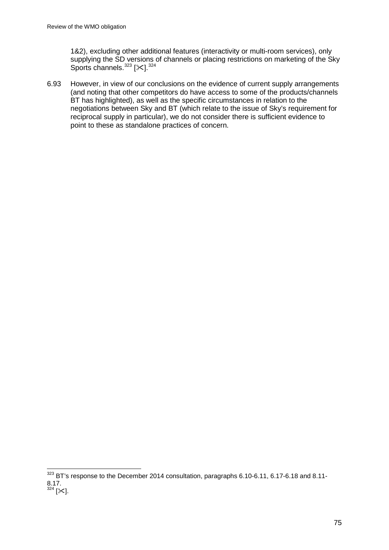1&2), excluding other additional features (interactivity or multi-room services), only supplying the SD versions of channels or placing restrictions on marketing of the Sky Sports channels.  $323$  [ $\epsilon$ ].  $324$ 

6.93 However, in view of our conclusions on the evidence of current supply arrangements (and noting that other competitors do have access to some of the products/channels BT has highlighted), as well as the specific circumstances in relation to the negotiations between Sky and BT (which relate to the issue of Sky's requirement for reciprocal supply in particular), we do not consider there is sufficient evidence to point to these as standalone practices of concern.

<span id="page-75-1"></span><span id="page-75-0"></span> $323$  BT's response to the December 2014 consultation, paragraphs 6.10-6.11, 6.17-6.18 and 8.11- $8.17.$ <sup>324</sup> [ $\times$ ].  $\overline{a}$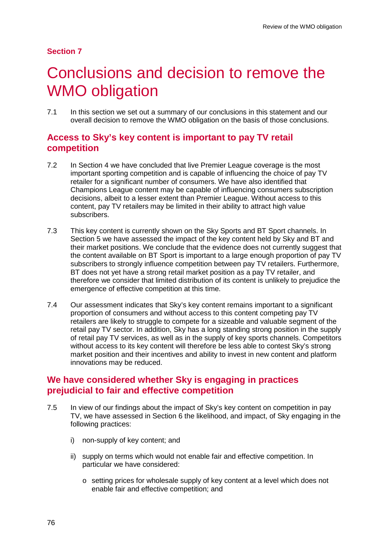## **Section 7**

# 7 Conclusions and decision to remove the WMO obligation

7.1 In this section we set out a summary of our conclusions in this statement and our overall decision to remove the WMO obligation on the basis of those conclusions.

# **Access to Sky's key content is important to pay TV retail competition**

- 7.2 In Section 4 we have concluded that live Premier League coverage is the most important sporting competition and is capable of influencing the choice of pay TV retailer for a significant number of consumers. We have also identified that Champions League content may be capable of influencing consumers subscription decisions, albeit to a lesser extent than Premier League. Without access to this content, pay TV retailers may be limited in their ability to attract high value subscribers.
- 7.3 This key content is currently shown on the Sky Sports and BT Sport channels. In Section 5 we have assessed the impact of the key content held by Sky and BT and their market positions. We conclude that the evidence does not currently suggest that the content available on BT Sport is important to a large enough proportion of pay TV subscribers to strongly influence competition between pay TV retailers. Furthermore, BT does not yet have a strong retail market position as a pay TV retailer, and therefore we consider that limited distribution of its content is unlikely to prejudice the emergence of effective competition at this time.
- 7.4 Our assessment indicates that Sky's key content remains important to a significant proportion of consumers and without access to this content competing pay TV retailers are likely to struggle to compete for a sizeable and valuable segment of the retail pay TV sector. In addition, Sky has a long standing strong position in the supply of retail pay TV services, as well as in the supply of key sports channels. Competitors without access to its key content will therefore be less able to contest Sky's strong market position and their incentives and ability to invest in new content and platform innovations may be reduced.

# **We have considered whether Sky is engaging in practices prejudicial to fair and effective competition**

- 7.5 In view of our findings about the impact of Sky's key content on competition in pay TV, we have assessed in Section 6 the likelihood, and impact, of Sky engaging in the following practices:
	- i) non-supply of key content; and
	- ii) supply on terms which would not enable fair and effective competition. In particular we have considered:
		- o setting prices for wholesale supply of key content at a level which does not enable fair and effective competition; and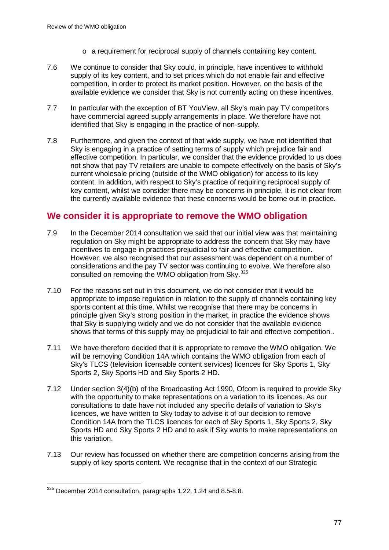- o a requirement for reciprocal supply of channels containing key content.
- 7.6 We continue to consider that Sky could, in principle, have incentives to withhold supply of its key content, and to set prices which do not enable fair and effective competition, in order to protect its market position. However, on the basis of the available evidence we consider that Sky is not currently acting on these incentives.
- 7.7 In particular with the exception of BT YouView, all Sky's main pay TV competitors have commercial agreed supply arrangements in place. We therefore have not identified that Sky is engaging in the practice of non-supply.
- 7.8 Furthermore, and given the context of that wide supply, we have not identified that Sky is engaging in a practice of setting terms of supply which prejudice fair and effective competition. In particular, we consider that the evidence provided to us does not show that pay TV retailers are unable to compete effectively on the basis of Sky's current wholesale pricing (outside of the WMO obligation) for access to its key content. In addition, with respect to Sky's practice of requiring reciprocal supply of key content, whilst we consider there may be concerns in principle, it is not clear from the currently available evidence that these concerns would be borne out in practice.

# **We consider it is appropriate to remove the WMO obligation**

- 7.9 In the December 2014 consultation we said that our initial view was that maintaining regulation on Sky might be appropriate to address the concern that Sky may have incentives to engage in practices prejudicial to fair and effective competition. However, we also recognised that our assessment was dependent on a number of considerations and the pay TV sector was continuing to evolve. We therefore also consulted on removing the WMO obligation from Sky.<sup>[325](#page-77-0)</sup>
- 7.10 For the reasons set out in this document, we do not consider that it would be appropriate to impose regulation in relation to the supply of channels containing key sports content at this time. Whilst we recognise that there may be concerns in principle given Sky's strong position in the market, in practice the evidence shows that Sky is supplying widely and we do not consider that the available evidence shows that terms of this supply may be prejudicial to fair and effective competition..
- 7.11 We have therefore decided that it is appropriate to remove the WMO obligation. We will be removing Condition 14A which contains the WMO obligation from each of Sky's TLCS (television licensable content services) licences for Sky Sports 1, Sky Sports 2, Sky Sports HD and Sky Sports 2 HD.
- 7.12 Under section 3(4)(b) of the Broadcasting Act 1990, Ofcom is required to provide Sky with the opportunity to make representations on a variation to its licences. As our consultations to date have not included any specific details of variation to Sky's licences, we have written to Sky today to advise it of our decision to remove Condition 14A from the TLCS licences for each of Sky Sports 1, Sky Sports 2, Sky Sports HD and Sky Sports 2 HD and to ask if Sky wants to make representations on this variation.
- 7.13 Our review has focussed on whether there are competition concerns arising from the supply of key sports content. We recognise that in the context of our Strategic

<span id="page-77-0"></span> $325$  December 2014 consultation, paragraphs 1.22, 1.24 and 8.5-8.8.  $\overline{a}$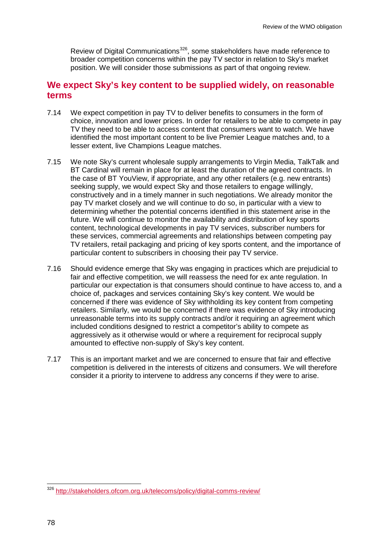Review of Digital Communications<sup>326</sup>, some stakeholders have made reference to broader competition concerns within the pay TV sector in relation to Sky's market position. We will consider those submissions as part of that ongoing review.

# **We expect Sky's key content to be supplied widely, on reasonable terms**

- 7.14 We expect competition in pay TV to deliver benefits to consumers in the form of choice, innovation and lower prices. In order for retailers to be able to compete in pay TV they need to be able to access content that consumers want to watch. We have identified the most important content to be live Premier League matches and, to a lesser extent, live Champions League matches.
- 7.15 We note Sky's current wholesale supply arrangements to Virgin Media, TalkTalk and BT Cardinal will remain in place for at least the duration of the agreed contracts. In the case of BT YouView, if appropriate, and any other retailers (e.g. new entrants) seeking supply, we would expect Sky and those retailers to engage willingly, constructively and in a timely manner in such negotiations. We already monitor the pay TV market closely and we will continue to do so, in particular with a view to determining whether the potential concerns identified in this statement arise in the future. We will continue to monitor the availability and distribution of key sports content, technological developments in pay TV services, subscriber numbers for these services, commercial agreements and relationships between competing pay TV retailers, retail packaging and pricing of key sports content, and the importance of particular content to subscribers in choosing their pay TV service.
- 7.16 Should evidence emerge that Sky was engaging in practices which are prejudicial to fair and effective competition, we will reassess the need for ex ante regulation. In particular our expectation is that consumers should continue to have access to, and a choice of, packages and services containing Sky's key content. We would be concerned if there was evidence of Sky withholding its key content from competing retailers. Similarly, we would be concerned if there was evidence of Sky introducing unreasonable terms into its supply contracts and/or it requiring an agreement which included conditions designed to restrict a competitor's ability to compete as aggressively as it otherwise would or where a requirement for reciprocal supply amounted to effective non-supply of Sky's key content.
- 7.17 This is an important market and we are concerned to ensure that fair and effective competition is delivered in the interests of citizens and consumers. We will therefore consider it a priority to intervene to address any concerns if they were to arise.

<span id="page-78-0"></span><sup>&</sup>lt;sup>326</sup> <http://stakeholders.ofcom.org.uk/telecoms/policy/digital-comms-review/>  $\overline{a}$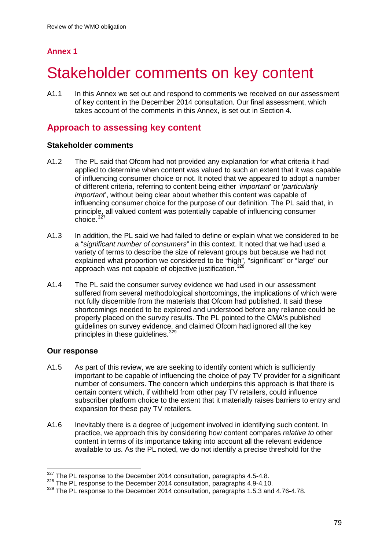# **Annex 1**

# Stakeholder comments on key content

A1.1 In this Annex we set out and respond to comments we received on our assessment of key content in the December 2014 consultation. Our final assessment, which takes account of the comments in this Annex, is set out in Section 4.

# **Approach to assessing key content**

### **Stakeholder comments**

- A1.2 The PL said that Ofcom had not provided any explanation for what criteria it had applied to determine when content was valued to such an extent that it was capable of influencing consumer choice or not. It noted that we appeared to adopt a number of different criteria, referring to content being either '*important*' or '*particularly important*', without being clear about whether this content was capable of influencing consumer choice for the purpose of our definition. The PL said that, in principle, all valued content was potentially capable of influencing consumer choice.<sup>[327](#page-79-0)</sup>
- A1.3 In addition, the PL said we had failed to define or explain what we considered to be a "*significant number of consumers*" in this context. It noted that we had used a variety of terms to describe the size of relevant groups but because we had not explained what proportion we considered to be "high", "significant" or "large" our approach was not capable of objective justification.<sup>[328](#page-79-1)</sup>
- A1.4 The PL said the consumer survey evidence we had used in our assessment suffered from several methodological shortcomings, the implications of which were not fully discernible from the materials that Ofcom had published. It said these shortcomings needed to be explored and understood before any reliance could be properly placed on the survey results. The PL pointed to the CMA's published guidelines on survey evidence, and claimed Ofcom had ignored all the key principles in these guidelines.<sup>[329](#page-79-2)</sup>

### **Our response**

- A1.5 As part of this review, we are seeking to identify content which is sufficiently important to be capable of influencing the choice of pay TV provider for a significant number of consumers. The concern which underpins this approach is that there is certain content which, if withheld from other pay TV retailers, could influence subscriber platform choice to the extent that it materially raises barriers to entry and expansion for these pay TV retailers.
- A1.6 Inevitably there is a degree of judgement involved in identifying such content. In practice, we approach this by considering how content compares *relative to* other content in terms of its importance taking into account all the relevant evidence available to us. As the PL noted, we do not identify a precise threshold for the

 $\frac{327}{10}$  The PL response to the December 2014 consultation, paragraphs 4.5-4.8.  $\overline{a}$ 

<span id="page-79-1"></span><span id="page-79-0"></span><sup>&</sup>lt;sup>328</sup> The PL response to the December 2014 consultation, paragraphs 4.9-4.10.

<span id="page-79-2"></span><sup>&</sup>lt;sup>329</sup> The PL response to the December 2014 consultation, paragraphs 1.5.3 and 4.76-4.78.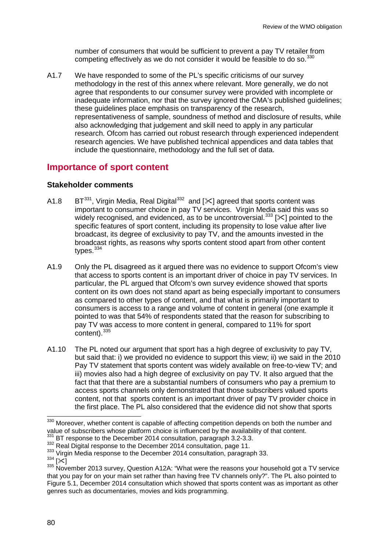number of consumers that would be sufficient to prevent a pay TV retailer from competing effectively as we do not consider it would be feasible to do so. $^{330}$  $^{330}$  $^{330}$ 

A1.7 We have responded to some of the PL's specific criticisms of our survey methodology in the rest of this annex where relevant. More generally, we do not agree that respondents to our consumer survey were provided with incomplete or inadequate information, nor that the survey ignored the CMA's published guidelines; these guidelines place emphasis on transparency of the research, representativeness of sample, soundness of method and disclosure of results, while also acknowledging that judgement and skill need to apply in any particular research. Ofcom has carried out robust research through experienced independent research agencies. We have published technical appendices and data tables that include the questionnaire, methodology and the full set of data.

# **Importance of sport content**

### **Stakeholder comments**

- A1.8 BT<sup>331</sup>, Virgin Media, Real Digital<sup>[332](#page-80-2)</sup> and  $[\times]$  agreed that sports content was important to consumer choice in pay TV services. Virgin Media said this was so widely recognised, and evidenced, as to be uncontroversial.<sup>[333](#page-80-3)</sup> [ $\angle$ ] pointed to the specific features of sport content, including its propensity to lose value after live broadcast, its degree of exclusivity to pay TV, and the amounts invested in the broadcast rights, as reasons why sports content stood apart from other content types.<sup>[334](#page-80-4)</sup>
- A1.9 Only the PL disagreed as it argued there was no evidence to support Ofcom's view that access to sports content is an important driver of choice in pay TV services. In particular, the PL argued that Ofcom's own survey evidence showed that sports content on its own does not stand apart as being especially important to consumers as compared to other types of content, and that what is primarily important to consumers is access to a range and volume of content in general (one example it pointed to was that 54% of respondents stated that the reason for subscribing to pay TV was access to more content in general, compared to 11% for sport content).<sup>[335](#page-80-5)</sup>
- A1.10 The PL noted our argument that sport has a high degree of exclusivity to pay TV, but said that: i) we provided no evidence to support this view; ii) we said in the 2010 Pay TV statement that sports content was widely available on free-to-view TV; and iii) movies also had a high degree of exclusivity on pay TV. It also argued that the fact that that there are a substantial numbers of consumers who pay a premium to access sports channels only demonstrated that those subscribers valued sports content, not that sports content is an important driver of pay TV provider choice in the first place. The PL also considered that the evidence did not show that sports

<span id="page-80-0"></span><sup>&</sup>lt;sup>330</sup> Moreover, whether content is capable of affecting competition depends on both the number and value of subscribers whose platform choice is influenced by the availability of that content.<br><sup>331</sup> BT response to the December 2014 consultation, paragraph 3.2-3.3.<br><sup>332</sup> Real Digital response to the December 2014 consult  $\overline{a}$ 

<span id="page-80-1"></span>

<span id="page-80-5"></span>

<span id="page-80-4"></span><span id="page-80-3"></span><span id="page-80-2"></span><sup>333</sup> Virgin Media response to the December 2014 consultation, paragraph 33.<br> $^{334}$  [ $\approx$ ]<br><sup>334</sup> [ $\approx$ ]<br><sup>335</sup> November 2013 survey, Question A12A: "What were the reasons your household got a TV service that you pay for on your main set rather than having free TV channels only?". The PL also pointed to Figure 5.1, December 2014 consultation which showed that sports content was as important as other genres such as documentaries, movies and kids programming.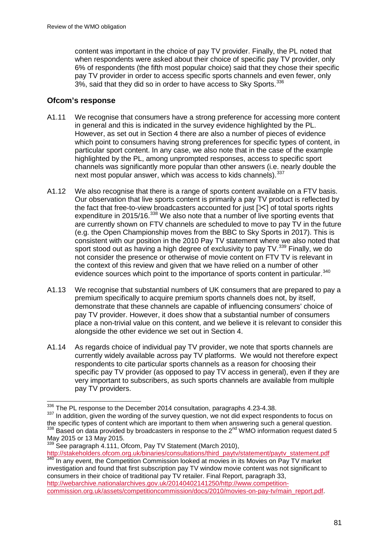content was important in the choice of pay TV provider. Finally, the PL noted that when respondents were asked about their choice of specific pay TV provider, only 6% of respondents (the fifth most popular choice) said that they chose their specific pay TV provider in order to access specific sports channels and even fewer, only 3%, said that they did so in order to have access to Sky Sports.<sup>[336](#page-81-0)</sup>

## **Ofcom's response**

- A1.11 We recognise that consumers have a strong preference for accessing more content in general and this is indicated in the survey evidence highlighted by the PL. However, as set out in Section 4 there are also a number of pieces of evidence which point to consumers having strong preferences for specific types of content, in particular sport content. In any case, we also note that in the case of the example highlighted by the PL, among unprompted responses, access to specific sport channels was significantly more popular than other answers (i.e. nearly double the next most popular answer, which was access to kids channels). [337](#page-81-1)
- A1.12 We also recognise that there is a range of sports content available on a FTV basis. Our observation that live sports content is primarily a pay TV product is reflected by the fact that free-to-view broadcasters accounted for just  $[\times]$  of total sports rights expenditure in 2015/16.<sup>[338](#page-81-2)</sup> We also note that a number of live sporting events that are currently shown on FTV channels are scheduled to move to pay TV in the future (e.g. the Open Championship moves from the BBC to Sky Sports in 2017). This is consistent with our position in the 2010 Pay TV statement where we also noted that sport stood out as having a high degree of exclusivity to pay TV.<sup>[339](#page-81-3)</sup> Finally, we do not consider the presence or otherwise of movie content on FTV TV is relevant in the context of this review and given that we have relied on a number of other evidence sources which point to the importance of sports content in particular.<sup>[340](#page-81-4)</sup>
- A1.13 We recognise that substantial numbers of UK consumers that are prepared to pay a premium specifically to acquire premium sports channels does not, by itself, demonstrate that these channels are capable of influencing consumers' choice of pay TV provider. However, it does show that a substantial number of consumers place a non-trivial value on this content, and we believe it is relevant to consider this alongside the other evidence we set out in Section 4.
- A1.14 As regards choice of individual pay TV provider, we note that sports channels are currently widely available across pay TV platforms. We would not therefore expect respondents to cite particular sports channels as a reason for choosing their specific pay TV provider (as opposed to pay TV access in general), even if they are very important to subscribers, as such sports channels are available from multiple pay TV providers.

 $\frac{336}{12}$  The PL response to the December 2014 consultation, paragraphs 4.23-4.38.  $\overline{a}$ 

<span id="page-81-1"></span><span id="page-81-0"></span><sup>337</sup> In addition, given the wording of the survey question, we not did expect respondents to focus on the specific types of content which are important to them when answering such a general question.  $338$  Based on data provided by broadcasters in response to the 2<sup>nd</sup> WMO information request dated 5

<span id="page-81-4"></span><span id="page-81-3"></span><span id="page-81-2"></span>May 2015 or 13 May 2015.<br>
<sup>339</sup> See paragraph 4.111, Ofcom, Pay TV Statement (March 2010),<br>
http://stakeholders.ofcom.org.uk/binaries/consultations/third\_paytv/statement/paytv\_statement.pdf http://stakeholders.org.uk/bin.org.uk/binaries/econsultations/thirdpaytvistement.pdf 340 In any event, the Competition Commission looked at movies in its Movies on Pay TV market investigation and found that first subscription pay TV window movie content was not significant to consumers in their choice of traditional pay TV retailer. Final Report, paragraph 33, [http://webarchive.nationalarchives.gov.uk/20140402141250/http://www.competition](http://webarchive.nationalarchives.gov.uk/20140402141250/http:/www.competition-commission.org.uk/assets/competitioncommission/docs/2010/movies-on-pay-tv/main_report.pdf)[commission.org.uk/assets/competitioncommission/docs/2010/movies-on-pay-tv/main\\_report.pdf.](http://webarchive.nationalarchives.gov.uk/20140402141250/http:/www.competition-commission.org.uk/assets/competitioncommission/docs/2010/movies-on-pay-tv/main_report.pdf)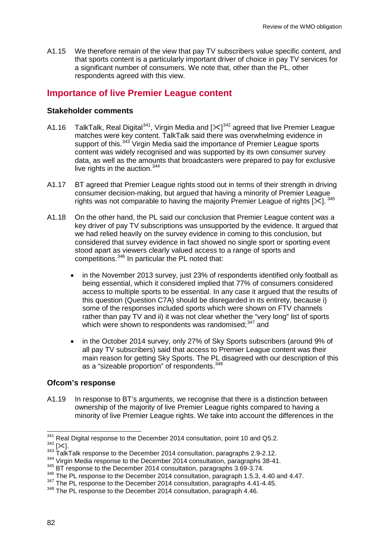A1.15 We therefore remain of the view that pay TV subscribers value specific content, and that sports content is a particularly important driver of choice in pay TV services for a significant number of consumers. We note that, other than the PL, other respondents agreed with this view.

# **Importance of live Premier League content**

### **Stakeholder comments**

- A1.16 TalkTalk, Real Digital<sup>341</sup>, Virgin Media and  $[\times]^{342}$  $[\times]^{342}$  $[\times]^{342}$  agreed that live Premier League matches were key content. TalkTalk said there was overwhelming evidence in support of this.<sup>[343](#page-82-2)</sup> Virgin Media said the importance of Premier League sports content was widely recognised and was supported by its own consumer survey data, as well as the amounts that broadcasters were prepared to pay for exclusive live rights in the auction.<sup>[344](#page-82-3)</sup>
- A1.17 BT agreed that Premier League rights stood out in terms of their strength in driving consumer decision-making, but argued that having a minority of Premier League rights was not comparable to having the majority Premier League of rights  $[\times]$ . [345](#page-82-4)
- A1.18 On the other hand, the PL said our conclusion that Premier League content was a key driver of pay TV subscriptions was unsupported by the evidence. It argued that we had relied heavily on the survey evidence in coming to this conclusion, but considered that survey evidence in fact showed no single sport or sporting event stood apart as viewers clearly valued access to a range of sports and competitions.[346](#page-82-5) In particular the PL noted that:
	- in the November 2013 survey, just 23% of respondents identified only football as being essential, which it considered implied that 77% of consumers considered access to multiple sports to be essential. In any case it argued that the results of this question (Question C7A) should be disregarded in its entirety, because i) some of the responses included sports which were shown on FTV channels rather than pay TV and ii) it was not clear whether the "very long" list of sports which were shown to respondents was randomised: $347$  and
	- in the October 2014 survey, only 27% of Sky Sports subscribers (around 9% of all pay TV subscribers) said that access to Premier League content was their main reason for getting Sky Sports. The PL disagreed with our description of this as a "sizeable proportion" of respondents.[348](#page-82-7)

#### **Ofcom's response**

A1.19 In response to BT's arguments, we recognise that there is a distinction between ownership of the majority of live Premier League rights compared to having a minority of live Premier League rights. We take into account the differences in the

<span id="page-82-1"></span><span id="page-82-0"></span> $342$  [ $\times$ ].<br> $342$  [ $\times$ ].<br> $343$  TalkTalk response to the December 2014 consultation, paragraphs 2.9-2.12. 341 Real Digital response to the December 2014 consultation, point 10 and Q5.2.

<span id="page-82-3"></span><span id="page-82-2"></span><sup>&</sup>lt;sup>344</sup> Virgin Media response to the December 2014 consultation, paragraphs 38-41.

<span id="page-82-4"></span><sup>&</sup>lt;sup>345</sup> BT response to the December 2014 consultation, paragraphs 3.69-3.74.

<span id="page-82-5"></span><sup>&</sup>lt;sup>346</sup> The PL response to the December 2014 consultation, paragraph 1.5.3, 4.40 and 4.47.

<span id="page-82-6"></span> $347$  The PL response to the December 2014 consultation, paragraphs 4.41-4.45.

<span id="page-82-7"></span><sup>&</sup>lt;sup>348</sup> The PL response to the December 2014 consultation, paragraph 4.46.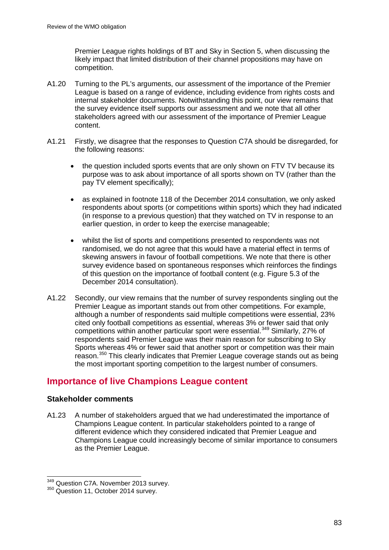Premier League rights holdings of BT and Sky in Section 5, when discussing the likely impact that limited distribution of their channel propositions may have on competition.

- A1.20 Turning to the PL's arguments, our assessment of the importance of the Premier League is based on a range of evidence, including evidence from rights costs and internal stakeholder documents. Notwithstanding this point, our view remains that the survey evidence itself supports our assessment and we note that all other stakeholders agreed with our assessment of the importance of Premier League content.
- A1.21 Firstly, we disagree that the responses to Question C7A should be disregarded, for the following reasons:
	- the question included sports events that are only shown on FTV TV because its purpose was to ask about importance of all sports shown on TV (rather than the pay TV element specifically);
	- as explained in footnote 118 of the December 2014 consultation, we only asked respondents about sports (or competitions within sports) which they had indicated (in response to a previous question) that they watched on TV in response to an earlier question, in order to keep the exercise manageable;
	- whilst the list of sports and competitions presented to respondents was not randomised, we do not agree that this would have a material effect in terms of skewing answers in favour of football competitions. We note that there is other survey evidence based on spontaneous responses which reinforces the findings of this question on the importance of football content (e.g. Figure 5.3 of the December 2014 consultation).
- A1.22 Secondly, our view remains that the number of survey respondents singling out the Premier League as important stands out from other competitions. For example, although a number of respondents said multiple competitions were essential, 23% cited only football competitions as essential, whereas 3% or fewer said that only competitions within another particular sport were essential.<sup>[349](#page-83-0)</sup> Similarly, 27% of respondents said Premier League was their main reason for subscribing to Sky Sports whereas 4% or fewer said that another sport or competition was their main reason.<sup>[350](#page-83-1)</sup> This clearly indicates that Premier League coverage stands out as being the most important sporting competition to the largest number of consumers.

# **Importance of live Champions League content**

### **Stakeholder comments**

A1.23 A number of stakeholders argued that we had underestimated the importance of Champions League content. In particular stakeholders pointed to a range of different evidence which they considered indicated that Premier League and Champions League could increasingly become of similar importance to consumers as the Premier League.

<span id="page-83-0"></span><sup>349</sup> Question C7A. November 2013 survey.

<span id="page-83-1"></span><sup>350</sup> Question 11, October 2014 survey.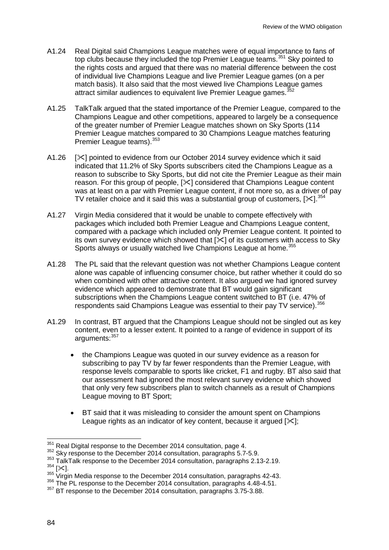- A1.24 Real Digital said Champions League matches were of equal importance to fans of top clubs because they included the top Premier League teams.<sup>[351](#page-84-0)</sup> Sky pointed to the rights costs and argued that there was no material difference between the cost of individual live Champions League and live Premier League games (on a per match basis). It also said that the most viewed live Champions League games attract similar audiences to equivalent live Premier League games.<sup>3</sup>
- A1.25 TalkTalk argued that the stated importance of the Premier League, compared to the Champions League and other competitions, appeared to largely be a consequence of the greater number of Premier League matches shown on Sky Sports (114 Premier League matches compared to 30 Champions League matches featuring Premier League teams). [353](#page-84-2)
- A1.26 [ $\ge$ ] pointed to evidence from our October 2014 survey evidence which it said indicated that 11.2% of Sky Sports subscribers cited the Champions League as a reason to subscribe to Sky Sports, but did not cite the Premier League as their main reason. For this group of people, [ $\ge$ ] considered that Champions League content was at least on a par with Premier League content, if not more so, as a driver of pay TV retailer choice and it said this was a substantial group of customers,  $[\times]^{354}$  $[\times]^{354}$  $[\times]^{354}$
- A1.27 Virgin Media considered that it would be unable to compete effectively with packages which included both Premier League and Champions League content, compared with a package which included only Premier League content. It pointed to its own survey evidence which showed that  $\leq 1$  of its customers with access to Sky Sports always or usually watched live Champions League at home.<sup>35</sup>
- A1.28 The PL said that the relevant question was not whether Champions League content alone was capable of influencing consumer choice, but rather whether it could do so when combined with other attractive content. It also argued we had ignored survey evidence which appeared to demonstrate that BT would gain significant subscriptions when the Champions League content switched to BT (i.e. 47% of respondents said Champions League was essential to their pay TV service). [356](#page-84-5)
- A1.29 In contrast, BT argued that the Champions League should not be singled out as key content, even to a lesser extent. It pointed to a range of evidence in support of its arguments: [357](#page-84-6)
	- the Champions League was quoted in our survey evidence as a reason for subscribing to pay TV by far fewer respondents than the Premier League, with response levels comparable to sports like cricket, F1 and rugby. BT also said that our assessment had ignored the most relevant survey evidence which showed that only very few subscribers plan to switch channels as a result of Champions League moving to BT Sport;
	- BT said that it was misleading to consider the amount spent on Champions League rights as an indicator of key content, because it argued  $[\times]$ ;

<span id="page-84-0"></span><sup>351</sup> Real Digital response to the December 2014 consultation, page 4.

<sup>&</sup>lt;sup>352</sup> Sky response to the December 2014 consultation, paragraphs 5.7-5.9.

<span id="page-84-2"></span><span id="page-84-1"></span> $353$  TalkTalk response to the December 2014 consultation, paragraphs 2.13-2.19.<br> $354$  [ $\times$ 1.

<span id="page-84-4"></span><span id="page-84-3"></span> $\frac{1000 \text{ J}}{355 \text{ V}}$  Virgin Media response to the December 2014 consultation, paragraphs 42-43.

<span id="page-84-5"></span><sup>&</sup>lt;sup>356</sup> The PL response to the December 2014 consultation, paragraphs 4.48-4.51.

<span id="page-84-6"></span><sup>&</sup>lt;sup>357</sup> BT response to the December 2014 consultation, paragraphs 3.75-3.88.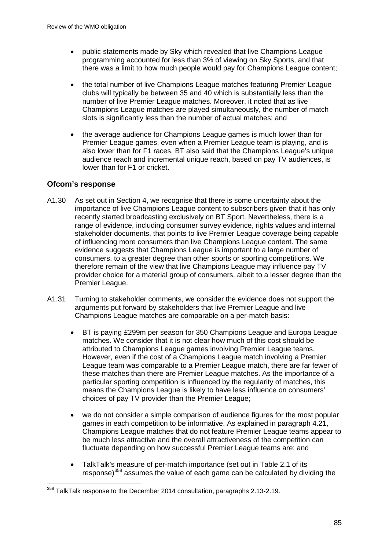- public statements made by Sky which revealed that live Champions League programming accounted for less than 3% of viewing on Sky Sports, and that there was a limit to how much people would pay for Champions League content;
- the total number of live Champions League matches featuring Premier League clubs will typically be between 35 and 40 which is substantially less than the number of live Premier League matches. Moreover, it noted that as live Champions League matches are played simultaneously, the number of match slots is significantly less than the number of actual matches; and
- the average audience for Champions League games is much lower than for Premier League games, even when a Premier League team is playing, and is also lower than for F1 races. BT also said that the Champions League's unique audience reach and incremental unique reach, based on pay TV audiences, is lower than for F1 or cricket.

## **Ofcom's response**

- A1.30 As set out in Section 4, we recognise that there is some uncertainty about the importance of live Champions League content to subscribers given that it has only recently started broadcasting exclusively on BT Sport. Nevertheless, there is a range of evidence, including consumer survey evidence, rights values and internal stakeholder documents, that points to live Premier League coverage being capable of influencing more consumers than live Champions League content. The same evidence suggests that Champions League is important to a large number of consumers, to a greater degree than other sports or sporting competitions. We therefore remain of the view that live Champions League may influence pay TV provider choice for a material group of consumers, albeit to a lesser degree than the Premier League.
- A1.31 Turning to stakeholder comments, we consider the evidence does not support the arguments put forward by stakeholders that live Premier League and live Champions League matches are comparable on a per-match basis:
	- BT is paying £299m per season for 350 Champions League and Europa League matches. We consider that it is not clear how much of this cost should be attributed to Champions League games involving Premier League teams. However, even if the cost of a Champions League match involving a Premier League team was comparable to a Premier League match, there are far fewer of these matches than there are Premier League matches. As the importance of a particular sporting competition is influenced by the regularity of matches, this means the Champions League is likely to have less influence on consumers' choices of pay TV provider than the Premier League;
	- we do not consider a simple comparison of audience figures for the most popular games in each competition to be informative. As explained in paragraph 4.21, Champions League matches that do not feature Premier League teams appear to be much less attractive and the overall attractiveness of the competition can fluctuate depending on how successful Premier League teams are; and
	- TalkTalk's measure of per-match importance (set out in Table 2.1 of its response) $358$  assumes the value of each game can be calculated by dividing the

<span id="page-85-0"></span> $358$  TalkTalk response to the December 2014 consultation, paragraphs 2.13-2.19.  $\overline{a}$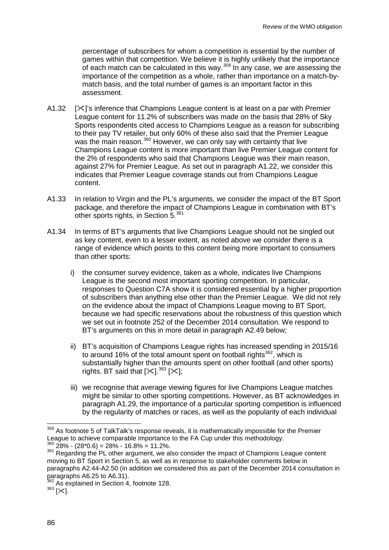percentage of subscribers for whom a competition is essential by the number of games within that competition. We believe it is highly unlikely that the importance of each match can be calculated in this way.  $359$  In any case, we are assessing the importance of the competition as a whole, rather than importance on a match-bymatch basis, and the total number of games is an important factor in this assessment.

- A1.32  $[\times]$ 's inference that Champions League content is at least on a par with Premier League content for 11.2% of subscribers was made on the basis that 28% of Sky Sports respondents cited access to Champions League as a reason for subscribing to their pay TV retailer, but only 60% of these also said that the Premier League was the main reason.<sup>[360](#page-86-1)</sup> However, we can only say with certainty that live Champions League content is more important than live Premier League content for the 2% of respondents who said that Champions League was their main reason, against 27% for Premier League. As set out in paragraph A1.22, we consider this indicates that Premier League coverage stands out from Champions League content.
- A1.33 In relation to Virgin and the PL's arguments, we consider the impact of the BT Sport package, and therefore the impact of Champions League in combination with BT's other sports rights, in Section 5.<sup>[361](#page-86-2)</sup>
- A1.34 In terms of BT's arguments that live Champions League should not be singled out as key content, even to a lesser extent, as noted above we consider there is a range of evidence which points to this content being more important to consumers than other sports:
	- i) the consumer survey evidence, taken as a whole, indicates live Champions League is the second most important sporting competition. In particular, responses to Question C7A show it is considered essential by a higher proportion of subscribers than anything else other than the Premier League. We did not rely on the evidence about the impact of Champions League moving to BT Sport, because we had specific reservations about the robustness of this question which we set out in footnote 252 of the December 2014 consultation. We respond to BT's arguments on this in more detail in paragraph A2.49 below;
	- ii) BT's acquisition of Champions League rights has increased spending in 2015/16 to around 16% of the total amount spent on football rights $362$ , which is substantially higher than the amounts spent on other football (and other sports) rights. BT said that  $[\times]^{363} [\times];$  $[\times]^{363} [\times];$  $[\times]^{363} [\times];$
	- iii) we recognise that average viewing figures for live Champions League matches might be similar to other sporting competitions. However, as BT acknowledges in paragraph A1.29, the importance of a particular sporting competition is influenced by the regularity of matches or races, as well as the popularity of each individual

<span id="page-86-0"></span> $359$  As footnote 5 of TalkTalk's response reveals, it is mathematically impossible for the Premier League to achieve comparable importance to the FA Cup under this methodology.  $28\% - (28*0.6) = 28\% - 16.8\% = 11.2\%$ .  $\overline{a}$ 

<span id="page-86-2"></span><span id="page-86-1"></span><sup>&</sup>lt;sup>361</sup> Regarding the PL other argument, we also consider the impact of Champions League content moving to BT Sport in Section 5, as well as in response to stakeholder comments below in paragraphs A2.44-A2.50 (in addition we considered this as part of the December 2014 consultation in paragraphs A6.25 to A6.31).

<span id="page-86-4"></span><span id="page-86-3"></span><sup>&</sup>lt;sup>362</sup> As explained in Section 4, footnote 128.<br><sup>363</sup> [※].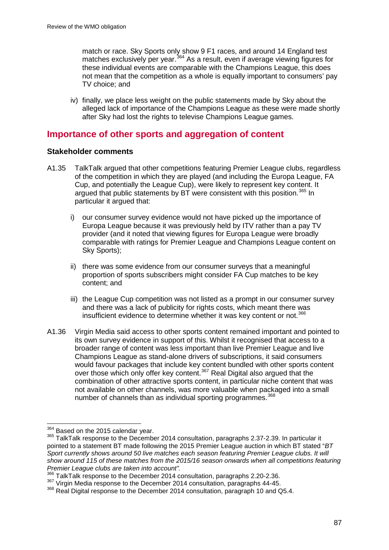match or race. Sky Sports only show 9 F1 races, and around 14 England test match of race. Sity opened only show on the set and an emphasisment matches exclusively per year.<sup>[364](#page-87-0)</sup> As a result, even if average viewing figures for these individual events are comparable with the Champions League, this does not mean that the competition as a whole is equally important to consumers' pay TV choice; and

iv) finally, we place less weight on the public statements made by Sky about the alleged lack of importance of the Champions League as these were made shortly after Sky had lost the rights to televise Champions League games.

# **Importance of other sports and aggregation of content**

### **Stakeholder comments**

- A1.35 TalkTalk argued that other competitions featuring Premier League clubs, regardless of the competition in which they are played (and including the Europa League, FA Cup, and potentially the League Cup), were likely to represent key content. It argued that public statements by BT were consistent with this position.<sup>[365](#page-87-1)</sup> In particular it argued that:
	- i) our consumer survey evidence would not have picked up the importance of Europa League because it was previously held by ITV rather than a pay TV provider (and it noted that viewing figures for Europa League were broadly comparable with ratings for Premier League and Champions League content on Sky Sports);
	- ii) there was some evidence from our consumer surveys that a meaningful proportion of sports subscribers might consider FA Cup matches to be key content; and
	- iii) the League Cup competition was not listed as a prompt in our consumer survey and there was a lack of publicity for rights costs, which meant there was insufficient evidence to determine whether it was key content or not.<sup>[366](#page-87-2)</sup>
- A1.36 Virgin Media said access to other sports content remained important and pointed to its own survey evidence in support of this. Whilst it recognised that access to a broader range of content was less important than live Premier League and live Champions League as stand-alone drivers of subscriptions, it said consumers would favour packages that include key content bundled with other sports content over those which only offer key content.<sup>[367](#page-87-3)</sup> Real Digital also argued that the combination of other attractive sports content, in particular niche content that was not available on other channels, was more valuable when packaged into a small number of channels than as individual sporting programmes.<sup>[368](#page-87-4)</sup>

 $364$  Based on the 2015 calendar vear.

<span id="page-87-1"></span><span id="page-87-0"></span><sup>365</sup> TalkTalk response to the December 2014 consultation, paragraphs 2.37-2.39. In particular it pointed to a statement BT made following the 2015 Premier League auction in which BT stated "*BT Sport currently shows around 50 live matches each season featuring Premier League clubs. It will show around 115 of these matches from the 2015/16 season onwards when all competitions featuring Premier League clubs are taken into account".*

<sup>366</sup> TalkTalk response to the December 2014 consultation, paragraphs 2.20-2.36.

<span id="page-87-3"></span><span id="page-87-2"></span><sup>&</sup>lt;sup>367</sup> Virgin Media response to the December 2014 consultation, paragraphs 44-45.

<span id="page-87-4"></span><sup>368</sup> Real Digital response to the December 2014 consultation, paragraph 10 and Q5.4.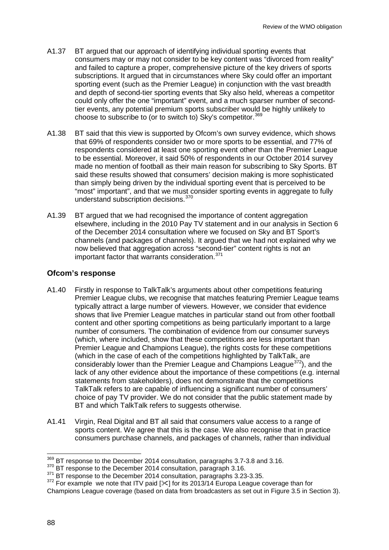- A1.37 BT argued that our approach of identifying individual sporting events that consumers may or may not consider to be key content was "divorced from reality" and failed to capture a proper, comprehensive picture of the key drivers of sports subscriptions. It argued that in circumstances where Sky could offer an important sporting event (such as the Premier League) in conjunction with the vast breadth and depth of second-tier sporting events that Sky also held, whereas a competitor could only offer the one "important" event, and a much sparser number of secondtier events, any potential premium sports subscriber would be highly unlikely to choose to subscribe to (or to switch to) Sky's competitor.<sup>[369](#page-88-0)</sup>
- A1.38 BT said that this view is supported by Ofcom's own survey evidence, which shows that 69% of respondents consider two or more sports to be essential, and 77% of respondents considered at least one sporting event other than the Premier League to be essential. Moreover, it said 50% of respondents in our October 2014 survey made no mention of football as their main reason for subscribing to Sky Sports. BT said these results showed that consumers' decision making is more sophisticated than simply being driven by the individual sporting event that is perceived to be "most" important", and that we must consider sporting events in aggregate to fully understand subscription decisions.[370](#page-88-1)
- A1.39 BT argued that we had recognised the importance of content aggregation elsewhere, including in the 2010 Pay TV statement and in our analysis in Section 6 of the December 2014 consultation where we focused on Sky and BT Sport's channels (and packages of channels). It argued that we had not explained why we now believed that aggregation across "second-tier" content rights is not an important factor that warrants consideration.<sup>[371](#page-88-2)</sup>

## **Ofcom's response**

- A1.40 Firstly in response to TalkTalk's arguments about other competitions featuring Premier League clubs, we recognise that matches featuring Premier League teams typically attract a large number of viewers. However, we consider that evidence shows that live Premier League matches in particular stand out from other football content and other sporting competitions as being particularly important to a large number of consumers. The combination of evidence from our consumer surveys (which, where included, show that these competitions are less important than Premier League and Champions League), the rights costs for these competitions (which in the case of each of the competitions highlighted by TalkTalk, are considerably lower than the Premier League and Champions League<sup>372</sup>), and the lack of any other evidence about the importance of these competitions (e.g. internal statements from stakeholders), does not demonstrate that the competitions TalkTalk refers to are capable of influencing a significant number of consumers' choice of pay TV provider. We do not consider that the public statement made by BT and which TalkTalk refers to suggests otherwise.
- A1.41 Virgin, Real Digital and BT all said that consumers value access to a range of sports content. We agree that this is the case. We also recognise that in practice consumers purchase channels, and packages of channels, rather than individual

 $369$  BT response to the December 2014 consultation, paragraphs 3.7-3.8 and 3.16.  $\overline{a}$ 

<span id="page-88-1"></span><span id="page-88-0"></span><sup>370</sup> BT response to the December 2014 consultation, paragraph 3.16.<br><sup>371</sup> BT response to the December 2014 consultation, paragraphs 3.23-3.35.

<span id="page-88-3"></span><span id="page-88-2"></span> $372$  For example we note that ITV paid [ $\ll$ ] for its 2013/14 Europa League coverage than for Champions League coverage (based on data from broadcasters as set out in Figure 3.5 in Section 3).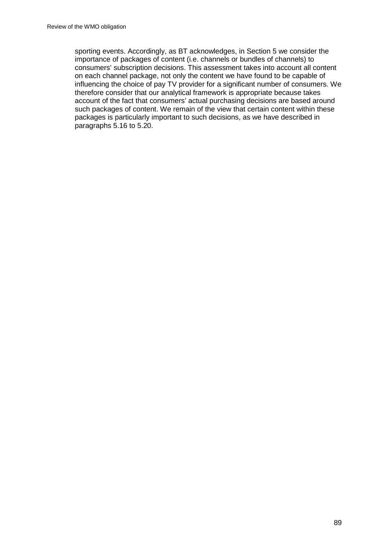sporting events. Accordingly, as BT acknowledges, in Section 5 we consider the importance of packages of content (i.e. channels or bundles of channels) to consumers' subscription decisions. This assessment takes into account all content on each channel package, not only the content we have found to be capable of influencing the choice of pay TV provider for a significant number of consumers. We therefore consider that our analytical framework is appropriate because takes account of the fact that consumers' actual purchasing decisions are based around such packages of content. We remain of the view that certain content within these packages is particularly important to such decisions, as we have described in paragraphs 5.16 to 5.20.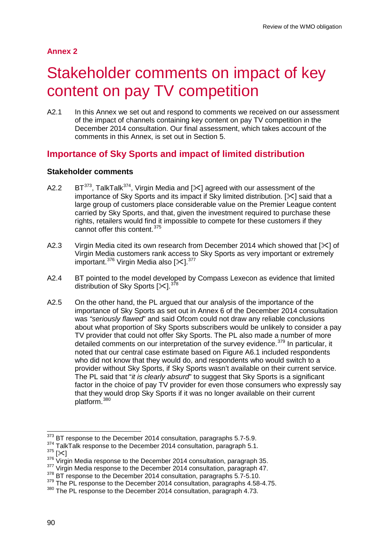## **Annex 2**

# Stakeholder comments on impact of key content on pay TV competition

A2.1 In this Annex we set out and respond to comments we received on our assessment of the impact of channels containing key content on pay TV competition in the December 2014 consultation. Our final assessment, which takes account of the comments in this Annex, is set out in Section 5.

# **Importance of Sky Sports and impact of limited distribution**

### **Stakeholder comments**

- A2.2 BT<sup>373</sup>, TalkTalk<sup>[374](#page-90-1)</sup>, Virgin Media and  $[\times]$  agreed with our assessment of the importance of Sky Sports and its impact if Sky limited distribution.  $[\times]$  said that a large group of customers place considerable value on the Premier League content carried by Sky Sports, and that, given the investment required to purchase these rights, retailers would find it impossible to compete for these customers if they cannot offer this content.<sup>[375](#page-90-2)</sup>
- A2.3 Virgin Media cited its own research from December 2014 which showed that  $[\times]$  of Virgin Media customers rank access to Sky Sports as very important or extremely important.<sup>[376](#page-90-3)</sup> Virgin Media also [ $\ll$ ].<sup>[377](#page-90-4)</sup>
- A2.4 BT pointed to the model developed by Compass Lexecon as evidence that limited distribution of Sky Sports [ $\times$ 1.<sup>[378](#page-90-5)</sup>
- A2.5 On the other hand, the PL argued that our analysis of the importance of the importance of Sky Sports as set out in Annex 6 of the December 2014 consultation was *"seriously flawed*" and said Ofcom could not draw any reliable conclusions about what proportion of Sky Sports subscribers would be unlikely to consider a pay TV provider that could not offer Sky Sports. The PL also made a number of more detailed comments on our interpretation of the survey evidence.<sup>[379](#page-90-6)</sup> In particular, it noted that our central case estimate based on Figure A6.1 included respondents who did not know that they would do, and respondents who would switch to a provider without Sky Sports, if Sky Sports wasn't available on their current service. The PL said that "*it is clearly absurd*" to suggest that Sky Sports is a significant factor in the choice of pay TV provider for even those consumers who expressly say that they would drop Sky Sports if it was no longer available on their current platform.<sup>[380](#page-90-7)</sup>

- 
- 

 $\overline{a}$ 

 $373$  BT response to the December 2014 consultation, paragraphs 5.7-5.9.

<span id="page-90-2"></span><span id="page-90-1"></span><span id="page-90-0"></span><sup>&</sup>lt;sup>374</sup> TalkTalk response to the December 2014 consultation, paragraph 5.1.<br><sup>375</sup> [ $\ll$ ]<br><sup>376</sup> Virgin Media response to the December 2014 consultation, paragraph 35.

<span id="page-90-4"></span><span id="page-90-3"></span><sup>&</sup>lt;sup>377</sup> Virgin Media response to the December 2014 consultation, paragraph 47.<br><sup>378</sup> BT response to the December 2014 consultation, paragraphs 5.7-5.10.

<span id="page-90-6"></span><span id="page-90-5"></span><sup>&</sup>lt;sup>379</sup> The PL response to the December 2014 consultation, paragraphs 4.58-4.75.

<span id="page-90-7"></span><sup>380</sup> The PL response to the December 2014 consultation, paragraph 4.73.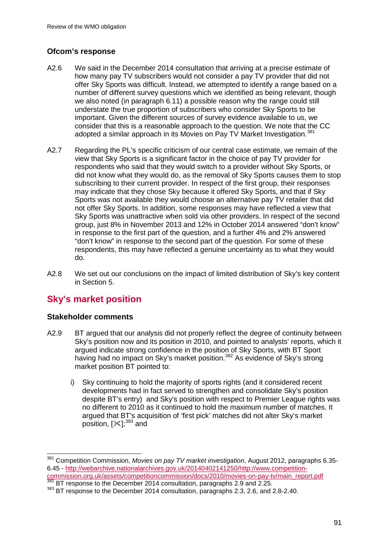## **Ofcom's response**

- A2.6 We said in the December 2014 consultation that arriving at a precise estimate of how many pay TV subscribers would not consider a pay TV provider that did not offer Sky Sports was difficult. Instead, we attempted to identify a range based on a number of different survey questions which we identified as being relevant, though we also noted (in paragraph 6.11) a possible reason why the range could still understate the true proportion of subscribers who consider Sky Sports to be important. Given the different sources of survey evidence available to us, we consider that this is a reasonable approach to the question. We note that the CC adopted a similar approach in its Movies on Pay TV Market Investigation.<sup>[381](#page-91-0)</sup>
- A2.7 Regarding the PL's specific criticism of our central case estimate, we remain of the view that Sky Sports is a significant factor in the choice of pay TV provider for respondents who said that they would switch to a provider without Sky Sports, or did not know what they would do, as the removal of Sky Sports causes them to stop subscribing to their current provider. In respect of the first group, their responses may indicate that they chose Sky because it offered Sky Sports, and that if Sky Sports was not available they would choose an alternative pay TV retailer that did not offer Sky Sports. In addition, some responses may have reflected a view that Sky Sports was unattractive when sold via other providers. In respect of the second group, just 8% in November 2013 and 12% in October 2014 answered "don't know" in response to the first part of the question, and a further 4% and 2% answered "don't know" in response to the second part of the question. For some of these respondents, this may have reflected a genuine uncertainty as to what they would do.
- A2.8 We set out our conclusions on the impact of limited distribution of Sky's key content in Section 5.

# **Sky's market position**

### **Stakeholder comments**

- A2.9 BT argued that our analysis did not properly reflect the degree of continuity between Sky's position now and its position in 2010, and pointed to analysts' reports, which it argued indicate strong confidence in the position of Sky Sports, with BT Sport having had no impact on Sky's market position.<sup>[382](#page-91-1)</sup> As evidence of Sky's strong market position BT pointed to:
	- i) Sky continuing to hold the majority of sports rights (and it considered recent developments had in fact served to strengthen and consolidate Sky's position despite BT's entry) and Sky's position with respect to Premier League rights was no different to 2010 as it continued to hold the maximum number of matches. It argued that BT's acquisition of 'first pick' matches did not alter Sky's market position,  $[\times]$ <sup>[383](#page-91-2)</sup> and

<span id="page-91-0"></span><sup>381</sup> Competition Commission, *Movies on pay TV market investigation*, August 2012, paragraphs 6.35- 6.45 - [http://webarchive.nationalarchives.gov.uk/20140402141250/http://www.competition-](http://webarchive.nationalarchives.gov.uk/20140402141250/http:/www.competition-commission.org.uk/assets/competitioncommission/docs/2010/movies-on-pay-tv/main_report.pdf) $\overline{a}$ 

<span id="page-91-2"></span><span id="page-91-1"></span> $\frac{382}{382}$  BT response to the December 2014 consultation, paragraphs 2.9 and 2.25.<br> $\frac{383}{383}$  BT response to the December 2014 consultation, paragraphs 2.3, 2.6, and 2.8-2.40.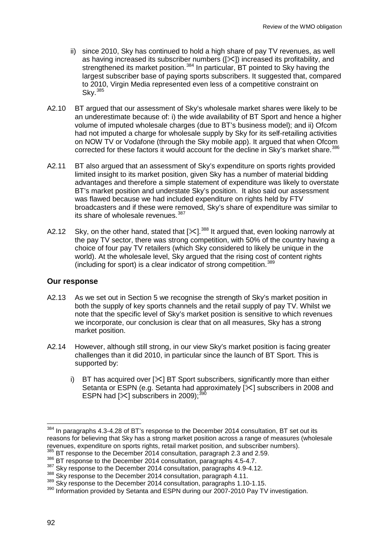- ii) since 2010, Sky has continued to hold a high share of pay TV revenues, as well as having increased its subscriber numbers  $(|\times|)$  increased its profitability, and strengthened its market position.<sup>[384](#page-92-0)</sup> In particular, BT pointed to Sky having the largest subscriber base of paying sports subscribers. It suggested that, compared to 2010, Virgin Media represented even less of a competitive constraint on Sky.[385](#page-92-1)
- A2.10 BT argued that our assessment of Sky's wholesale market shares were likely to be an underestimate because of: i) the wide availability of BT Sport and hence a higher volume of imputed wholesale charges (due to BT's business model); and ii) Ofcom had not imputed a charge for wholesale supply by Sky for its self-retailing activities on NOW TV or Vodafone (through the Sky mobile app). It argued that when Ofcom corrected for these factors it would account for the decline in Sky's market share.<sup>[386](#page-92-2)</sup>
- A2.11 BT also argued that an assessment of Sky's expenditure on sports rights provided limited insight to its market position, given Sky has a number of material bidding advantages and therefore a simple statement of expenditure was likely to overstate BT's market position and understate Sky's position. It also said our assessment was flawed because we had included expenditure on rights held by FTV broadcasters and if these were removed, Sky's share of expenditure was similar to its share of wholesale revenues.<sup>387</sup>
- A2.12 Sky, on the other hand, stated that  $[\times]$ .<sup>[388](#page-92-4)</sup> It argued that, even looking narrowly at the pay TV sector, there was strong competition, with 50% of the country having a choice of four pay TV retailers (which Sky considered to likely be unique in the world). At the wholesale level, Sky arqued that the rising cost of content rights (including for sport) is a clear indicator of strong competition.[389](#page-92-5)

#### **Our response**

- A2.13 As we set out in Section 5 we recognise the strength of Sky's market position in both the supply of key sports channels and the retail supply of pay TV. Whilst we note that the specific level of Sky's market position is sensitive to which revenues we incorporate, our conclusion is clear that on all measures, Sky has a strong market position.
- A2.14 However, although still strong, in our view Sky's market position is facing greater challenges than it did 2010, in particular since the launch of BT Sport. This is supported by:
	- i) BT has acquired over  $[\times]$  BT Sport subscribers, significantly more than either Setanta or ESPN (e.g. Setanta had approximately  $[\times]$  subscribers in 2008 and ESPN had  $[\times]$  subscribers in 2009);<sup>39</sup>

<span id="page-92-2"></span><span id="page-92-1"></span><sup>386</sup> BT response to the December 2014 consultation, paragraphs 4.5-4.7.

<span id="page-92-0"></span> $384$  In paragraphs 4.3-4.28 of BT's response to the December 2014 consultation, BT set out its reasons for believing that Sky has a strong market position across a range of measures (wholesale revenues, expenditure on sports rights, retail market position, and subscriber numbers).  $385$  BT response to the December 2014 consultation, paragraph 2.3 and 2.59.  $\overline{a}$ 

<span id="page-92-3"></span><sup>387</sup> Sky response to the December 2014 consultation, paragraphs 4.9-4.12.<br><sup>388</sup> Sky response to the December 2014 consultation, paragraph 4.11.

<span id="page-92-5"></span><span id="page-92-4"></span><sup>389</sup> Sky response to the December 2014 consultation, paragraphs 1.10-1.15.

<span id="page-92-6"></span><sup>390</sup> Information provided by Setanta and ESPN during our 2007-2010 Pay TV investigation.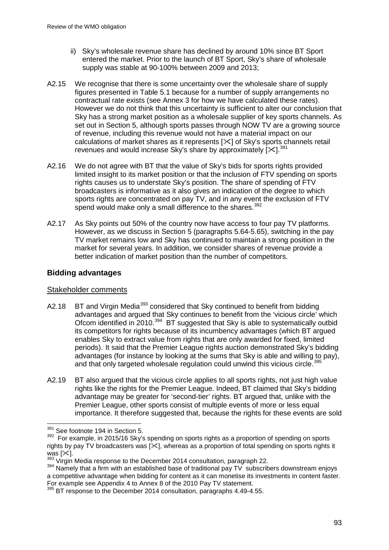- ii) Sky's wholesale revenue share has declined by around 10% since BT Sport entered the market. Prior to the launch of BT Sport, Sky's share of wholesale supply was stable at 90-100% between 2009 and 2013;
- A2.15 We recognise that there is some uncertainty over the wholesale share of supply figures presented in Table 5.1 because for a number of supply arrangements no contractual rate exists (see Annex 3 for how we have calculated these rates). However we do not think that this uncertainty is sufficient to alter our conclusion that Sky has a strong market position as a wholesale supplier of key sports channels. As set out in Section 5, although sports passes through NOW TV are a growing source of revenue, including this revenue would not have a material impact on our calculations of market shares as it represents  $[\times]$  of Sky's sports channels retail revenues and would increase Sky's share by approximately  $[\times]^{391}$  $[\times]^{391}$  $[\times]^{391}$
- A2.16 We do not agree with BT that the value of Sky's bids for sports rights provided limited insight to its market position or that the inclusion of FTV spending on sports rights causes us to understate Sky's position. The share of spending of FTV broadcasters is informative as it also gives an indication of the degree to which sports rights are concentrated on pay TV, and in any event the exclusion of FTV spend would make only a small difference to the shares.<sup>[392](#page-93-1)</sup>
- A2.17 As Sky points out 50% of the country now have access to four pay TV platforms. However, as we discuss in Section 5 (paragraphs 5.64-5.65), switching in the pay TV market remains low and Sky has continued to maintain a strong position in the market for several years. In addition, we consider shares of revenue provide a better indication of market position than the number of competitors.

### **Bidding advantages**

### Stakeholder comments

- A2.18 BT and Virgin Media<sup>[393](#page-93-2)</sup> considered that Sky continued to benefit from bidding advantages and argued that Sky continues to benefit from the 'vicious circle' which Ofcom identified in 2010.<sup>[394](#page-93-3)</sup> BT suggested that Sky is able to systematically outbid its competitors for rights because of its incumbency advantages (which BT argued enables Sky to extract value from rights that are only awarded for fixed, limited periods).. It said that the Premier League rights auction demonstrated Sky's bidding advantages (for instance by looking at the sums that Sky is able and willing to pay), and that only targeted wholesale regulation could unwind this vicious circle.<sup>[395](#page-93-4)</sup>
- A2.19 BT also argued that the vicious circle applies to all sports rights, not just high value rights like the rights for the Premier League. Indeed, BT claimed that Sky's bidding advantage may be greater for 'second-tier' rights. BT argued that, unlike with the Premier League, other sports consist of multiple events of more or less equal importance. It therefore suggested that, because the rights for these events are sold

 $\frac{391}{100}$  See footnote 194 in Section 5.  $\overline{a}$ 

<span id="page-93-1"></span><span id="page-93-0"></span><sup>&</sup>lt;sup>392</sup> For example, in 2015/16 Sky's spending on sports rights as a proportion of spending on sports rights by pay TV broadcasters was  $[\times]$ , whereas as a proportion of total spending on sports rights it was [ $\angle$ ].<br><sup>393</sup> Virgin Media response to the December 2014 consultation, paragraph 22.

<span id="page-93-3"></span><span id="page-93-2"></span><sup>&</sup>lt;sup>394</sup> Namely that a firm with an established base of traditional pay TV subscribers downstream enjoys a competitive advantage when bidding for content as it can monetise its investments in content faster.<br>For example see Appendix 4 to Annex 8 of the 2010 Pay TV statement.

<span id="page-93-4"></span>For example see Appendix 4.49 of the December 2014 consultation, paragraphs 4.49-4.55.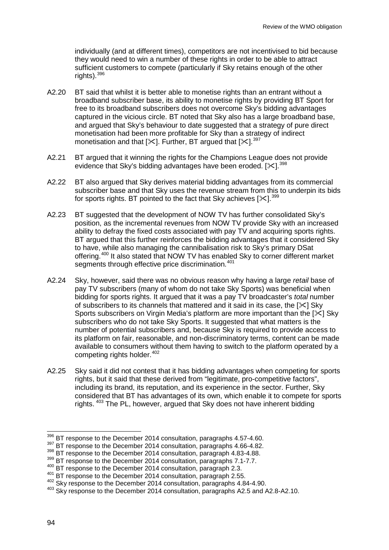individually (and at different times), competitors are not incentivised to bid because they would need to win a number of these rights in order to be able to attract sufficient customers to compete (particularly if Sky retains enough of the other rights).  $396$ 

- A2.20 BT said that whilst it is better able to monetise rights than an entrant without a broadband subscriber base, its ability to monetise rights by providing BT Sport for free to its broadband subscribers does not overcome Sky's bidding advantages captured in the vicious circle. BT noted that Sky also has a large broadband base, and argued that Sky's behaviour to date suggested that a strategy of pure direct monetisation had been more profitable for Sky than a strategy of indirect monetisation and that  $[\times]$ . Further, BT argued that  $[\times]$ .<sup>[397](#page-94-1)</sup>
- A2.21 BT argued that it winning the rights for the Champions League does not provide evidence that Sky's bidding advantages have been eroded.  $[31]$ <sup>[398](#page-94-2)</sup>
- A2.22 BT also argued that Sky derives material bidding advantages from its commercial subscriber base and that Sky uses the revenue stream from this to underpin its bids for sports rights. BT pointed to the fact that Sky achieves  $[\times]$ .<sup>[399](#page-94-3)</sup>
- A2.23 BT suggested that the development of NOW TV has further consolidated Sky's position, as the incremental revenues from NOW TV provide Sky with an increased ability to defray the fixed costs associated with pay TV and acquiring sports rights. BT argued that this further reinforces the bidding advantages that it considered Sky to have, while also managing the cannibalisation risk to Sky's primary DSat offering.[400](#page-94-4) It also stated that NOW TV has enabled Sky to corner different market segments through effective price discrimination.<sup>[401](#page-94-5)</sup>
- A2.24 Sky, however, said there was no obvious reason why having a large *retail* base of pay TV subscribers (many of whom do not take Sky Sports) was beneficial when bidding for sports rights. It argued that it was a pay TV broadcaster's *total* number of subscribers to its channels that mattered and it said in its case, the  $[\times]$  Sky Sports subscribers on Virgin Media's platform are more important than the  $[\times]$  Sky subscribers who do not take Sky Sports. It suggested that what matters is the number of potential subscribers and, because Sky is required to provide access to its platform on fair, reasonable, and non-discriminatory terms, content can be made available to consumers without them having to switch to the platform operated by a competing rights holder. [402](#page-94-6)
- A2.25 Sky said it did not contest that it has bidding advantages when competing for sports rights, but it said that these derived from "legitimate, pro-competitive factors", including its brand, its reputation, and its experience in the sector. Further, Sky considered that BT has advantages of its own, which enable it to compete for sports rights. [403](#page-94-7) The PL, however, argued that Sky does not have inherent bidding

 $\overline{a}$ 

<span id="page-94-0"></span> $396$  BT response to the December 2014 consultation, paragraphs 4.57-4.60.

<span id="page-94-1"></span><sup>&</sup>lt;sup>397</sup> BT response to the December 2014 consultation, paragraphs 4.66-4.82.

<span id="page-94-2"></span><sup>&</sup>lt;sup>398</sup> BT response to the December 2014 consultation, paragraph 4.83-4.88.

<span id="page-94-3"></span> $399$  BT response to the December 2014 consultation, paragraphs 7.1-7.7.<br> $400$  BT response to the December 2014 consultation, paragraph 2.3.

<span id="page-94-4"></span>

<span id="page-94-5"></span><sup>&</sup>lt;sup>401</sup> BT response to the December 2014 consultation, paragraph 2.55.<br><sup>402</sup> Sky response to the December 2014 consultation, paragraphs 4.84-4.90.

<span id="page-94-7"></span><span id="page-94-6"></span><sup>&</sup>lt;sup>403</sup> Sky response to the December 2014 consultation, paragraphs A2.5 and A2.8-A2.10.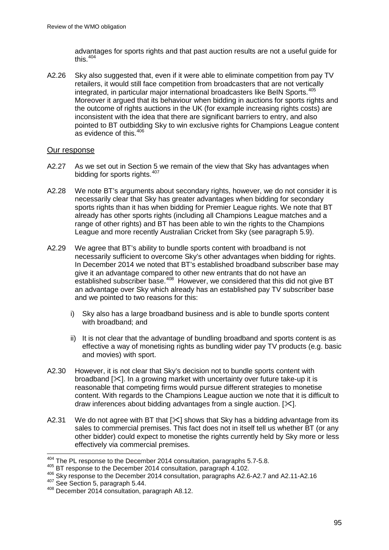advantages for sports rights and that past auction results are not a useful guide for this. $404$ 

A2.26 Sky also suggested that, even if it were able to eliminate competition from pay TV retailers, it would still face competition from broadcasters that are not vertically integrated, in particular major international broadcasters like BeIN Sports.<sup>[405](#page-95-1)</sup> Moreover it argued that its behaviour when bidding in auctions for sports rights and the outcome of rights auctions in the UK (for example increasing rights costs) are inconsistent with the idea that there are significant barriers to entry, and also pointed to BT outbidding Sky to win exclusive rights for Champions League content as evidence of this.[406](#page-95-2) 

#### Our response

- A2.27 As we set out in Section 5 we remain of the view that Sky has advantages when bidding for sports rights.<sup>[407](#page-95-3)</sup>
- A2.28 We note BT's arguments about secondary rights, however, we do not consider it is necessarily clear that Sky has greater advantages when bidding for secondary sports rights than it has when bidding for Premier League rights. We note that BT already has other sports rights (including all Champions League matches and a range of other rights) and BT has been able to win the rights to the Champions League and more recently Australian Cricket from Sky (see paragraph 5.9).
- A2.29 We agree that BT's ability to bundle sports content with broadband is not necessarily sufficient to overcome Sky's other advantages when bidding for rights. In December 2014 we noted that BT's established broadband subscriber base may give it an advantage compared to other new entrants that do not have an established subscriber base. $408$  However, we considered that this did not give BT an advantage over Sky which already has an established pay TV subscriber base and we pointed to two reasons for this:
	- i) Sky also has a large broadband business and is able to bundle sports content with broadband; and
	- ii) It is not clear that the advantage of bundling broadband and sports content is as effective a way of monetising rights as bundling wider pay TV products (e.g. basic and movies) with sport.
- A2.30 However, it is not clear that Sky's decision not to bundle sports content with broadband  $[\times]$ . In a growing market with uncertainty over future take-up it is reasonable that competing firms would pursue different strategies to monetise content. With regards to the Champions League auction we note that it is difficult to draw inferences about bidding advantages from a single auction.  $[\times]$ .
- A2.31 We do not agree with BT that  $[\times]$  shows that Sky has a bidding advantage from its sales to commercial premises. This fact does not in itself tell us whether BT (or any other bidder) could expect to monetise the rights currently held by Sky more or less effectively via commercial premises.

 $\overline{a}$ 

 $404$  The PL response to the December 2014 consultation, paragraphs 5.7-5.8.

<span id="page-95-2"></span><span id="page-95-1"></span><span id="page-95-0"></span><sup>405</sup> BT response to the December 2014 consultation, paragraph 4.102.<br>
<sup>406</sup> Sky response to the December 2014 consultation, paragraphs A2.6-A2.7 and A2.11-A2.16<br>
<sup>407</sup> See Section 5, paragraph 5.44.

<span id="page-95-4"></span><span id="page-95-3"></span><sup>&</sup>lt;sup>408</sup> December 2014 consultation, paragraph A8.12.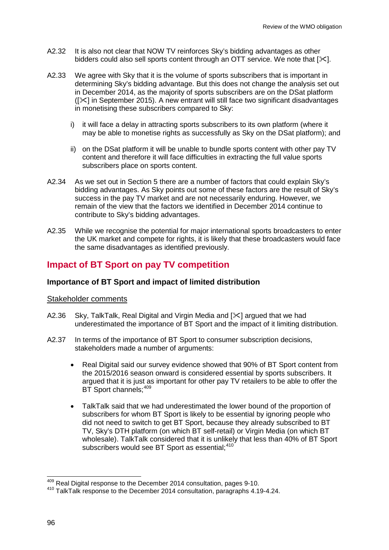- A2.32 It is also not clear that NOW TV reinforces Sky's bidding advantages as other bidders could also sell sports content through an OTT service. We note that  $[\times]$ .
- A2.33 We agree with Sky that it is the volume of sports subscribers that is important in determining Sky's bidding advantage. But this does not change the analysis set out in December 2014, as the majority of sports subscribers are on the DSat platform  $(|\times|$  in September 2015). A new entrant will still face two significant disadvantages in monetising these subscribers compared to Sky:
	- i) it will face a delay in attracting sports subscribers to its own platform (where it may be able to monetise rights as successfully as Sky on the DSat platform); and
	- ii) on the DSat platform it will be unable to bundle sports content with other pay TV content and therefore it will face difficulties in extracting the full value sports subscribers place on sports content.
- A2.34 As we set out in Section 5 there are a number of factors that could explain Sky's bidding advantages. As Sky points out some of these factors are the result of Sky's success in the pay TV market and are not necessarily enduring. However, we remain of the view that the factors we identified in December 2014 continue to contribute to Sky's bidding advantages.
- A2.35 While we recognise the potential for major international sports broadcasters to enter the UK market and compete for rights, it is likely that these broadcasters would face the same disadvantages as identified previously.

# **Impact of BT Sport on pay TV competition**

#### **Importance of BT Sport and impact of limited distribution**

#### Stakeholder comments

- A2.36 Sky, TalkTalk, Real Digital and Virgin Media and [ $\&$ ] argued that we had underestimated the importance of BT Sport and the impact of it limiting distribution.
- A2.37 In terms of the importance of BT Sport to consumer subscription decisions, stakeholders made a number of arguments:
	- Real Digital said our survey evidence showed that 90% of BT Sport content from the 2015/2016 season onward is considered essential by sports subscribers. It argued that it is just as important for other pay TV retailers to be able to offer the BT Sport channels;<sup>[409](#page-96-0)</sup>
	- TalkTalk said that we had underestimated the lower bound of the proportion of subscribers for whom BT Sport is likely to be essential by ignoring people who did not need to switch to get BT Sport, because they already subscribed to BT TV, Sky's DTH platform (on which BT self-retail) or Virgin Media (on which BT wholesale). TalkTalk considered that it is unlikely that less than 40% of BT Sport subscribers would see BT Sport as essential;<sup>[410](#page-96-1)</sup>

 $^{409}_{10}$  Real Digital response to the December 2014 consultation, pages 9-10.  $\overline{a}$ 

<span id="page-96-1"></span><span id="page-96-0"></span><sup>410</sup> TalkTalk response to the December 2014 consultation, paragraphs 4.19-4.24.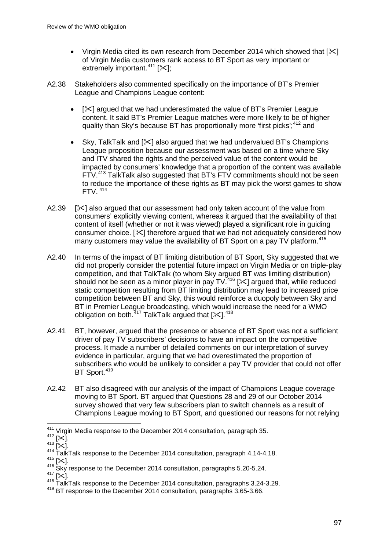- Virgin Media cited its own research from December 2014 which showed that  $[\times]$ of Virgin Media customers rank access to BT Sport as very important or extremely important.<sup>[411](#page-97-0)</sup> [ $\ll$ ];
- A2.38 Stakeholders also commented specifically on the importance of BT's Premier League and Champions League content:
	- $[\times]$  argued that we had underestimated the value of BT's Premier League content. It said BT's Premier League matches were more likely to be of higher quality than Sky's because BT has proportionally more 'first picks';<sup>[412](#page-97-1)</sup> and
	- Sky, TalkTalk and  $[\times]$  also argued that we had undervalued BT's Champions League proposition because our assessment was based on a time where Sky and ITV shared the rights and the perceived value of the content would be impacted by consumers' knowledge that a proportion of the content was available FTV.[413](#page-97-2) TalkTalk also suggested that BT's FTV commitments should not be seen to reduce the importance of these rights as BT may pick the worst games to show FTV. [414](#page-97-3)
- A2.39  $[\times]$  also argued that our assessment had only taken account of the value from consumers' explicitly viewing content, whereas it argued that the availability of that content of itself (whether or not it was viewed) played a significant role in guiding consumer choice.  $[\infty]$  therefore argued that we had not adequately considered how many customers may value the availability of BT Sport on a pay TV platform.<sup>[415](#page-97-4)</sup>
- A2.40 In terms of the impact of BT limiting distribution of BT Sport, Sky suggested that we did not properly consider the potential future impact on Virgin Media or on triple-play competition, and that TalkTalk (to whom Sky argued BT was limiting distribution) should not be seen as a minor player in pay  $TV^{416}$  $TV^{416}$  $TV^{416}$  [ $\times$ ] argued that, while reduced static competition resulting from BT limiting distribution may lead to increased price competition between BT and Sky, this would reinforce a duopoly between Sky and BT in Premier League broadcasting, which would increase the need for a WMO obligation on both.  $417$  TalkTalk argued that [ $\ll$ ].  $418$
- A2.41 BT, however, argued that the presence or absence of BT Sport was not a sufficient driver of pay TV subscribers' decisions to have an impact on the competitive process. It made a number of detailed comments on our interpretation of survey evidence in particular, arguing that we had overestimated the proportion of subscribers who would be unlikely to consider a pay TV provider that could not offer BT Sport.<sup>[419](#page-97-8)</sup>
- A2.42 BT also disagreed with our analysis of the impact of Champions League coverage moving to BT Sport. BT argued that Questions 28 and 29 of our October 2014 survey showed that very few subscribers plan to switch channels as a result of Champions League moving to BT Sport, and questioned our reasons for not relying

<sup>&</sup>lt;sup>411</sup> Virgin Media response to the December 2014 consultation, paragraph 35.

<span id="page-97-2"></span>

<span id="page-97-1"></span><span id="page-97-0"></span>Virgin Media response to the December 2014 consultation, paragraph 4.14-4.18.<br>  $^{412}$  [ $\!\times$ ].<br>  $^{414}$  TalkTalk response to the December 2014 consultation, paragraph 4.14-4.18.<br>  $^{415}$  [ $\!\times$ ].

<span id="page-97-5"></span><span id="page-97-4"></span><span id="page-97-3"></span><sup>415</sup> E<sup>2-1</sup>. Sky response to the December 2014 consultation, paragraphs 5.20-5.24.

<span id="page-97-7"></span><span id="page-97-6"></span> $418$  TalkTalk response to the December 2014 consultation, paragraphs 3.24-3.29.

<span id="page-97-8"></span><sup>&</sup>lt;sup>419</sup> BT response to the December 2014 consultation, paragraphs 3.65-3.66.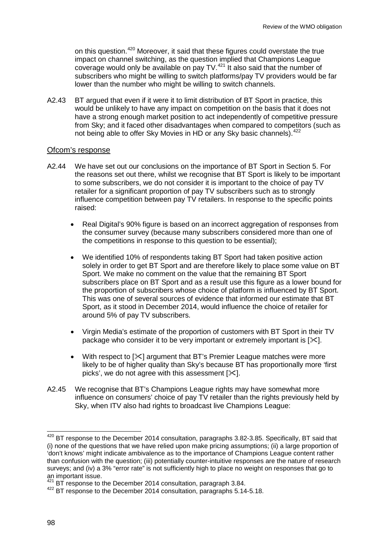on this question.[420](#page-98-0) Moreover, it said that these figures could overstate the true impact on channel switching, as the question implied that Champions League coverage would only be available on pay  $TV$ .  $421$  It also said that the number of subscribers who might be willing to switch platforms/pay TV providers would be far lower than the number who might be willing to switch channels.

A2.43 BT argued that even if it were it to limit distribution of BT Sport in practice, this would be unlikely to have any impact on competition on the basis that it does not have a strong enough market position to act independently of competitive pressure from Sky; and it faced other disadvantages when compared to competitors (such as not being able to offer Sky Movies in HD or any Sky basic channels).<sup>[422](#page-98-2)</sup>

#### Ofcom's response

- A2.44 We have set out our conclusions on the importance of BT Sport in Section 5. For the reasons set out there, whilst we recognise that BT Sport is likely to be important to some subscribers, we do not consider it is important to the choice of pay TV retailer for a significant proportion of pay TV subscribers such as to strongly influence competition between pay TV retailers. In response to the specific points raised:
	- Real Digital's 90% figure is based on an incorrect aggregation of responses from the consumer survey (because many subscribers considered more than one of the competitions in response to this question to be essential);
	- We identified 10% of respondents taking BT Sport had taken positive action solely in order to get BT Sport and are therefore likely to place some value on BT Sport. We make no comment on the value that the remaining BT Sport subscribers place on BT Sport and as a result use this figure as a lower bound for the proportion of subscribers whose choice of platform is influenced by BT Sport. This was one of several sources of evidence that informed our estimate that BT Sport, as it stood in December 2014, would influence the choice of retailer for around 5% of pay TV subscribers.
	- Virgin Media's estimate of the proportion of customers with BT Sport in their TV package who consider it to be very important or extremely important is  $[\times]$ .
	- With respect to  $[\times]$  argument that BT's Premier League matches were more likely to be of higher quality than Sky's because BT has proportionally more 'first picks', we do not agree with this assessment  $[\times]$ .
- A2.45 We recognise that BT's Champions League rights may have somewhat more influence on consumers' choice of pay TV retailer than the rights previously held by Sky, when ITV also had rights to broadcast live Champions League:

<span id="page-98-0"></span> $420$  BT response to the December 2014 consultation, paragraphs 3.82-3.85. Specifically, BT said that (i) none of the questions that we have relied upon make pricing assumptions; (ii) a large proportion of 'don't knows' might indicate ambivalence as to the importance of Champions League content rather than confusion with the question; (iii) potentially counter-intuitive responses are the nature of research surveys; and (iv) a 3% "error rate" is not sufficiently high to place no weight on responses that go to an important issue.  $\overline{a}$ 

<span id="page-98-2"></span><span id="page-98-1"></span> $\frac{421}{421}$  BT response to the December 2014 consultation, paragraph 3.84.  $\frac{422}{422}$  BT response to the December 2014 consultation, paragraphs 5.14-5.18.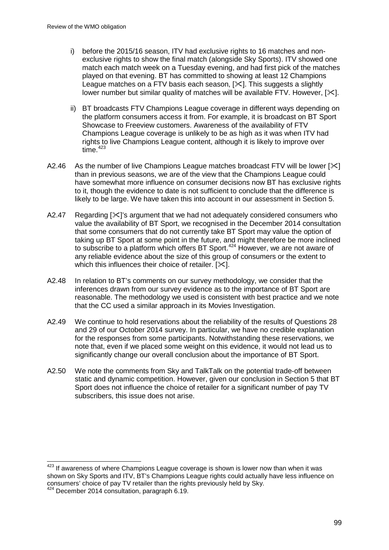- i) before the 2015/16 season, ITV had exclusive rights to 16 matches and nonexclusive rights to show the final match (alongside Sky Sports). ITV showed one match each match week on a Tuesday evening, and had first pick of the matches played on that evening. BT has committed to showing at least 12 Champions League matches on a  $FTV$  basis each season.  $[36]$ . This suggests a slightly lower number but similar quality of matches will be available FTV. However,  $[\times]$ .
- ii) BT broadcasts FTV Champions League coverage in different ways depending on the platform consumers access it from. For example, it is broadcast on BT Sport Showcase to Freeview customers. Awareness of the availability of FTV Champions League coverage is unlikely to be as high as it was when ITV had rights to live Champions League content, although it is likely to improve over  $time<sup>423</sup>$  $time<sup>423</sup>$  $time<sup>423</sup>$
- A2.46 As the number of live Champions League matches broadcast FTV will be lower  $[\times]$ than in previous seasons, we are of the view that the Champions League could have somewhat more influence on consumer decisions now BT has exclusive rights to it, though the evidence to date is not sufficient to conclude that the difference is likely to be large. We have taken this into account in our assessment in Section 5.
- A2.47 Regarding  $[\times]$ 's argument that we had not adequately considered consumers who value the availability of BT Sport, we recognised in the December 2014 consultation that some consumers that do not currently take BT Sport may value the option of taking up BT Sport at some point in the future, and might therefore be more inclined to subscribe to a platform which offers BT Sport.<sup>[424](#page-99-1)</sup> However, we are not aware of any reliable evidence about the size of this group of consumers or the extent to which this influences their choice of retailer.  $[\times]$ .
- A2.48 In relation to BT's comments on our survey methodology, we consider that the inferences drawn from our survey evidence as to the importance of BT Sport are reasonable. The methodology we used is consistent with best practice and we note that the CC used a similar approach in its Movies Investigation.
- A2.49 We continue to hold reservations about the reliability of the results of Questions 28 and 29 of our October 2014 survey. In particular, we have no credible explanation for the responses from some participants. Notwithstanding these reservations, we note that, even if we placed some weight on this evidence, it would not lead us to significantly change our overall conclusion about the importance of BT Sport.
- A2.50 We note the comments from Sky and TalkTalk on the potential trade-off between static and dynamic competition. However, given our conclusion in Section 5 that BT Sport does not influence the choice of retailer for a significant number of pay TV subscribers, this issue does not arise.

<span id="page-99-0"></span>If awareness of where Champions League coverage is shown is lower now than when it was shown on Sky Sports and ITV, BT's Champions League rights could actually have less influence on consumers' choice of pay TV retailer than the rights previously held by Sky. <sup>424</sup> December 2014 consultation, paragraph 6.19.  $\overline{a}$ 

<span id="page-99-1"></span>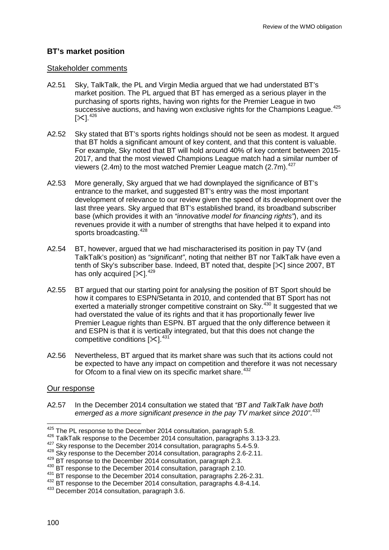## **BT's market position**

#### Stakeholder comments

- A2.51 Sky, TalkTalk, the PL and Virgin Media argued that we had understated BT's market position. The PL argued that BT has emerged as a serious player in the purchasing of sports rights, having won rights for the Premier League in two successive auctions, and having won exclusive rights for the Champions League.<sup>[425](#page-100-0)</sup>  $[X]$ .  $426$
- A2.52 Sky stated that BT's sports rights holdings should not be seen as modest. It argued that BT holds a significant amount of key content, and that this content is valuable. For example, Sky noted that BT will hold around 40% of key content between 2015- 2017, and that the most viewed Champions League match had a similar number of viewers (2.4m) to the most watched Premier League match (2.7m).  $427$
- A2.53 More generally, Sky argued that we had downplayed the significance of BT's entrance to the market, and suggested BT's entry was the most important development of relevance to our review given the speed of its development over the last three years. Sky argued that BT's established brand, its broadband subscriber base (which provides it with an *"innovative model for financing rights"*), and its revenues provide it with a number of strengths that have helped it to expand into sports broadcasting.<sup>[428](#page-100-3)</sup>
- A2.54 BT, however, argued that we had mischaracterised its position in pay TV (and TalkTalk's position) as *"significant"*, noting that neither BT nor TalkTalk have even a tenth of Sky's subscriber base. Indeed, BT noted that, despite  $[\&$  since 2007, BT has only acquired  $[\times]$ .<sup>[429](#page-100-4)</sup>
- A2.55 BT argued that our starting point for analysing the position of BT Sport should be how it compares to ESPN/Setanta in 2010, and contended that BT Sport has not exerted a materially stronger competitive constraint on Sky.<sup>[430](#page-100-5)</sup> It suggested that we had overstated the value of its rights and that it has proportionally fewer live Premier League rights than ESPN. BT argued that the only difference between it and ESPN is that it is vertically integrated, but that this does not change the competitive conditions  $[\times]$ .<sup>[431](#page-100-6)</sup>
- A2.56 Nevertheless, BT argued that its market share was such that its actions could not be expected to have any impact on competition and therefore it was not necessary for Ofcom to a final view on its specific market share.<sup>[432](#page-100-7)</sup>

#### Our response

A2.57 In the December 2014 consultation we stated that *"BT and TalkTalk have both emerged as a more significant presence in the pay TV market since 2010"*. [433](#page-100-8)

<span id="page-100-0"></span><sup>&</sup>lt;sup>425</sup> The PL response to the December 2014 consultation, paragraph 5.8.

<span id="page-100-1"></span><sup>&</sup>lt;sup>426</sup> TalkTalk response to the December 2014 consultation, paragraphs 3.13-3.23.

<sup>427</sup> Skv response to the December 2014 consultation, paragraphs 5.4-5.9.

<span id="page-100-3"></span><span id="page-100-2"></span> $^{428}$  Sky response to the December 2014 consultation, paragraphs 2.6-2.11.<br> $^{429}$  BT response to the December 2014 consultation, paragraph 2.3.

<span id="page-100-5"></span><span id="page-100-4"></span><sup>430</sup> BT response to the December 2014 consultation, paragraph 2.10.<br><sup>431</sup> BT response to the December 2014 consultation, paragraphs 2.26-2.31.

<span id="page-100-7"></span><span id="page-100-6"></span><sup>&</sup>lt;sup>432</sup> BT response to the December 2014 consultation, paragraphs 4.8-4.14.

<span id="page-100-8"></span><sup>433</sup> December 2014 consultation, paragraph 3.6.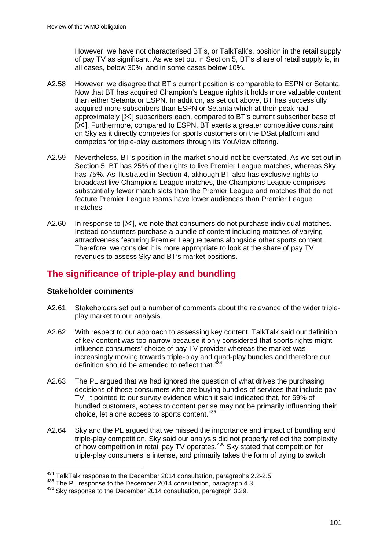However, we have not characterised BT's, or TalkTalk's, position in the retail supply of pay TV as significant. As we set out in Section 5, BT's share of retail supply is, in all cases, below 30%, and in some cases below 10%.

- A2.58 However, we disagree that BT's current position is comparable to ESPN or Setanta. Now that BT has acquired Champion's League rights it holds more valuable content than either Setanta or ESPN. In addition, as set out above, BT has successfully acquired more subscribers than ESPN or Setanta which at their peak had approximately  $[\times]$  subscribers each, compared to BT's current subscriber base of [ $|X|$ ]. Furthermore, compared to ESPN, BT exerts a greater competitive constraint on Sky as it directly competes for sports customers on the DSat platform and competes for triple-play customers through its YouView offering.
- A2.59 Nevertheless, BT's position in the market should not be overstated. As we set out in Section 5, BT has 25% of the rights to live Premier League matches, whereas Sky has 75%. As illustrated in Section 4, although BT also has exclusive rights to broadcast live Champions League matches, the Champions League comprises substantially fewer match slots than the Premier League and matches that do not feature Premier League teams have lower audiences than Premier League matches.
- A2.60 In response to  $[\times]$ , we note that consumers do not purchase individual matches. Instead consumers purchase a bundle of content including matches of varying attractiveness featuring Premier League teams alongside other sports content. Therefore, we consider it is more appropriate to look at the share of pay TV revenues to assess Sky and BT's market positions.

# **The significance of triple-play and bundling**

### **Stakeholder comments**

- A2.61 Stakeholders set out a number of comments about the relevance of the wider tripleplay market to our analysis.
- A2.62 With respect to our approach to assessing key content, TalkTalk said our definition of key content was too narrow because it only considered that sports rights might influence consumers' choice of pay TV provider whereas the market was increasingly moving towards triple-play and quad-play bundles and therefore our definition should be amended to reflect that.<sup>4</sup>
- A2.63 The PL argued that we had ignored the question of what drives the purchasing decisions of those consumers who are buying bundles of services that include pay TV. It pointed to our survey evidence which it said indicated that, for 69% of bundled customers, access to content per se may not be primarily influencing their choice, let alone access to sports content.<sup>[435](#page-101-1)</sup>
- A2.64 Sky and the PL argued that we missed the importance and impact of bundling and triple-play competition. Sky said our analysis did not properly reflect the complexity of how competition in retail pay TV operates.<sup>[436](#page-101-2)</sup> Sky stated that competition for triple-play consumers is intense, and primarily takes the form of trying to switch

 $^{434}_{12}$  TalkTalk response to the December 2014 consultation, paragraphs 2.2-2.5.  $\overline{\phantom{a}}$ 

<span id="page-101-2"></span><span id="page-101-1"></span>

<span id="page-101-0"></span><sup>&</sup>lt;sup>435</sup> The PL response to the December 2014 consultation, paragraph 4.3.<br><sup>436</sup> Sky response to the December 2014 consultation, paragraph 3.29.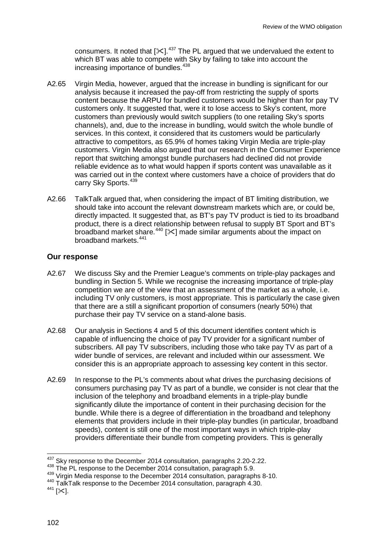consumers. It noted that  $[35]$ .<sup>[437](#page-102-0)</sup> The PL argued that we undervalued the extent to which BT was able to compete with Sky by failing to take into account the increasing importance of bundles.<sup>[438](#page-102-1)</sup>

- A2.65 Virgin Media, however, argued that the increase in bundling is significant for our analysis because it increased the pay-off from restricting the supply of sports content because the ARPU for bundled customers would be higher than for pay TV customers only. It suggested that, were it to lose access to Sky's content, more customers than previously would switch suppliers (to one retailing Sky's sports channels), and, due to the increase in bundling, would switch the whole bundle of services. In this context, it considered that its customers would be particularly attractive to competitors, as 65.9% of homes taking Virgin Media are triple-play customers. Virgin Media also argued that our research in the Consumer Experience report that switching amongst bundle purchasers had declined did not provide reliable evidence as to what would happen if sports content was unavailable as it was carried out in the context where customers have a choice of providers that do carry Sky Sports.<sup>[439](#page-102-2)</sup>
- A2.66 TalkTalk argued that, when considering the impact of BT limiting distribution, we should take into account the relevant downstream markets which are, or could be, directly impacted. It suggested that, as BT's pay TV product is tied to its broadband product, there is a direct relationship between refusal to supply BT Sport and BT's broadband market share.<sup>[440](#page-102-3)</sup> [ $\ll$ ] made similar arguments about the impact on broadband markets.[441](#page-102-4)

#### **Our response**

- A2.67 We discuss Sky and the Premier League's comments on triple-play packages and bundling in Section 5. While we recognise the increasing importance of triple-play competition we are of the view that an assessment of the market as a whole, i.e. including TV only customers, is most appropriate. This is particularly the case given that there are a still a significant proportion of consumers (nearly 50%) that purchase their pay TV service on a stand-alone basis.
- A2.68 Our analysis in Sections 4 and 5 of this document identifies content which is capable of influencing the choice of pay TV provider for a significant number of subscribers. All pay TV subscribers, including those who take pay TV as part of a wider bundle of services, are relevant and included within our assessment. We consider this is an appropriate approach to assessing key content in this sector.
- A2.69 In response to the PL's comments about what drives the purchasing decisions of consumers purchasing pay TV as part of a bundle, we consider is not clear that the inclusion of the telephony and broadband elements in a triple-play bundle significantly dilute the importance of content in their purchasing decision for the bundle. While there is a degree of differentiation in the broadband and telephony elements that providers include in their triple-play bundles (in particular, broadband speeds), content is still one of the most important ways in which triple-play providers differentiate their bundle from competing providers. This is generally

 $437$  Sky response to the December 2014 consultation, paragraphs 2.20-2.22.  $\overline{a}$ 

<span id="page-102-1"></span><span id="page-102-0"></span><sup>438</sup> The PL response to the December 2014 consultation, paragraph 5.9.<br><sup>439</sup> Virgin Media response to the December 2014 consultation, paragraphs 8-10.

<span id="page-102-4"></span><span id="page-102-3"></span><span id="page-102-2"></span><sup>&</sup>lt;sup>440</sup> TalkTalk response to the December 2014 consultation, paragraph 4.30.<br><sup>441</sup> [ $\angle$ c].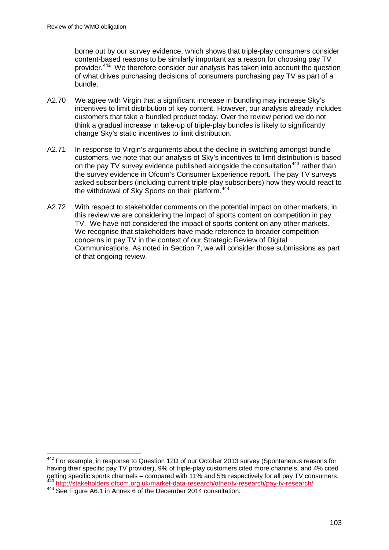borne out by our survey evidence, which shows that triple-play consumers consider content-based reasons to be similarly important as a reason for choosing pay TV provider.[442](#page-103-0) We therefore consider our analysis has taken into account the question of what drives purchasing decisions of consumers purchasing pay TV as part of a bundle.

- A2.70 We agree with Virgin that a significant increase in bundling may increase Sky's incentives to limit distribution of key content. However, our analysis already includes customers that take a bundled product today. Over the review period we do not think a gradual increase in take-up of triple-play bundles is likely to significantly change Sky's static incentives to limit distribution.
- A2.71 In response to Virgin's arguments about the decline in switching amongst bundle customers, we note that our analysis of Sky's incentives to limit distribution is based on the pay TV survey evidence published alongside the consultation<sup>[443](#page-103-1)</sup> rather than the survey evidence in Ofcom's Consumer Experience report. The pay TV surveys asked subscribers (including current triple-play subscribers) how they would react to the withdrawal of Sky Sports on their platform.<sup>[444](#page-103-2)</sup>
- A2.72 With respect to stakeholder comments on the potential impact on other markets, in this review we are considering the impact of sports content on competition in pay TV. We have not considered the impact of sports content on any other markets. We recognise that stakeholders have made reference to broader competition concerns in pay TV in the context of our Strategic Review of Digital Communications. As noted in Section 7, we will consider those submissions as part of that ongoing review.

<span id="page-103-0"></span><sup>&</sup>lt;sup>442</sup> For example, in response to Question 12D of our October 2013 survey (Spontaneous reasons for having their specific pay TV provider), 9% of triple-play customers cited more channels, and 4% cited detting specific sports channels – compared with 11% and 5% respectively for all pay TV consumers.<br>
443 http://stakeholders.ofcom.org.uk/market-data-research/other/tv-research/pay-tv-research/<br>
444 See Figure A6.1 in Annex  $\overline{a}$ 

<span id="page-103-2"></span><span id="page-103-1"></span>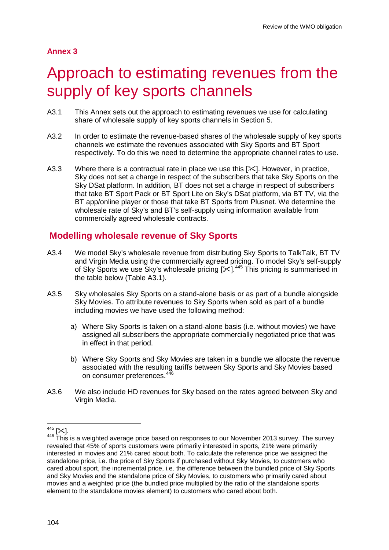## **Annex 3**

# Approach to estimating revenues from the supply of key sports channels

- A3.1 This Annex sets out the approach to estimating revenues we use for calculating share of wholesale supply of key sports channels in Section 5.
- A3.2 In order to estimate the revenue-based shares of the wholesale supply of key sports channels we estimate the revenues associated with Sky Sports and BT Sport respectively. To do this we need to determine the appropriate channel rates to use.
- A3.3 Where there is a contractual rate in place we use this  $[\times]$ . However, in practice, Sky does not set a charge in respect of the subscribers that take Sky Sports on the Sky DSat platform. In addition, BT does not set a charge in respect of subscribers that take BT Sport Pack or BT Sport Lite on Sky's DSat platform, via BT TV, via the BT app/online player or those that take BT Sports from Plusnet. We determine the wholesale rate of Sky's and BT's self-supply using information available from commercially agreed wholesale contracts.

# **Modelling wholesale revenue of Sky Sports**

- A3.4 We model Sky's wholesale revenue from distributing Sky Sports to TalkTalk, BT TV and Virgin Media using the commercially agreed pricing. To model Sky's self-supply of Sky Sports we use Sky's wholesale pricing  $[35]$ .<sup>[445](#page-104-0)</sup> This pricing is summarised in the table below (Table A3.1).
- A3.5 Sky wholesales Sky Sports on a stand-alone basis or as part of a bundle alongside Sky Movies. To attribute revenues to Sky Sports when sold as part of a bundle including movies we have used the following method:
	- a) Where Sky Sports is taken on a stand-alone basis (i.e. without movies) we have assigned all subscribers the appropriate commercially negotiated price that was in effect in that period.
	- b) Where Sky Sports and Sky Movies are taken in a bundle we allocate the revenue associated with the resulting tariffs between Sky Sports and Sky Movies based on consumer preferences.<sup>[446](#page-104-1)</sup>
- A3.6 We also include HD revenues for Sky based on the rates agreed between Sky and Virgin Media.

<span id="page-104-0"></span> $445$  [ $\times$ ].

<span id="page-104-1"></span> $446$  This is a weighted average price based on responses to our November 2013 survey. The survey revealed that 45% of sports customers were primarily interested in sports, 21% were primarily interested in movies and 21% cared about both. To calculate the reference price we assigned the standalone price, i.e. the price of Sky Sports if purchased without Sky Movies, to customers who cared about sport, the incremental price, i.e. the difference between the bundled price of Sky Sports and Sky Movies and the standalone price of Sky Movies, to customers who primarily cared about movies and a weighted price (the bundled price multiplied by the ratio of the standalone sports element to the standalone movies element) to customers who cared about both.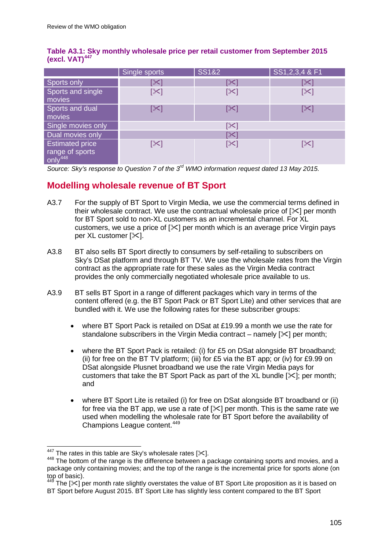|                                                                  | Single sports  | <b>SS1&amp;2</b> | SS1, 2, 3, 4 & F1 |
|------------------------------------------------------------------|----------------|------------------|-------------------|
| Sports only                                                      | $ \mathbb{X} $ | $ \mathbb{X} $   |                   |
| Sports and single<br>movies                                      | $[\times]$     | $[\times]$       | $\propto$         |
| Sports and dual<br>movies                                        | [╳]            | $[\times]$       |                   |
| Single movies only                                               |                | [╳]              |                   |
| Dual movies only                                                 | X.             |                  |                   |
| <b>Estimated price</b><br>range of sports<br>only <sup>448</sup> | [≻]            | [╳]              |                   |

### **Table A3.1: Sky monthly wholesale price per retail customer from September 2015 (excl. VAT)[447](#page-105-0)**

*Source: Sky's response to Question 7 of the 3rd WMO information request dated 13 May 2015.*

# **Modelling wholesale revenue of BT Sport**

- A3.7 For the supply of BT Sport to Virgin Media, we use the commercial terms defined in their wholesale contract. We use the contractual wholesale price of  $[\times]$  per month for BT Sport sold to non-XL customers as an incremental channel. For XL customers, we use a price of  $[\&]$  per month which is an average price Virgin pays per XL customer  $[\times]$ .
- A3.8 BT also sells BT Sport directly to consumers by self-retailing to subscribers on Sky's DSat platform and through BT TV. We use the wholesale rates from the Virgin contract as the appropriate rate for these sales as the Virgin Media contract provides the only commercially negotiated wholesale price available to us.
- A3.9 BT sells BT Sport in a range of different packages which vary in terms of the content offered (e.g. the BT Sport Pack or BT Sport Lite) and other services that are bundled with it. We use the following rates for these subscriber groups:
	- where BT Sport Pack is retailed on DSat at £19.99 a month we use the rate for standalone subscribers in the Virgin Media contract – namely  $[3]$  per month;
	- where the BT Sport Pack is retailed: (i) for £5 on DSat alongside BT broadband; (ii) for free on the BT TV platform; (iii) for £5 via the BT app; or (iv) for £9.99 on DSat alongside Plusnet broadband we use the rate Virgin Media pays for customers that take the BT Sport Pack as part of the XL bundle  $[\times]$ ; per month; and
	- where BT Sport Lite is retailed (i) for free on DSat alongside BT broadband or (ii) for free via the BT app, we use a rate of  $[\times]$  per month. This is the same rate we used when modelling the wholesale rate for BT Sport before the availability of Champions League content.<sup>[449](#page-105-2)</sup>

<span id="page-105-0"></span> $447$  The rates in this table are Sky's wholesale rates [ $\mathcal{K}$ ].

<span id="page-105-1"></span> $448$  The bottom of the range is the difference between a package containing sports and movies, and a package only containing movies; and the top of the range is the incremental price for sports alone (on top of basic).

<span id="page-105-2"></span>The  $\lceil \times \rceil$  per month rate slightly overstates the value of BT Sport Lite proposition as it is based on BT Sport before August 2015. BT Sport Lite has slightly less content compared to the BT Sport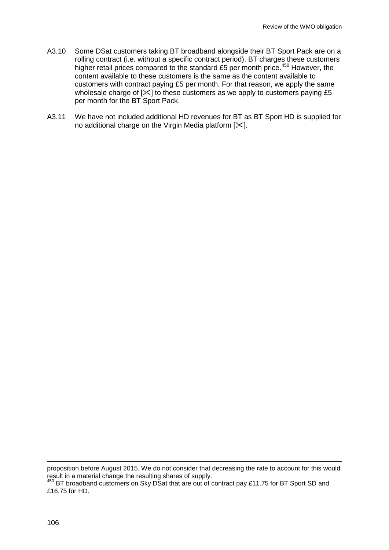- A3.10 Some DSat customers taking BT broadband alongside their BT Sport Pack are on a rolling contract (i.e. without a specific contract period). BT charges these customers higher retail prices compared to the standard £5 per month price.<sup>[450](#page-106-0)</sup> However, the content available to these customers is the same as the content available to customers with contract paying £5 per month. For that reason, we apply the same wholesale charge of  $[\times]$  to these customers as we apply to customers paying £5 per month for the BT Sport Pack.
- A3.11 We have not included additional HD revenues for BT as BT Sport HD is supplied for no additional charge on the Virgin Media platform  $[\times]$ .

proposition before August 2015. We do not consider that decreasing the rate to account for this would result in a material change the resulting shares of supply. -

<span id="page-106-0"></span><sup>450</sup> BT broadband customers on Sky DSat that are out of contract pay £11.75 for BT Sport SD and £16.75 for HD.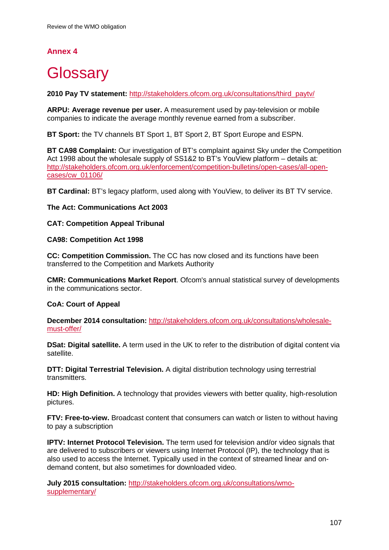# **Annex 4**

# **Glossary**

**2010 Pay TV statement:** [http://stakeholders.ofcom.org.uk/consultations/third\\_paytv/](http://stakeholders.ofcom.org.uk/consultations/third_paytv/)

**ARPU: Average revenue per user.** A measurement used by pay-television or mobile companies to indicate the average monthly revenue earned from a subscriber.

**BT Sport:** the TV channels BT Sport 1, BT Sport 2, BT Sport Europe and ESPN.

**BT CA98 Complaint:** Our investigation of BT's complaint against Sky under the Competition Act 1998 about the wholesale supply of SS1&2 to BT's YouView platform – details at: [http://stakeholders.ofcom.org.uk/enforcement/competition-bulletins/open-cases/all-open](http://stakeholders.ofcom.org.uk/enforcement/competition-bulletins/open-cases/all-open-cases/cw_01106/)[cases/cw\\_01106/](http://stakeholders.ofcom.org.uk/enforcement/competition-bulletins/open-cases/all-open-cases/cw_01106/)

**BT Cardinal:** BT's legacy platform, used along with YouView, to deliver its BT TV service.

#### **The Act: Communications Act 2003**

#### **CAT: Competition Appeal Tribunal**

#### **CA98: Competition Act 1998**

**CC: Competition Commission.** The CC has now closed and its functions have been transferred to the Competition and Markets Authority

**CMR: Communications Market Report**. Ofcom's annual statistical survey of developments in the communications sector.

#### **CoA: Court of Appeal**

**December 2014 consultation:** [http://stakeholders.ofcom.org.uk/consultations/wholesale](http://stakeholders.ofcom.org.uk/consultations/wholesale-must-offer/)[must-offer/](http://stakeholders.ofcom.org.uk/consultations/wholesale-must-offer/)

**DSat: Digital satellite.** A term used in the UK to refer to the distribution of digital content via satellite.

**DTT: Digital Terrestrial Television.** A digital distribution technology using terrestrial transmitters.

**HD: High Definition.** A technology that provides viewers with better quality, high-resolution pictures.

**FTV: Free-to-view.** Broadcast content that consumers can watch or listen to without having to pay a subscription

**IPTV: Internet Protocol Television.** The term used for television and/or video signals that are delivered to subscribers or viewers using Internet Protocol (IP), the technology that is also used to access the Internet. Typically used in the context of streamed linear and ondemand content, but also sometimes for downloaded video.

**July 2015 consultation:** [http://stakeholders.ofcom.org.uk/consultations/wmo](http://stakeholders.ofcom.org.uk/consultations/wmo-supplementary/)[supplementary/](http://stakeholders.ofcom.org.uk/consultations/wmo-supplementary/)